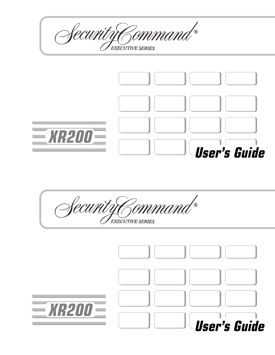Security Command® EXECUTIVE SERIES  $\equiv$ *XR200* $\equiv$ **User's Guide**

Security Command® **EXECUTIVE SERIES** 

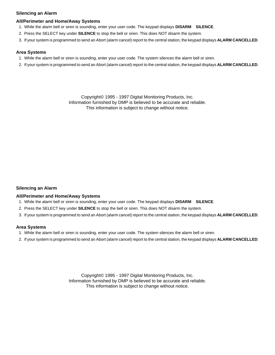# **Silencing an Alarm**

## **All/Perimeter and Home/Away Systems**

- 1. While the alarm bell or siren is sounding, enter your user code. The keypad displays **DISARM SILENCE**.
- 2. Press the SELECT key under **SILENCE** to stop the bell or siren. This does NOT disarm the system.
- 3. If your system is programmed to send an Abort (alarm cancel) report to the central station, the keypad displays **ALARM CANCELLED**.

## **Area Systems**

- 1. While the alarm bell or siren is sounding, enter your user code. The system silences the alarm bell or siren.
- 2. If your system is programmed to send an Abort (alarm cancel) report to the central station, the keypad displays **ALARM CANCELLED**.

Copyright© 1995 - 1997 Digital Monitoring Products, Inc. Information furnished by DMP is believed to be accurate and reliable. This information is subject to change without notice.

## **Silencing an Alarm**

### **All/Perimeter and Home/Away Systems**

- 1. While the alarm bell or siren is sounding, enter your user code. The keypad displays **DISARM SILENCE**.
- 2. Press the SELECT key under **SILENCE** to stop the bell or siren. This does NOT disarm the system.
- 3. If your system is programmed to send an Abort (alarm cancel) report to the central station, the keypad displays **ALARM CANCELLED**.

## **Area Systems**

- 1. While the alarm bell or siren is sounding, enter your user code. The system silences the alarm bell or siren.
- 2. If your system is programmed to send an Abort (alarm cancel) report to the central station, the keypad displays **ALARM CANCELLED**.

Copyright© 1995 - 1997 Digital Monitoring Products, Inc. Information furnished by DMP is believed to be accurate and reliable. This information is subject to change without notice.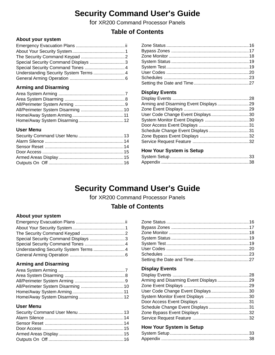# **Security Command User's Guide**

for XR200 Command Processor Panels

# **Table of Contents**

# **About your system**

| Special Security Command Displays 3    |  |
|----------------------------------------|--|
|                                        |  |
| Understanding Security System Terms  4 |  |
|                                        |  |
|                                        |  |

# **Arming and Disarming**

# **User Menu**

# **Display Events**

| User Code Change Event Displays30 |  |
|-----------------------------------|--|
|                                   |  |
|                                   |  |
|                                   |  |
|                                   |  |
|                                   |  |
|                                   |  |

# **How Your System is Setup**

# **Security Command User's Guide**

for XR200 Command Processor Panels

# **Table of Contents**

# **About your system**

| Special Security Command Displays 3 |  |
|-------------------------------------|--|
|                                     |  |
|                                     |  |
|                                     |  |
|                                     |  |

# **Arming and Disarming**

# **User Menu**

# **Display Events**

| User Code Change Event Displays30 |  |
|-----------------------------------|--|
|                                   |  |
|                                   |  |
|                                   |  |
|                                   |  |
|                                   |  |
|                                   |  |

# **How Your System is Setup**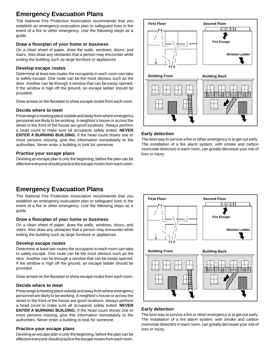# **Emergency Evacuation Plans**

The National Fire Protection Association recommends that you establish an emergency evacuation plan to safeguard lives in the event of a fire or other emergency. Use the following steps as a guide.

## **Draw a floorplan of your home or business**

On a clean sheet of paper, draw the walls, windows, doors, and stairs. Also draw any obstacles that a person may encounter while exiting the building such as large furniture or appliances.

## **Develop escape routes**

Determine at least two routes the occupants in each room can take to safely escape. One route can be the most obvious such as the door. Another can be through a window that can be easily opened. If the window is high off the ground, an escape ladder should be provided.

Draw arrows on the floorplan to show escape routes from each room.

## **Decide where to meet**

Prearrange a meeting place outside and away from where emergency personnel are likely to be working. A neighbor's house or across the street in the front of the house are good locations. Always perform a head count to make sure all occupants safely exited. **NEVER ENTER A BURNING BUILDING.** If the head count shows one or more persons missing, give this information immediately to the authorities. Never enter a building to look for someone.

## **Practice your escape plans**

Devising an escape plan is only the beginning, before the plan can be effective everyone should practice the escape routes from each room.

# **Emergency Evacuation Plans**

The National Fire Protection Association recommends that you establish an emergency evacuation plan to safeguard lives in the event of a fire or other emergency. Use the following steps as a guide.

## **Draw a floorplan of your home or business**

On a clean sheet of paper, draw the walls, windows, doors, and stairs. Also draw any obstacles that a person may encounter while exiting the building such as large furniture or appliances.

## **Develop escape routes**

Determine at least two routes the occupants in each room can take to safely escape. One route can be the most obvious such as the door. Another can be through a window that can be easily opened. If the window is high off the ground, an escape ladder should be provided.

Draw arrows on the floorplan to show escape routes from each room.

## **Decide where to meet**

Prearrange a meeting place outside and away from where emergency personnel are likely to be working. A neighbor's house or across the street in the front of the house are good locations. Always perform a head count to make sure all occupants safely exited. **NEVER ENTER A BURNING BUILDING.** If the head count shows one or more persons missing, give this information immediately to the authorities. Never enter a building to look for someone.

## **Practice your escape plans**

Devising an escape plan is only the beginning, before the plan can be effective everyone should practice the escape routes from each room.



## **Early detection**

The best way to survive a fire or other emergency is to get out early. The installation of a fire alarm system, with smoke and carbon monoxide detectors in each room, can greatly decrease your risk of loss or injury.



# **Early detection**

The best way to survive a fire or other emergency is to get out early. The installation of a fire alarm system, with smoke and carbon monoxide detectors in each room, can greatly decrease your risk of loss or injury.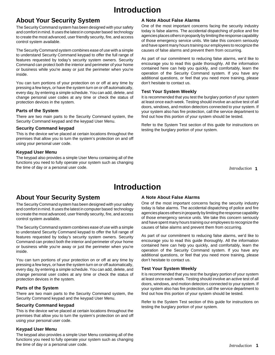# **Introduction**

# **About Your Security System**

The Security Command system has been designed with your safety and comfort in mind. It uses the latest in computer based technology to create the most advanced, user friendly security, fire, and access control system available.

The Security Command system combines ease of use with a simple to understand Security Command keypad to offer the full range of features requested by today's security system owners. Security Command can protect both the interior and perimeter of your home or business while you're away or just the perimeter when you're inside.

You can turn portions of your protection on or off at any time by pressing a few keys, or have the system turn on or off automatically, every day, by entering a simple schedule. You can add, delete, and change personal user codes at any time or check the status of protection devices in the system.

## **Parts of the System**

There are two main parts to the Security Command system, the Security Command keypad and the keypad User Menu.

## **Security Command keypad**

This is the device we've placed at certain locations throughout the premises that allow you to turn the system's protection on and off using your personal user code.

# **Keypad User Menu**

The keypad also provides a simple User Menu containing all of the functions you need to fully operate your system such as changing the time of day or a personal user code.

# **A Note About False Alarms**

One of the most important concerns facing the security industry today is false alarms. The accidental dispatching of police and fire agencies places others in jeopardy by limiting the response capability of those emergency service units. We take this concern seriously and have spent many hours training our employees to recognize the causes of false alarms and prevent them from occurring.

As part of our commitment to reducing false alarms, we'd like to encourage you to read this guide thoroughly. All the information contained here can help you quickly, and comfortably, learn the operation of the Security Command system. If you have any additional questions, or feel that you need more training, please don't hesitate to contact us.

## **Test Your System Weekly**

It is recommended that you test the burglary portion of your system at least once each week. Testing should involve an active test of all doors, windows, and motion detectors connected to your system. If your system also has fire protection, call the service department to find out how this portion of your system should be tested.

Refer to the System Test section of this guide for instructions on testing the burglary portion of your system.

**1** *Introduction*

# **Introduction**

# **About Your Security System**

The Security Command system has been designed with your safety and comfort in mind. It uses the latest in computer based technology to create the most advanced, user friendly security, fire, and access control system available.

The Security Command system combines ease of use with a simple to understand Security Command keypad to offer the full range of features requested by today's security system owners. Security Command can protect both the interior and perimeter of your home or business while you're away or just the perimeter when you're inside.

You can turn portions of your protection on or off at any time by pressing a few keys, or have the system turn on or off automatically, every day, by entering a simple schedule. You can add, delete, and change personal user codes at any time or check the status of protection devices in the system.

## **Parts of the System**

There are two main parts to the Security Command system, the Security Command keypad and the keypad User Menu.

# **Security Command keypad**

This is the device we've placed at certain locations throughout the premises that allow you to turn the system's protection on and off using your personal user code.

# **Keypad User Menu**

The keypad also provides a simple User Menu containing all of the functions you need to fully operate your system such as changing the time of day or a personal user code.

# **A Note About False Alarms**

One of the most important concerns facing the security industry today is false alarms. The accidental dispatching of police and fire agencies places others in jeopardy by limiting the response capability of those emergency service units. We take this concern seriously and have spent many hours training our employees to recognize the causes of false alarms and prevent them from occurring.

As part of our commitment to reducing false alarms, we'd like to encourage you to read this guide thoroughly. All the information contained here can help you quickly, and comfortably, learn the operation of the Security Command system. If you have any additional questions, or feel that you need more training, please don't hesitate to contact us.

## **Test Your System Weekly**

It is recommended that you test the burglary portion of your system at least once each week. Testing should involve an active test of all doors, windows, and motion detectors connected to your system. If your system also has fire protection, call the service department to find out how this portion of your system should be tested.

Refer to the System Test section of this guide for instructions on testing the burglary portion of your system.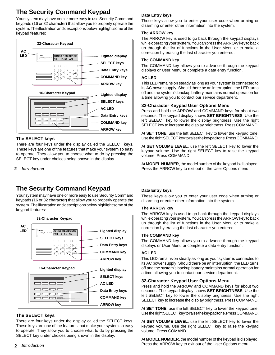# **The Security Command Keypad**

Your system may have one or more easy to use Security Command keypads (16 or 32 character) that allow you to properly operate the system. The illustration and descriptions below highlight some of the keypad features:



## **The SELECT keys**

There are four keys under the display called the SELECT keys. These keys are one of the features that make your system so easy to operate. They allow you to choose what to do by pressing the SELECT key under choices being shown in the display.

## **2** *Introduction*

# **The Security Command Keypad**

Your system may have one or more easy to use Security Command keypads (16 or 32 character) that allow you to properly operate the system. The illustration and descriptions below highlight some of the keypad features:



# **The SELECT keys**

There are four keys under the display called the SELECT keys. These keys are one of the features that make your system so easy to operate. They allow you to choose what to do by pressing the SELECT key under choices being shown in the display.

# **Data Entry keys**

These keys allow you to enter your user code when arming or disarming or enter other information into the system.

## **The ARROW key**

The ARROW key is used to go back through the keypad displays while operating your system. You can press the ARROW key to back up through the list of functions in the User Menu or to make a correction by erasing the last character you entered.

## **The COMMAND key**

The COMMAND key allows you to advance through the keypad displays or User Menu or complete a data entry function.

## **AC LED**

This LED remains on steady as long as your system is connected to its AC power supply. Should there be an interruption, the LED turns off and the system's backup battery maintains normal operation for a time allowing you to contact our service department.

## **32-Character Keypad User Options Menu**

Press and hold the ARROW and COMMAND keys for about two seconds. The keypad display shows **SET BRIGHTNESS**. Use the left SELECT key to lower the display brightness. Use the right SELECT key to increase the display brightness. Press COMMAND.

At **SET TONE**, use the left SELECT key to lower the keypad tone. Use the right SELECT key to raise the keypad tone. Press COMMAND.

At **SET VOLUME LEVEL**, use the left SELECT key to lower the keypad volume. Use the right SELECT key to raise the keypad volume. Press COMMAND.

At **MODEL NUMBER**, the model number of the keypad is displayed. Press the ARROW key to exit out of the User Options menu.

## **Data Entry keys**

These keys allow you to enter your user code when arming or disarming or enter other information into the system.

### **The ARROW key**

The ARROW key is used to go back through the keypad displays while operating your system. You can press the ARROW key to back up through the list of functions in the User Menu or to make a correction by erasing the last character you entered.

### **The COMMAND key**

The COMMAND key allows you to advance through the keypad displays or User Menu or complete a data entry function.

### **AC LED**

This LED remains on steady as long as your system is connected to its AC power supply. Should there be an interruption, the LED turns off and the system's backup battery maintains normal operation for a time allowing you to contact our service department.

## **32-Character Keypad User Options Menu**

Press and hold the ARROW and COMMAND keys for about two seconds. The keypad display shows **SET BRIGHTNESS**. Use the left SELECT key to lower the display brightness. Use the right SELECT key to increase the display brightness. Press COMMAND.

At **SET TONE**, use the left SELECT key to lower the keypad tone. Use the right SELECT key to raise the keypad tone. Press COMMAND.

At **SET VOLUME LEVEL**, use the left SELECT key to lower the keypad volume. Use the right SELECT key to raise the keypad volume. Press COMAND.

At **MODEL NUMBER**, the model number of the keypad is displayed. Press the ARROW key to exit out of the User Options menu.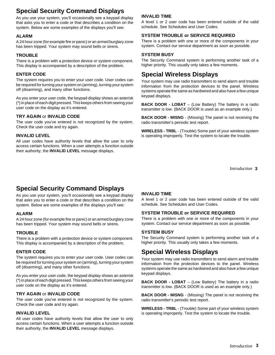# **Special Security Command Displays**

As you use your system, you'll occasionally see a keypad display that asks you to enter a code or that describes a condition on the system. Below are some examples of the displays you'll see:

## **ALARM**

A 24 hour zone (for example fire or panic) or an armed burglary zone has been tripped. Your system may sound bells or sirens.

# **TROUBLE**

There is a problem with a protection device or system component. This display is accompanied by a description of the problem.

# **ENTER CODE**

The system requires you to enter your user code. User codes can be required for turning your system on (arming), turning your system off (disarming), and many other functions.

As you enter your user code, the keypad display shows an asterisk (\*) in place of each digit pressed. This keeps others from seeing your user code on the display as it's entered.

## **TRY AGAIN** or **INVALID CODE**

The user code you've entered is not recognized by the system. Check the user code and try again.

## **INVALID LEVEL**

All user codes have authority levels that allow the user to only access certain functions. When a user attempts a function outside their authority, the **INVALID LEVEL** message displays.

# **INVALID TIME**

A level 1 or 2 user code has been entered outside of the valid schedule. See Schedules and User Codes.

# **SYSTEM TROUBLE or SERVICE REQUIRED**

There is a problem with one or more of the components in your system. Contact our service department as soon as possible.

## **SYSTEM BUSY**

The Security Command system is performing another task of a higher priority. This usually only takes a few moments.

# **Special Wireless Displays**

Your system may use radio transmitters to send alarm and trouble information from the protection devices to the panel. Wireless systems operate the same as hardwired and also have a few unique keypad displays.

**BACK DOOR - LOBAT** – (Low Battery) The battery in a radio transmitter is low. (BACK DOOR is used as an example only.)

**BACK DOOR - MISNG** - (Missing) The panel is not receiving the radio transmitter's periodic test report.

**WIRELESS - TRBL** - (Trouble) Some part of your wireless system is operating improperly. Test the system to locate the trouble.

**3** *Introduction*

# **Special Security Command Displays**

As you use your system, you'll occasionally see a keypad display that asks you to enter a code or that describes a condition on the system. Below are some examples of the displays you'll see:

# **ALARM**

A 24 hour zone (for example fire or panic) or an armed burglary zone has been tripped. Your system may sound bells or sirens.

# **TROUBLE**

There is a problem with a protection device or system component. This display is accompanied by a description of the problem.

# **ENTER CODE**

The system requires you to enter your user code. User codes can be required for turning your system on (arming), turning your system off (disarming), and many other functions.

As you enter your user code, the keypad display shows an asterisk (\*) in place of each digit pressed. This keeps others from seeing your user code on the display as it's entered.

# **TRY AGAIN** or **INVALID CODE**

The user code you've entered is not recognized by the system. Check the user code and try again.

## **INVALID LEVEL**

All user codes have authority levels that allow the user to only access certain functions. When a user attempts a function outside their authority, the **INVALID LEVEL** message displays.

# **INVALID TIME**

A level 1 or 2 user code has been entered outside of the valid schedule. See Schedules and User Codes.

# **SYSTEM TROUBLE or SERVICE REQUIRED**

There is a problem with one or more of the components in your system. Contact our service department as soon as possible.

## **SYSTEM BUSY**

The Security Command system is performing another task of a higher priority. This usually only takes a few moments.

# **Special Wireless Displays**

Your system may use radio transmitters to send alarm and trouble information from the protection devices to the panel. Wireless systems operate the same as hardwired and also have a few unique keypad displays.

**BACK DOOR - LOBAT** – (Low Battery) The battery in a radio transmitter is low. (BACK DOOR is used as an example only.)

**BACK DOOR - MISNG** - (Missing) The panel is not receiving the radio transmitter's periodic test report.

**WIRELESS - TRBL** - (Trouble) Some part of your wireless system is operating improperly. Test the system to locate the trouble.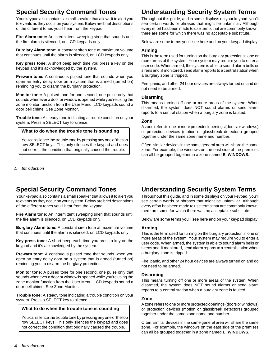# **Special Security Command Tones**

Your keypad also contains a small speaker that allows it to alert you to events as they occur on your system. Below are brief descriptions of the different tones you'll hear from the keypad:

**Fire Alarm tone:** An intermittent sweeping siren that sounds until the fire alarm is silenced, on LCD keypads only.

**Burglary Alarm tone:** A constant siren tone at maximum volume that continues until the alarm is silenced, on LCD keypads only.

**Key press tone:** A short beep each time you press a key on the keypad and it's acknowledged by the system.

**Prewarn tone:** A continuous pulsed tone that sounds when you open an entry delay door on a system that is armed (turned on) reminding you to disarm the burglary protection.

**Monitor tone:** A pulsed tone for one second, one pulse only that sounds whenever a door or window is opened while you're using the zone monitor function from the User Menu. LCD keypads sound a door bell chime. See Zone Monitor.

**Trouble tone:** A steady tone indicating a trouble condition on your system. Press a SELECT key to silence.

## **What to do when the trouble tone is sounding**

You can silence the trouble tone by pressing any one of the top row SELECT keys. This only silences the keypad and does not correct the condition that originally caused the trouble.

**4** *Introduction*

# **Special Security Command Tones**

Your keypad also contains a small speaker that allows it to alert you to events as they occur on your system. Below are brief descriptions of the different tones you'll hear from the keypad:

**Fire Alarm tone:** An intermittent sweeping siren that sounds until the fire alarm is silenced, on LCD keypads only.

**Burglary Alarm tone:** A constant siren tone at maximum volume that continues until the alarm is silenced, on LCD keypads only.

**Key press tone:** A short beep each time you press a key on the keypad and it's acknowledged by the system.

**Prewarn tone:** A continuous pulsed tone that sounds when you open an entry delay door on a system that is armed (turned on) reminding you to disarm the burglary protection.

**Monitor tone:** A pulsed tone for one second, one pulse only that sounds whenever a door or window is opened while you're using the zone monitor function from the User Menu. LCD keypads sound a door bell chime. See Zone Monitor.

**Trouble tone:** A steady tone indicating a trouble condition on your system. Press a SELECT key to silence.

## **What to do when the trouble tone is sounding**

You can silence the trouble tone by pressing any one of the top row SELECT keys. This only silences the keypad and does not correct the condition that originally caused the trouble.

# **Understanding Security System Terms**

Throughout this guide, and in some displays on your keypad, you'll see certain words or phrases that might be unfamiliar. Although every effort has been made to use terms that are commonly known, there are some for which there was no acceptable substitute.

Below are some terms you'll see here and on your keypad display:

### **Arming**

This is the term used for turning on the burglary protection in one or more areas of the system. Your system may require you to enter a user code. When armed, the system is able to sound alarm bells or sirens and, if monitored, send alarm reports to a central station when a burglary zone is tripped.

Fire, panic, and other 24 hour devices are always turned on and do not need to be armed.

## **Disarming**

This means turning off one or more areas of the system. When disarmed, the system does NOT sound alarms or send alarm reports to a central station when a burglary zone is faulted.

## **Zone**

A zone refers to one or more protected openings (doors or windows) or protection devices (motion or glassbreak detectors) grouped together under the same zone name and number.

Often, similar devices in the same general area will share the same zone. For example, the windows on the east side of the premises can all be grouped together in a zone named **E. WINDOWS**.

# **Understanding Security System Terms**

Throughout this guide, and in some displays on your keypad, you'll see certain words or phrases that might be unfamiliar. Although every effort has been made to use terms that are commonly known, there are some for which there was no acceptable substitute.

Below are some terms you'll see here and on your keypad display:

### **Arming**

This is the term used for turning on the burglary protection in one or more areas of the system. Your system may require you to enter a user code. When armed, the system is able to sound alarm bells or sirens and, if monitored, send alarm reports to a central station when a burglary zone is tripped.

Fire, panic, and other 24 hour devices are always turned on and do not need to be armed.

### **Disarming**

This means turning off one or more areas of the system. When disarmed, the system does NOT sound alarms or send alarm reports to a central station when a burglary zone is faulted.

### **Zone**

A zone refers to one or more protected openings (doors or windows) or protection devices (motion or glassbreak detectors) grouped together under the same zone name and number.

Often, similar devices in the same general area will share the same zone. For example, the windows on the east side of the premises can all be grouped together in a zone named **E. WINDOWS**.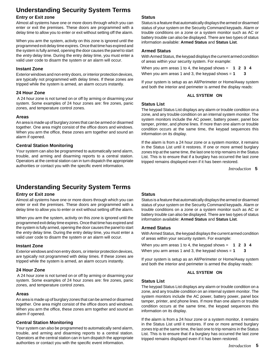# **Understanding Security System Terms**

# **Entry or Exit zone**

Almost all systems have one or more doors through which you can enter or exit the premises. These doors are programmed with a delay time to allow you to enter or exit without setting off the alarm.

When you arm the system, activity on this zone is ignored until the programmed exit delay time expires. Once that time has expired and the system is fully armed, opening the door causes the panel to start the entry delay time. During the entry delay time, you must enter a valid user code to disarm the system or an alarm will occur.

## **Instant Zone**

Exterior windows and non entry doors, or interior protection devices, are typically not programmed with delay times. If these zones are tripped while the system is armed, an alarm occurs instantly.

# **24 Hour Zone**

 A 24 hour zone is not turned on or off by arming or disarming your system. Some examples of 24 hour zones are: fire zones, panic zones, and temperature control zones.

## **Areas**

An area is made up of burglary zones that can be armed or disarmed together. One area might consist of the office doors and windows. When you arm the office, these zones arm together and sound an alarm if opened.

## **Central Station Monitoring**

Your system can also be programmed to automatically send alarm, trouble, and arming and disarming reports to a central station. Operators at the central station can in turn dispatch the appropriate authorities or contact you with the specific event information.

# **Understanding Security System Terms**

# **Entry or Exit zone**

Almost all systems have one or more doors through which you can enter or exit the premises. These doors are programmed with a delay time to allow you to enter or exit without setting off the alarm.

When you arm the system, activity on this zone is ignored until the programmed exit delay time expires. Once that time has expired and the system is fully armed, opening the door causes the panel to start the entry delay time. During the entry delay time, you must enter a valid user code to disarm the system or an alarm will occur.

## **Instant Zone**

Exterior windows and non entry doors, or interior protection devices, are typically not programmed with delay times. If these zones are tripped while the system is armed, an alarm occurs instantly.

## **24 Hour Zone**

 A 24 hour zone is not turned on or off by arming or disarming your system. Some examples of 24 hour zones are: fire zones, panic zones, and temperature control zones.

## **Areas**

An area is made up of burglary zones that can be armed or disarmed together. One area might consist of the office doors and windows. When you arm the office, these zones arm together and sound an alarm if opened.

## **Central Station Monitoring**

Your system can also be programmed to automatically send alarm, trouble, and arming and disarming reports to a central station. Operators at the central station can in turn dispatch the appropriate authorities or contact you with the specific event information.

## **Status**

Status is a feature that automatically displays the armed or disarmed status of your system on the Security Command keypads. Alarm or trouble conditions on a zone or a system monitor such as AC or battery trouble can also be displayed. There are two types of status information available: **Armed Status** and **Status List**.

## **Armed Status**

With Armed Status, the keypad displays the current armed condition of areas within your security system. For example:

When you arm areas 1 to 4, the keypad shows = **1234**

When you arm areas 1 and 3, the keypad shows = **1 3**

If your system is setup as an All/Perimeter or Home/Away system and both the interior and perimeter is armed the display reads:

## **ALL SYSTEM ON**

## **Status List**

The keypad Status List displays any alarm or trouble condition on a zone, and any trouble condition on an internal system monitor. The system monitors include the AC power, battery power, panel box tamper, printer, and phone lines. If more than one alarm or trouble condition occurs at the same time, the keypad sequences this information on its display.

If the alarm is from a 24 hour zone or a system monitor, it remains in the Status List until it restores. If one or more armed burglary zones trip at the same time, the last one to trip remains in the Status List. This is to ensure that if a burglary has occurred the last zone tripped remains displayed even if it has been restored.

Introduction 5

## **Status**

Status is a feature that automatically displays the armed or disarmed status of your system on the Security Command keypads. Alarm or trouble conditions on a zone or a system monitor such as AC or battery trouble can also be displayed. There are two types of status information available: **Armed Status** and **Status List**.

## **Armed Status**

With Armed Status, the keypad displays the current armed condition of areas within your security system. For example:

When you arm areas 1 to 4, the keypad shows = **1234** When you arm areas 1 and 3, the keypad shows = **1 3**

If your system is setup as an All/Perimeter or Home/Away system and both the interior and perimeter is armed the display reads:

### **ALL SYSTEM ON**

## **Status List**

The keypad Status List displays any alarm or trouble condition on a zone, and any trouble condition on an internal system monitor. The system monitors include the AC power, battery power, panel box tamper, printer, and phone lines. If more than one alarm or trouble condition occurs at the same time, the keypad sequences this information on its display.

If the alarm is from a 24 hour zone or a system monitor, it remains in the Status List until it restores. If one or more armed burglary zones trip at the same time, the last one to trip remains in the Status List. This is to ensure that if a burglary has occurred the last zone tripped remains displayed even if it has been restored.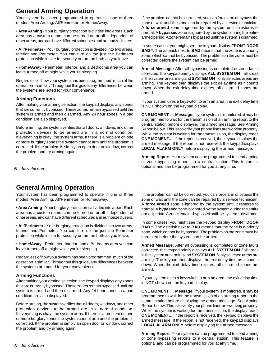# **General Arming Operation**

Your system has been programmed to operate in one of three modes: Area Arming, All/Perimeter, or Home/Away.

• **Area Arming** - Your burglary protection is divided into areas. Each area has a custom name, can be turned on or off independent of other areas, and can have different schedules and authorized users.

• **All/Perimeter** - Your burglary protection is divided into two areas, Interior and Perimeter. You can turn on the just the Perimeter protection while inside for security or turn on both as you leave.

• **Home/Away** - Perimeter, Interior, and a Bedrooms area you can leave turned off at night while you're sleeping.

Regardless of how your system has been programmed, much of the operation is similar. Throughout this guide, any differences between the systems are noted for your convenience.

## **Arming Functions**

After making your arming selection, the keypad displays any zones that are currently bypassed. These zones remain bypassed until the system is armed and then disarmed. Any 24 hour zones in a bad condition are also displayed.

Before arming, the system verifies that all doors, windows, and other protection devices to be armed are in a normal condition. If everything is okay, the system arms. If there is a problem on one or more burglary zones the system cannot arm until the problem is corrected. If the problem is simply an open door or window, correct the problem and try arming again.

**6** *Introduction*

# **General Arming Operation**

Your system has been programmed to operate in one of three modes: Area Arming, All/Perimeter, or Home/Away.

• **Area Arming** - Your burglary protection is divided into areas. Each area has a custom name, can be turned on or off independent of other areas, and can have different schedules and authorized users.

• **All/Perimeter** - Your burglary protection is divided into two areas, Interior and Perimeter. You can turn on the just the Perimeter protection while inside for security or turn on both as you leave.

• **Home/Away** - Perimeter, Interior, and a Bedrooms area you can leave turned off at night while you're sleeping.

Regardless of how your system has been programmed, much of the operation is similar. Throughout this guide, any differences between the systems are noted for your convenience.

## **Arming Functions**

After making your arming selection, the keypad displays any zones that are currently bypassed. These zones remain bypassed until the system is armed and then disarmed. Any 24 hour zones in a bad condition are also displayed.

Before arming, the system verifies that all doors, windows, and other protection devices to be armed are in a normal condition. If everything is okay, the system arms. If there is a problem on one or more burglary zones the system cannot arm until the problem is corrected. If the problem is simply an open door or window, correct the problem and try arming again.

If the problem cannot be corrected, you can force arm or bypass the zone or wait until the zone can be repaired by a service technician. A **force armed** zone is ignored by the system until it restores to normal. A **bypassed** zone is ignored by the system during the entire armed period. A zone remains bypassed until the system is disarmed.

In some cases, you might see the keypad display **FRONT DOOR BAD \***. The asterisk next to **BAD** means that the zone is a priority zone, which cannot be bypassed. The problem on the zone must be corrected before the system can be armed.

**Armed Message:** After all bypassing is completed or zone faults corrected, the keypad briefly displays **ALL SYSTEM ON** if all areas in the system are arming and **SYSTEM ON** if only selected areas are arming. The keypad then displays the exit delay time as it counts down. When the exit delay time expires, all disarmed zones are armed.

If your system uses a keyswitch to arm an area, the exit delay time is NOT shown on the keypad display.

**ONE MOMENT . . . Message:** If your system is monitored, it may be programmed to wait for the transmission of an arming report to the central station before displaying the armed message. See Arming Report below. This is to verify your phone lines are working properly. While the system is waiting for the transmission, the display reads **ONE MOMENT...**. If the report is received, the keypad displays the armed message. If the report is not received, the keypad displays **LOCAL ALARM ONLY** before displaying the armed message.

**Arming Report**: Your system can be programmed to send arming or zone bypassing reports to a central station. This feature is optional and can be programmed for you at any time.

If the problem cannot be corrected, you can force arm or bypass the zone or wait until the zone can be repaired by a service technician. A **force armed** zone is ignored by the system until it restores to normal. A **bypassed** zone is ignored by the system during the entire armed period. A zone remains bypassed until the system is disarmed.

In some cases, you might see the keypad display **FRONT DOOR BAD \***. The asterisk next to **BAD** means that the zone is a priority zone, which cannot be bypassed. The problem on the zone must be corrected before the system can be armed.

**Armed Message:** After all bypassing is completed or zone faults corrected, the keypad briefly displays **ALL SYSTEM ON** if all areas in the system are arming and **SYSTEM ON** if only selected areas are arming. The keypad then displays the exit delay time as it counts down. When the exit delay time expires, all disarmed zones are armed.

If your system uses a keyswitch to arm an area, the exit delay time is NOT shown on the keypad display.

**ONE MOMENT . . . Message:** If your system is monitored, it may be programmed to wait for the transmission of an arming report to the central station before displaying the armed message. See Arming Report below. This is to verify your phone lines are working properly. While the system is waiting for the transmission, the display reads **ONE MOMENT...**. If the report is received, the keypad displays the armed message. If the report is not received, the keypad displays **LOCAL ALARM ONLY** before displaying the armed message.

**Arming Report**: Your system can be programmed to send arming or zone bypassing reports to a central station. This feature is optional and can be programmed for you at any time.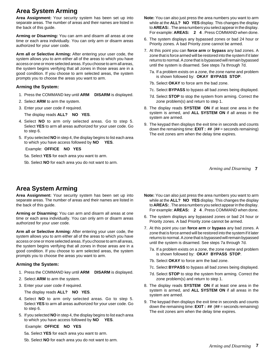# **Area System Arming**

**Area Assignment:** Your security system has been set up into separate areas. The number of areas and their names are listed in the back of this guide.

**Arming or Disarming:** You can arm and disarm all areas at one time or each area individually. You can only arm or disarm areas authorized for your user code.

**Arm all or Selective Arming:** After entering your user code, the system allows you to arm either all of the areas to which you have access or one or more selected areas. If you choose to arm all areas, the system begins verifying that all zones in those areas are in a good condition. If you choose to arm selected areas, the system prompts you to choose the areas you want to arm.

# **Arming the System:**

- 1. Press the COMMAND key until **ARM DISARM** is displayed.
- 2. Select **ARM** to arm the system.
- 3. Enter your user code if required.

The display reads **ALL? NO YES**.

- 4. Select **NO** to arm only selected areas. Go to step 5. Select **YES** to arm all areas authorized for your user code. Go to step 6.
- 5. If you selected **NO** in step 4, the display begins to list each area to which you have access followed by **NO YES**.

Example: **OFFICE NO YES**

5a. Select **YES** for each area you want to arm.

5b. Select **NO** for each area you do not want to arm.

- **Note:** You can also just press the area numbers you want to arm while at the **ALL? NO YES** display. This changes the display to **AREAS:** . The area numbers you select appear in the display. For example: **AREAS: 2 4** . Press COMMAND when done.
- 6. The system displays any bypassed zones or bad 24 hour or Priority zones. A bad Priority zone cannot be armed.
- 7. At this point you can **force arm** or **bypass** any bad zones. A zone that is force armed will be restored into the system if it later returns to normal. A zone that is bypassed will remain bypassed until the system is disarmed. See steps 7a through 7d.
	- 7a. If a problem exists on a zone, the zone name and problem is shown followed by: **OKAY BYPASS STOP**.
	- 7b. Select **OKAY** to force arm the bad zone.
	- 7c. Select **BYPASS** to bypass all bad zones being displayed.
	- 7d. Select **STOP** to stop the system from arming. Correct the zone problem(s) and return to step 1.
- 8. The display reads **SYSTEM ON** if at least one area in the system is armed, and **ALL SYSTEM ON** if all areas in the system are armed.
- 9. The keypad then displays the exit time in seconds and counts down the remaining time: **EXIT : ##** (**##** = seconds remaining) The exit zones arm when the delay time expires.

**7** *Arming and Disarming*

# **Area System Arming**

**Area Assignment:** Your security system has been set up into separate areas. The number of areas and their names are listed in the back of this guide.

**Arming or Disarming:** You can arm and disarm all areas at one time or each area individually. You can only arm or disarm areas authorized for your user code.

**Arm all or Selective Arming:** After entering your user code, the system allows you to arm either all of the areas to which you have access or one or more selected areas. If you choose to arm all areas, the system begins verifying that all zones in those areas are in a good condition. If you choose to arm selected areas, the system prompts you to choose the areas you want to arm.

# **Arming the System:**

- 1. Press the COMMAND key until **ARM DISARM** is displayed.
- 2. Select **ARM** to arm the system.
- 3. Enter your user code if required.

The display reads **ALL? NO YES**.

- 4. Select **NO** to arm only selected areas. Go to step 5. Select **YES** to arm all areas authorized for your user code. Go to step 6.
- 5. If you selected **NO** in step 4, the display begins to list each area to which you have access followed by **NO YES**.

# Example: **OFFICE NO YES**

- 5a. Select **YES** for each area you want to arm.
- 5b. Select **NO** for each area you do not want to arm.
- **Note:** You can also just press the area numbers you want to arm while at the **ALL? NO YES** display. This changes the display to **AREAS:** . The area numbers you select appear in the display. For example: **AREAS: 2 4** . Press COMMAND when done.
- 6. The system displays any bypassed zones or bad 24 hour or Priority zones. A bad Priority zone cannot be armed.
- 7. At this point you can **force arm** or **bypass** any bad zones. A zone that is force armed will be restored into the system if it later returns to normal. A zone that is bypassed will remain bypassed until the system is disarmed. See steps 7a through 7d.
	- 7a. If a problem exists on a zone, the zone name and problem is shown followed by: **OKAY BYPASS STOP**.
	- 7b. Select **OKAY** to force arm the bad zone.
	- 7c. Select **BYPASS** to bypass all bad zones being displayed.
	- 7d. Select **STOP** to stop the system from arming. Correct the zone problem(s) and return to step 1.
- 8. The display reads **SYSTEM ON** if at least one area in the system is armed, and **ALL SYSTEM ON** if all areas in the system are armed.
- 9. The keypad then displays the exit time in seconds and counts down the remaining time: **EXIT : ##** (**##** = seconds remaining) The exit zones arm when the delay time expires.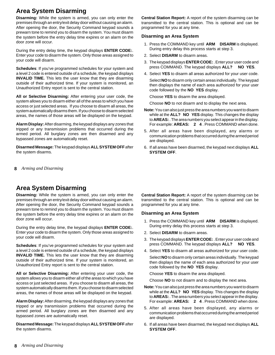# **Area System Disarming**

**Disarming:** While the system is armed, you can only enter the premises through an entry/exit delay door without causing an alarm. After opening the door, the Security Command keypad sounds a prewarn tone to remind you to disarm the system. You must disarm the system before the entry delay time expires or an alarm on the door zone will occur.

During the entry delay time, the keypad displays **ENTER CODE:**. Enter your code to disarm the system. Only those areas assigned to your code will disarm.

**Schedules**: If you've programmed schedules for your system and a level 2 code is entered outside of a schedule, the keypad displays **INVALID TIME.** This lets the user know that they are disarming outside of their authorized time. If your system is monitored, an Unauthorized Entry report is sent to the central station.

**All or Selective Disarming:** After entering your user code, the system allows you to disarm either all of the areas to which you have access or just selected areas. If you choose to disarm all areas, the system automatically disarms them. If you choose to disarm selected areas, the names of those areas will be displayed on the keypad.

**Alarm Display:** After disarming, the keypad displays any zones that tripped or any transmission problems that occurred during the armed period. All burglary zones are then disarmed and any bypassed zones are automatically reset.

**Disarmed Message:** The keypad displays **ALL SYSTEM OFF** after the system disarms.

**8** *Arming and Disarming*

# **Area System Disarming**

**Disarming:** While the system is armed, you can only enter the premises through an entry/exit delay door without causing an alarm. After opening the door, the Security Command keypad sounds a prewarn tone to remind you to disarm the system. You must disarm the system before the entry delay time expires or an alarm on the door zone will occur.

During the entry delay time, the keypad displays **ENTER CODE:**. Enter your code to disarm the system. Only those areas assigned to your code will disarm.

**Schedules**: If you've programmed schedules for your system and a level 2 code is entered outside of a schedule, the keypad displays **INVALID TIME.** This lets the user know that they are disarming outside of their authorized time. If your system is monitored, an Unauthorized Entry report is sent to the central station.

**All or Selective Disarming:** After entering your user code, the system allows you to disarm either all of the areas to which you have access or just selected areas. If you choose to disarm all areas, the system automatically disarms them. If you choose to disarm selected areas, the names of those areas will be displayed on the keypad.

**Alarm Display:** After disarming, the keypad displays any zones that tripped or any transmission problems that occurred during the armed period. All burglary zones are then disarmed and any bypassed zones are automatically reset.

**Disarmed Message:** The keypad displays **ALL SYSTEM OFF** after the system disarms.

**Central Station Report:** A report of the system disarming can be transmitted to the central station. This is optional and can be programmed for you at any time.

## **Disarming an Area System**

- 1. Press the COMMAND key until **ARM DISARM** is displayed. During entry delay this process starts at step 3.
- 2. Select **DISARM** to disarm areas.
- 3. The keypad displays **ENTER CODE:** . Enter your user code and press COMMAND. The keypad displays **ALL? NO YES**.
- 4. Select **YES** to disarm all areas authorized for your user code.

Select **NO** to disarm only certain areas individually. The keypad then displays the name of each area authorized for your user code followed by the **NO YES** display.

Choose **YES** to disarm the area displayed.

Choose **NO** to not disarm and to display the next area.

- **Note:** You can also just press the area numbers you want to disarm while at the **ALL? NO YES** display. This changes the display to **AREAS:** . The area numbers you select appear in the display. For example: **AREAS: 2 4** . Press COMMAND when done.
- 5. After all areas have been displayed, any alarms or communication problems that occurred during the armed period are displayed.
- 6. If all areas have been disarmed, the keypad next displays **ALL SYSTEM OFF**.

**Central Station Report:** A report of the system disarming can be transmitted to the central station. This is optional and can be programmed for you at any time.

## **Disarming an Area System**

- 1. Press the COMMAND key until **ARM DISARM** is displayed. During entry delay this process starts at step 3.
- 2. Select **DISARM** to disarm areas.
- 3. The keypad displays **ENTER CODE:** . Enter your user code and press COMMAND. The keypad displays **ALL? NO YES**.
- 4. Select **YES** to disarm all areas authorized for your user code.

Select **NO** to disarm only certain areas individually. The keypad then displays the name of each area authorized for your user code followed by the **NO YES** display.

Choose **YES** to disarm the area displayed.

Choose **NO** to not disarm and to display the next area.

- **Note:** You can also just press the area numbers you want to disarm while at the **ALL? NO YES** display. This changes the display to **AREAS:** . The area numbers you select appear in the display. For example: **AREAS: 2 4** . Press COMMAND when done.
- 5. After all areas have been displayed, any alarms or communication problems that occurred during the armed period are displayed.
- 6. If all areas have been disarmed, the keypad next displays **ALL SYSTEM OFF**.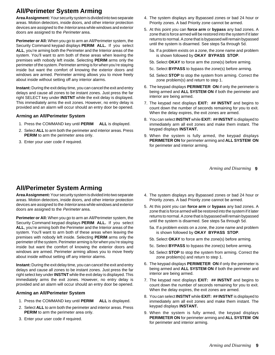# **All/Perimeter System Arming**

**Area Assignment:** Your security system is divided into two separate areas. Motion detectors, inside doors, and other interior protection devices are assigned to the Interior area while windows and exterior doors are assigned to the Perimeter area.

**Perimeter or All:** When you go to arm an All/Perimeter system, the Security Command keypad displays **PERIM ALL.** If you select **ALL**, you're arming both the Perimeter and the Interior areas of the system. You'll want to arm both of these areas when leaving the premises with nobody left inside. Selecting **PERIM** arms only the perimeter of the system. Perimeter arming is for when you're staying inside but want the comfort of knowing the exterior doors and windows are armed. Perimeter arming allows you to move freely about inside without setting off any interior alarms.

**Instant:** During the exit delay time, you can cancel the exit and entry delays and cause all zones to be instant zones. Just press the far right SELECT key under **INSTNT** while the exit delay is displayed. This immediately arms the exit zones. However, no entry delay is provided and an alarm will occur should an entry door be opened.

# **Arming an All/Perimeter System**

- 1. Press the COMMAND key until **PERIM ALL** is displayed.
- 2. Select **ALL** to arm both the perimeter and interior areas. Press **PERIM** to arm the perimeter area only.
- 3. Enter your user code if required.
- 4. The system displays any Bypassed zones or bad 24 hour or Priority zones. A bad Priority zone cannot be armed.
- 5. At this point you can **force arm** or **bypass** any bad zones. A zone that is force armed will be restored into the system if it later returns to normal. A zone that is bypassed will remain bypassed until the system is disarmed. See steps 5a through 5d.
	- 5a. If a problem exists on a zone, the zone name and problem is shown followed by **OKAY BYPASS STOP**.
	- 5b. Select **OKAY** to force arm the zone(s) before arming.
	- 5c. Select **BYPASS** to bypass the zone(s) before arming.
	- 5d. Select **STOP** to stop the system from arming. Correct the zone problem(s) and return to step 1.
- 6. The keypad displays **PERIMETER ON** if only the perimeter is being armed and **ALL SYSTEM ON** if both the perimeter and interior are being armed.
- 7. The keypad next displays **EXIT: ## INSTNT** and begins to count down the number of seconds remaining for you to exit. When the delay expires, the exit zones are armed.
- 8. You can select **INSTNT** while **EXIT: ## INSTNT** is displayed to immediately arm all exit zones and make them instant. The keypad displays **INSTANT.**
- 9. When the system is fully armed, the keypad displays **PERIMETER ON** for perimeter arming and **ALL SYSTEM ON** for perimeter and interior arming.

**9** *Arming and Disarming*

# **All/Perimeter System Arming**

**Area Assignment:** Your security system is divided into two separate areas. Motion detectors, inside doors, and other interior protection devices are assigned to the Interior area while windows and exterior doors are assigned to the Perimeter area.

**Perimeter or All:** When you go to arm an All/Perimeter system, the Security Command keypad displays **PERIM ALL.** If you select **ALL**, you're arming both the Perimeter and the Interior areas of the system. You'll want to arm both of these areas when leaving the premises with nobody left inside. Selecting **PERIM** arms only the perimeter of the system. Perimeter arming is for when you're staying inside but want the comfort of knowing the exterior doors and windows are armed. Perimeter arming allows you to move freely about inside without setting off any interior alarms.

**Instant:** During the exit delay time, you can cancel the exit and entry delays and cause all zones to be instant zones. Just press the far right select key under **INSTNT** while the exit delay is displayed. This immediately arms the exit zones. However, no entry delay is provided and an alarm will occur should an entry door be opened.

# **Arming an All/Perimeter System**

- 1. Press the COMMAND key until **PERIM ALL** is displayed.
- 2. Select **ALL** to arm both the perimeter and interior areas. Press **PERIM** to arm the perimeter area only.
- 3. Enter your user code if required.
- 4. The system displays any Bypassed zones or bad 24 hour or Priority zones. A bad Priority zone cannot be armed.
- 5. At this point you can **force arm** or **bypass** any bad zones. A zone that is force armed will be restored into the system if it later returns to normal. A zone that is bypassed will remain bypassed until the system is disarmed. See steps 5a through 5d.
	- 5a. If a problem exists on a zone, the zone name and problem is shown followed by **OKAY BYPASS STOP**.
	- 5b. Select **OKAY** to force arm the zone(s) before arming.
	- 5c. Select **BYPASS** to bypass the zone(s) before arming.
	- 5d. Select **STOP** to stop the system from arming. Correct the zone problem(s) and return to step 1.
- 6. The keypad displays **PERIMETER ON** if only the perimeter is being armed and **ALL SYSTEM ON** if both the perimeter and interior are being armed.
- 7. The keypad next displays **EXIT: ## INSTNT** and begins to count down the number of seconds remaining for you to exit. When the delay expires, the exit zones are armed.
- 8. You can select **INSTNT** while **EXIT: ## INSTNT** is displayed to immediately arm all exit zones and make them instant. The keypad displays **INSTANT.**
- 9. When the system is fully armed, the keypad displays **PERIMETER ON** for perimeter arming and **ALL SYSTEM ON** for perimeter and interior arming.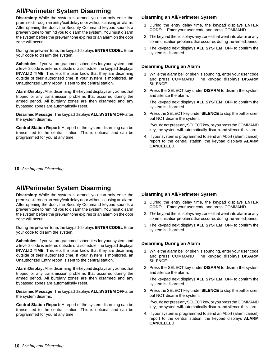# **All/Perimeter System Disarming**

**Disarming:** While the system is armed, you can only enter the premises through an entry/exit delay door without causing an alarm. After opening the door, the Security Command keypad sounds a prewarn tone to remind you to disarm the system. You must disarm the system before the prewarn tone expires or an alarm on the door zone will occur.

During the prewarn tone, the keypad displays **ENTER CODE:**. Enter your code to disarm the system.

**Schedules**: If you've programmed schedules for your system and a level 2 code is entered outside of a schedule, the keypad displays **INVALID TIME.** This lets the user know that they are disarming outside of their authorized time. If your system is monitored, an Unauthorized Entry report is sent to the central station.

**Alarm Display:** After disarming, the keypad displays any zones that tripped or any transmission problems that occurred during the armed period. All burglary zones are then disarmed and any bypassed zones are automatically reset.

**Disarmed Message:** The keypad displays **ALL SYSTEM OFF** after the system disarms.

**Central Station Report:** A report of the system disarming can be transmitted to the central station. This is optional and can be programmed for you at any time.

**10** *Arming and Disarming*

# **All/Perimeter System Disarming**

**Disarming:** While the system is armed, you can only enter the premises through an entry/exit delay door without causing an alarm. After opening the door, the Security Command keypad sounds a prewarn tone to remind you to disarm the system. You must disarm the system before the prewarn tone expires or an alarm on the door zone will occur.

During the prewarn tone, the keypad displays **ENTER CODE:**. Enter your code to disarm the system.

**Schedules**: If you've programmed schedules for your system and a level 2 code is entered outside of a schedule, the keypad displays **INVALID TIME.** This lets the user know that they are disarming outside of their authorized time. If your system is monitored, an Unauthorized Entry report is sent to the central station.

**Alarm Display:** After disarming, the keypad displays any zones that tripped or any transmission problems that occurred during the armed period. All burglary zones are then disarmed and any bypassed zones are automatically reset.

**Disarmed Message:** The keypad displays **ALL SYSTEM OFF** after the system disarms.

**Central Station Report:** A report of the system disarming can be transmitted to the central station. This is optional and can be programmed for you at any time.

## **Disarming an All/Perimeter System**

- 1. During the entry delay time, the keypad displays **ENTER CODE:** . Enter your user code and press COMMAND.
- 2. The keypad then displays any zones that went into alarm or any communication problems that occurred during the armed period.
- 3. The keypad next displays **ALL SYSTEM OFF** to confirm the system is disarmed.

## **Disarming During an Alarm**

- 1. While the alarm bell or siren is sounding, enter your user code and press COMMAND. The keypad displays **DISARM SILENCE**.
- 2. Press the SELECT key under **DISARM** to disarm the system and silence the alarm.

The keypad next displays **ALL SYSTEM OFF** to confirm the system is disarmed.

3. Press the SELECT key under **SILENCE** to stop the bell or siren but NOT disarm the system.

If you do not press any SELECT key, or you press the COMMAND key, the system will automatically disarm and silence the alarm.

4. If your system is programmed to send an Abort (alarm cancel) report to the central station, the keypad displays **ALARM CANCELLED**.

## **Disarming an All/Perimeter System**

- 1. During the entry delay time, the keypad displays **ENTER CODE:** . Enter your user code and press COMMAND.
- 2. The keypad then displays any zones that went into alarm or any communication problems that occurred during the armed period.
- 3. The keypad next displays **ALL SYSTEM OFF** to confirm the system is disarmed.

## **Disarming During an Alarm**

- 1. While the alarm bell or siren is sounding, enter your user code and press COMMAND. The keypad displays **DISARM SILENCE**.
- 2. Press the SELECT key under **DISARM** to disarm the system and silence the alarm.

The keypad next displays **ALL SYSTEM OFF** to confirm the system is disarmed.

3. Press the SELECT key under **SILENCE** to stop the bell or siren but NOT disarm the system.

If you do not press any SELECT key, or you press the COMMAND key, the system will automatically disarm and silence the alarm.

4. If your system is programmed to send an Abort (alarm cancel) report to the central station, the keypad displays **ALARM CANCELLED**.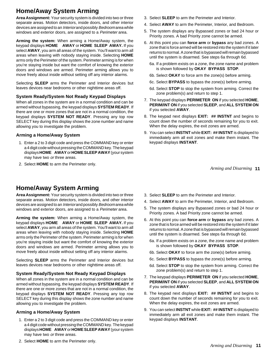# **Home/Away System Arming**

**Area Assignment:** Your security system is divided into two or three separate areas. Motion detectors, inside doors, and other interior devices are assigned to an Interior and possibly Bedroom area while windows and exterior doors, are assigned to a Perimeter area.

**Arming the system:** When arming a Home/Away system, the keypad displays **HOME AWAY** or **HOME SLEEP AWAY.** If you select **AWAY**, you arm all areas of the system. You'll want to arm all areas when leaving with nobody staying inside. Selecting **HOME** arms only the Perimeter of the system. Perimeter arming is for when you're staying inside but want the comfort of knowing the exterior doors and windows are armed. Perimeter arming allows you to move freely about inside without setting off any interior alarms.

Selecting **SLEEP** arms the Perimeter and Interior devices but leaves devices near bedrooms or other nighttime areas off.

# **System Ready/System Not Ready Keypad Displays**

When all zones in the system are in a normal condition and can be armed without bypassing, the keypad displays **SYSTEM READY**. If there are one or more zones that are not in a normal condition, the keypad displays **SYSTEM NOT READY**. Pressing any top row SELECT key during this display shows the zone number and name allowing you to investigate the problem.

# **Arming a Home/Away System**

- 1. Enter a 2 to 3 digit code and press the COMMAND key or enter a 4 digit code without pressing the COMMAND key. The keypad displays **HOME AWAY** or **HOME SLEEP AWAY** (your system may have two or three areas.
- 2. Select **HOME** to arm the Perimeter only.

# **Home/Away System Arming**

**Area Assignment:** Your security system is divided into two or three separate areas. Motion detectors, inside doors, and other interior devices are assigned to an *Interior* and possibly Bedroom area while windows and exterior doors, are assigned to a Perimeter area.

**Arming the system:** When arming a Home/Away system, the keypad displays **HOME AWAY** or **HOME SLEEP AWAY.** If you select **AWAY**, you arm all areas of the system. You'll want to arm all areas when leaving with nobody staying inside. Selecting **HOME** arms only the Perimeter of the system. Perimeter arming is for when you're staying inside but want the comfort of knowing the exterior doors and windows are armed. Perimeter arming allows you to move freely about inside without setting off any interior alarms.

Selecting **SLEEP** arms the Perimeter and Interior devices but leaves devices near bedrooms or other nighttime areas off.

# **System Ready/System Not Ready Keypad Displays**

When all zones in the system are in a normal condition and can be armed without bypassing, the keypad displays **SYSTEM READY**. If there are one or more zones that are not in a normal condition, the keypad displays **SYSTEM NOT READY**. Pressing any top row SELECT key during this display shows the zone number and name allowing you to investigate the problem.

# **Arming a Home/Away System**

1. Enter a 2 to 3 digit code and press the COMMAND key or enter a 4 digit code without pressing the COMMAND key. The keypad displays **HOME AWAY** or **HOME SLEEP AWAY** (your system may have two or three areas.

- 3. Select **SLEEP** to arm the Perimeter and Interior.
- 4. Select **AWAY** to arm the Perimeter, Interior, and Bedroom.
- 5. The system displays any Bypassed zones or bad 24 hour or Priority zones. A bad Priority zone cannot be armed.
- 6. At this point you can **force arm** or **bypass** any bad zones. A zone that is force armed will be restored into the system if it later returns to normal. A zone that is bypassed will remain bypassed until the system is disarmed. See steps 6a through 6d.
	- 6a. If a problem exists on a zone, the zone name and problem is shown followed by **OKAY BYPASS STOP**.
	- 6b. Select **OKAY** to force arm the zone(s) before arming.
	- 6c. Select **BYPASS** to bypass the zone(s) before arming.
	- 6d. Select **STOP** to stop the system from arming. Correct the zone problem(s) and return to step 1.
- 7. The keypad displays **PERIMETER ON** if you selected **HOME**, **PERIM/INT ON** if you selected **SLEEP**, and **ALL SYSTEM ON** if you selected **AWAY**.
- 8. The keypad next displays **EXIT: ## INSTNT** and begins to count down the number of seconds remaining for you to exit. When the delay expires, the exit zones are armed.
- 9. You can select **INSTNT** while **EXIT: ## INSTNT** is displayed to immediately arm all exit zones and make them instant. The keypad displays **INSTANT**.

**11** *Arming and Disarming*

- 3. Select **SLEEP** to arm the Perimeter and Interior.
- 4. Select **AWAY** to arm the Perimeter, Interior, and Bedroom.
- 5. The system displays any Bypassed zones or bad 24 hour or Priority zones. A bad Priority zone cannot be armed.
- 6. At this point you can **force arm** or **bypass** any bad zones. A zone that is force armed will be restored into the system if it later returns to normal. A zone that is bypassed will remain bypassed until the system is disarmed. See steps 6a through 6d.
	- 6a. If a problem exists on a zone, the zone name and problem is shown followed by **OKAY BYPASS STOP**.
	- 6b. Select **OKAY** to force arm the zone(s) before arming.
	- 6c. Select **BYPASS** to bypass the zone(s) before arming.
	- 6d. Select **STOP** to stop the system from arming. Correct the zone problem(s) and return to step 1.
- 7. The keypad displays **PERIMETER ON** if you selected **HOME**, **PERIM/INT ON** if you selected **SLEEP**, and **ALL SYSTEM ON** if you selected **AWAY**.
- 8. The keypad next displays **EXIT: ## INSTNT** and begins to count down the number of seconds remaining for you to exit. When the delay expires, the exit zones are armed.
- 9. You can select **INSTNT** while **EXIT: ## INSTNT** is displayed to immediately arm all exit zones and make them instant. The keypad displays **INSTANT**.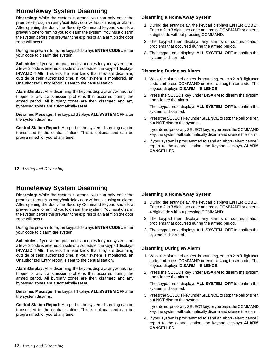# **Home/Away System Disarming**

**Disarming:** While the system is armed, you can only enter the premises through an entry/exit delay door without causing an alarm. After opening the door, the Security Command keypad sounds a prewarn tone to remind you to disarm the system. You must disarm the system before the prewarn tone expires or an alarm on the door zone will occur.

During the prewarn tone, the keypad displays **ENTER CODE:**. Enter your code to disarm the system.

**Schedules**: If you've programmed schedules for your system and a level 2 code is entered outside of a schedule, the keypad displays **INVALID TIME.** This lets the user know that they are disarming outside of their authorized time. If your system is monitored, an Unauthorized Entry report is sent to the central station.

**Alarm Display:** After disarming, the keypad displays any zones that tripped or any transmission problems that occurred during the armed period. All burglary zones are then disarmed and any bypassed zones are automatically reset.

**Disarmed Message:** The keypad displays **ALL SYSTEM OFF** after the system disarms.

**Central Station Report:** A report of the system disarming can be transmitted to the central station. This is optional and can be programmed for you at any time.

## **12** *Arming and Disarming*

# **Home/Away System Disarming**

**Disarming:** While the system is armed, you can only enter the premises through an entry/exit delay door without causing an alarm. After opening the door, the Security Command keypad sounds a prewarn tone to remind you to disarm the system. You must disarm the system before the prewarn tone expires or an alarm on the door zone will occur.

During the prewarn tone, the keypad displays **ENTER CODE:**. Enter your code to disarm the system.

**Schedules**: If you've programmed schedules for your system and a level 2 code is entered outside of a schedule, the keypad displays **INVALID TIME.** This lets the user know that they are disarming outside of their authorized time. If your system is monitored, an Unauthorized Entry report is sent to the central station.

**Alarm Display:** After disarming, the keypad displays any zones that tripped or any transmission problems that occurred during the armed period. All burglary zones are then disarmed and any bypassed zones are automatically reset.

**Disarmed Message:** The keypad displays **ALL SYSTEM OFF** after the system disarms.

**Central Station Report:** A report of the system disarming can be transmitted to the central station. This is optional and can be programmed for you at any time.

## **Disarming a Home/Away System**

- 1. During the entry delay, the keypad displays **ENTER CODE:**. Enter a 2 to 3 digit user code and press COMMAND or enter a 4 digit code without pressing COMMAND.
- 2. The keypad then displays any alarms or communication problems that occurred during the armed period.
- 3. The keypad next displays **ALL SYSTEM OFF** to confirm the system is disarmed.

## **Disarming During an Alarm**

- 1. While the alarm bell or siren is sounding, enter a 2 to 3 digit user code and press COMMAND or enter a 4 digit user code. The keypad displays **DISARM SILENCE**.
- 2. Press the SELECT key under **DISARM** to disarm the system and silence the alarm.

The keypad next displays **ALL SYSTEM OFF** to confirm the system is disarmed.

3. Press the SELECT key under **SILENCE** to stop the bell or siren but NOT disarm the system.

If you do not press any SELECT key, or you press the COMMAND key, the system will automatically disarm and silence the alarm.

4. If your system is programmed to send an Abort (alarm cancel) report to the central station, the keypad displays **ALARM CANCELLED**.

### **Disarming a Home/Away System**

- 1. During the entry delay, the keypad displays **ENTER CODE:**. Enter a 2 to 3 digit user code and press COMMAND or enter a 4 digit code without pressing COMMAND.
- 2. The keypad then displays any alarms or communication problems that occurred during the armed period.
- 3. The keypad next displays **ALL SYSTEM OFF** to confirm the system is disarmed.

## **Disarming During an Alarm**

- 1. While the alarm bell or siren is sounding, enter a 2 to 3 digit user code and press COMMAND or enter a 4 digit user code. The keypad displays **DISARM SILENCE**.
- 2. Press the SELECT key under **DISARM** to disarm the system and silence the alarm.

The keypad next displays **ALL SYSTEM OFF** to confirm the system is disarmed.

3. Press the SELECT key under **SILENCE** to stop the bell or siren but NOT disarm the system.

If you do not press any SELECT key, or you press the COMMAND key, the system will automatically disarm and silence the alarm.

4. If your system is programmed to send an Abort (alarm cancel) report to the central station, the keypad displays **ALARM CANCELLED**.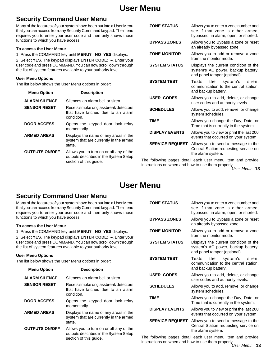# **User Menu**

# **Security Command User Menu**

Many of the features of your system have been put into a User Menu that you can access from any Security Command keypad. The menu requires you to enter your user code and then only shows those functions to which you have access.

## **To access the User Menu:**

1. Press the COMMAND key until **MENU? NO YES** displays. 2. Select **YES**. The keypad displays **ENTER CODE: –**. Enter your user code and press COMMAND. You can now scroll down through the list of system features available to your authority level.

## **User Menu Options**

The list below shows the User Menu options in order:

| <b>Menu Option</b>    | <b>Description</b>                                                                                         |
|-----------------------|------------------------------------------------------------------------------------------------------------|
| <b>ALARM SILENCE</b>  | Silences an alarm bell or siren.                                                                           |
| <b>SENSOR RESET</b>   | Resets smoke or glassbreak detectors<br>that have latched due to an alarm<br>condition.                    |
| <b>DOOR ACCESS</b>    | Opens the keypad door lock relay<br>momentarily.                                                           |
| <b>ARMED AREAS</b>    | Displays the name of any areas in the<br>system that are currently in the armed<br>state.                  |
| <b>OUTPUTS ON/OFF</b> | Allows you to turn on or off any of the<br>outputs described in the System Setup<br>section of this guide. |

| <b>ZONE STATUS</b>     | Allows you to enter a zone number and<br>see if that zone is either armed,<br>bypassed, in alarm, open, or shorted. |
|------------------------|---------------------------------------------------------------------------------------------------------------------|
| <b>BYPASS ZONES</b>    | Allows you to Bypass a zone or reset<br>an already bypassed zone.                                                   |
| <b>ZONE MONITOR</b>    | Allows you to add or remove a zone<br>from the monitor mode.                                                        |
| <b>SYSTEM STATUS</b>   | Displays the current condition of the<br>system's AC power, backup battery,<br>and panel tamper (optional).         |
| <b>SYSTEM TEST</b>     | the<br>system's<br>Tests<br>siren.<br>communication to the central station.<br>and backup battery.                  |
| <b>USER CODES</b>      | Allows you to add, delete, or change<br>user codes and authority levels.                                            |
| <b>SCHEDULES</b>       | Allows you to add, remove, or change<br>system schedules.                                                           |
| <b>TIME</b>            | Allows you change the Day, Date, or<br>Time that is currently in the system.                                        |
| <b>DISPLAY EVENTS</b>  | Allows you to view or print the last 200<br>events that occurred on your system.                                    |
| <b>SERVICE REQUEST</b> | Allows you to send a message to the<br>Central Station requesting service on<br>the alarm system.                   |
|                        | The following pegge detail cash user menu item and provide                                                          |

**13** *User Menu* instructions on when and how to use them properly. The following pages detail each user menu item and provide

# **User Menu**

# **Security Command User Menu**

|                                                                 | Many of the features of your system have been put into a User Menu<br>that you can access from any Security Command keypad. The menu<br>requires you to enter your user code and then only shows those | <b>ZONE STATUS</b>                                                                                                                  | Allows you to enter a zone number and<br>see if that zone is either armed,<br>bypassed, in alarm, open, or shorted. |  |
|-----------------------------------------------------------------|--------------------------------------------------------------------------------------------------------------------------------------------------------------------------------------------------------|-------------------------------------------------------------------------------------------------------------------------------------|---------------------------------------------------------------------------------------------------------------------|--|
| functions to which you have access.<br>To access the User Menu: |                                                                                                                                                                                                        | <b>BYPASS ZONES</b>                                                                                                                 | Allows you to Bypass a zone or reset<br>an already bypassed zone.                                                   |  |
|                                                                 | 1. Press the COMMAND key until MENU? NO YES displays.<br>2. Select YES. The keypad displays ENTER CODE: -. Enter your                                                                                  | <b>ZONE MONITOR</b>                                                                                                                 | Allows you to add or remove a zone<br>from the monitor mode.                                                        |  |
|                                                                 | user code and press COMMAND. You can now scroll down through<br>the list of system features available to your authority level.                                                                         | <b>SYSTEM STATUS</b><br>Displays the current condition of the<br>system's AC power, backup battery,<br>and panel tamper (optional). |                                                                                                                     |  |
| <b>User Menu Options</b>                                        | The list below shows the User Menu options in order:                                                                                                                                                   | <b>SYSTEM TEST</b>                                                                                                                  | Tests<br>the<br>system's<br>siren.<br>communication to the central station.<br>and backup battery.                  |  |
| <b>Menu Option</b><br><b>ALARM SILENCE</b>                      | <b>Description</b><br>Silences an alarm bell or siren.                                                                                                                                                 | <b>USER CODES</b>                                                                                                                   | Allows you to add, delete, or change<br>user codes and authority levels.                                            |  |
| <b>SENSOR RESET</b>                                             | Resets smoke or glassbreak detectors<br>that have latched due to an alarm<br>condition.                                                                                                                | <b>SCHEDULES</b>                                                                                                                    | Allows you to add, remove, or change<br>system schedules.                                                           |  |
| <b>DOOR ACCESS</b>                                              | Opens the keypad door lock relay<br>momentarily.                                                                                                                                                       | <b>TIME</b>                                                                                                                         | Allows you change the Day, Date, or<br>Time that is currently in the system.                                        |  |
| <b>ARMED AREAS</b>                                              | Displays the name of any areas in the                                                                                                                                                                  | <b>DISPLAY EVENTS</b>                                                                                                               | Allows you to view or print the last 200<br>events that occurred on your system.                                    |  |
|                                                                 | system that are currently in the armed<br>state.                                                                                                                                                       | <b>SERVICE REQUEST</b>                                                                                                              | Allows you to send a message to the<br>Central Station requesting service on                                        |  |
| <b>OUTPUTS ON/OFF</b>                                           | Allows you to turn on or off any of the<br>outputs described in the System Setup<br>section of this quide.                                                                                             |                                                                                                                                     | the alarm system.<br>The following pages detail each user menu item and provide                                     |  |

**13** *User Menu* instructions on when and how to use them properly.The following pages detail each user menu item and provide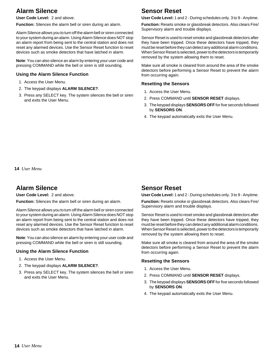# **Alarm Silence**

**User Code Level:** 2 and above.

**Function:** Silences the alarm bell or siren during an alarm.

Alarm Silence allows you to turn off the alarm bell or siren connected to your system during an alarm. Using Alarm Silence does NOT stop an alarm report from being sent to the central station and does not reset any alarmed devices. Use the Sensor Reset function to reset devices such as smoke detectors that have latched in alarm.

**Note**: You can also silence an alarm by entering your user code and pressing COMMAND while the bell or siren is still sounding.

## **Using the Alarm Silence Function**

- 1. Access the User Menu.
- 2. The keypad displays **ALARM SILENCE?**.
- 3. Press any SELECT key. The system silences the bell or siren and exits the User Menu.

# **Sensor Reset**

**User Code Level:** 1 and 2 - During schedules only. 3 to 9 - Anytime.

**Function:** Resets smoke or glassbreak detectors. Also clears Fire/ Supervisory alarm and trouble displays.

Sensor Reset is used to reset smoke and glassbreak detectors after they have been tripped. Once these detectors have tripped, they must be reset before they can detect any additional alarm conditions. When Sensor Reset is selected, power to the detectors is temporarily removed by the system allowing them to reset.

Make sure all smoke is cleared from around the area of the smoke detectors before performing a Sensor Reset to prevent the alarm from occurring again.

## **Resetting the Sensors**

- 1. Access the User Menu.
- 2. Press COMMAND until **SENSOR RESET** displays.
- 3. The keypad displays **SENSORS OFF** for five seconds followed by **SENSORS ON**.
- 4. The keypad automatically exits the User Menu.

**14** *User Menu*

# **Alarm Silence**

## **User Code Level:** 2 and above.

**Function:** Silences the alarm bell or siren during an alarm.

Alarm Silence allows you to turn off the alarm bell or siren connected to your system during an alarm. Using Alarm Silence does NOT stop an alarm report from being sent to the central station and does not reset any alarmed devices. Use the Sensor Reset function to reset devices such as smoke detectors that have latched in alarm.

**Note**: You can also silence an alarm by entering your user code and pressing COMMAND while the bell or siren is still sounding.

## **Using the Alarm Silence Function**

- 1. Access the User Menu.
- 2. The keypad displays **ALARM SILENCE?**.
- 3. Press any SELECT key. The system silences the bell or siren and exits the User Menu.

# **Sensor Reset**

**User Code Level:** 1 and 2 - During schedules only. 3 to 9 - Anytime.

**Function:** Resets smoke or glassbreak detectors. Also clears Fire/ Supervisory alarm and trouble displays.

Sensor Reset is used to reset smoke and glassbreak detectors after they have been tripped. Once these detectors have tripped, they must be reset before they can detect any additional alarm conditions. When Sensor Reset is selected, power to the detectors is temporarily removed by the system allowing them to reset.

Make sure all smoke is cleared from around the area of the smoke detectors before performing a Sensor Reset to prevent the alarm from occurring again.

## **Resetting the Sensors**

- 1. Access the User Menu.
- 2. Press COMMAND until **SENSOR RESET** displays.
- 3. The keypad displays **SENSORS OFF** for five seconds followed by **SENSORS ON**.
- 4. The keypad automatically exits the User Menu.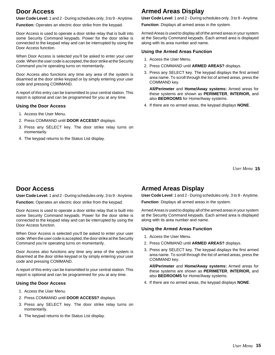# **Door Access**

**User Code Level:** 1 and 2 - During schedules only. 3 to 9 - Anytime.

**Function:** Operates an electric door strike from the keypad.

Door Access is used to operate a door strike relay that is built into some Security Command keypads. Power for the door strike is connected to the keypad relay and can be interrupted by using the Door Access function.

When Door Access is selected you'll be asked to enter your user code. When the user code is accepted, the door strike at the Security Command you're operating turns on momentarily.

Door Access also functions any time any area of the system is disarmed at the door strike keypad or by simply entering your user code and pressing COMMAND.

A report of this entry can be transmitted to your central station. This report is optional and can be programmed for you at any time.

## **Using the Door Access**

- 1. Access the User Menu.
- 2. Press COMMAND until **DOOR ACCESS?** displays.
- 3. Press any SELECT key. The door strike relay turns on momentarily.
- 4. The keypad returns to the Status List display.

# **Armed Areas Display**

**User Code Level**: 1 and 2 - During schedules only. 3 to 9 - Anytime.

**Function**: Displays all armed areas in the system.

Armed Areas is used to display all of the armed areas in your system at the Security Command keypads. Each armed area is displayed along with its area number and name.

## **Using the Armed Areas Function**

- 1. Access the User Menu.
- 2. Press COMMAND until **ARMED AREAS?** displays.
- 3. Press any SELECT key. The keypad displays the first armed area name. To scroll through the list of armed areas, press the COMMAND key.

**All/Perimeter** and **Home/Away systems:** Armed areas for these systems are shown as **PERIMETER**, **INTERIOR,** and also **BEDROOMS** for Home/Away systems.

4. If there are no armed areas, the keypad displays **NONE**.

**15** *User Menu*

# **Door Access**

**User Code Level:** 1 and 2 - During schedules only. 3 to 9 - Anytime.

**Function:** Operates an electric door strike from the keypad.

Door Access is used to operate a door strike relay that is built into some Security Command keypads. Power for the door strike is connected to the keypad relay and can be interrupted by using the Door Access function.

When Door Access is selected you'll be asked to enter your user code. When the user code is accepted, the door strike at the Security Command you're operating turns on momentarily.

Door Access also functions any time any area of the system is disarmed at the door strike keypad or by simply entering your user code and pressing COMMAND.

A report of this entry can be transmitted to your central station. This report is optional and can be programmed for you at any time.

# **Using the Door Access**

- 1. Access the User Menu.
- 2. Press COMMAND until **DOOR ACCESS?** displays.
- 3. Press any SELECT key. The door strike relay turns on momentarily.
- 4. The keypad returns to the Status List display.

# **Armed Areas Display**

**User Code Level**: 1 and 2 - During schedules only. 3 to 9 - Anytime.

**Function**: Displays all armed areas in the system.

Armed Areas is used to display all of the armed areas in your system at the Security Command keypads. Each armed area is displayed along with its area number and name.

## **Using the Armed Areas Function**

- 1. Access the User Menu.
- 2. Press COMMAND until **ARMED AREAS?** displays.
- 3. Press any SELECT key. The keypad displays the first armed area name. To scroll through the list of armed areas, press the COMMAND key.

**All/Perimeter** and **Home/Away systems:** Armed areas for these systems are shown as **PERIMETER**, **INTERIOR,** and also **BEDROOMS** for Home/Away systems.

4. If there are no armed areas, the keypad displays **NONE**.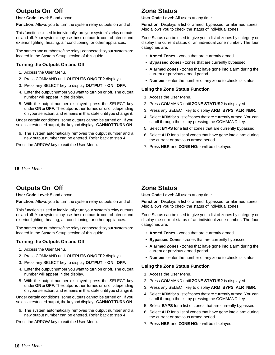# **Outputs On Off**

**User Code Level**: 5 and above.

**Function**: Allows you to turn the system relay outputs on and off.

This function is used to individually turn your system's relay outputs on and off. Your system may use these outputs to control interior and exterior lighting, heating, air conditioning, or other appliances.

The names and numbers of the relays connected to your system are located in the System Setup section of this guide.

## **Turning the Outputs On and Off**

- 1. Access the User Menu.
- 2. Press COMMAND until **OUTPUTS ON/OFF?** displays.
- 3. Press any SELECT key to display **OUTPUT: ON OFF.**
- 4. Enter the output number you want to turn on or off. The output number will appear in the display.
- 5. With the output number displayed, press the SELECT key under **ON** or **OFF**. The output is then turned on or off, depending on your selection, and remains in that state until you change it.

Under certain conditions, some outputs cannot be turned on. If you select a restricted output, the keypad displays **CANNOT TURN ON**.

6. The system automatically removes the output number and a new output number can be entered. Refer back to step 4.

Press the ARROW key to exit the User Menu.

**16** *User Menu*

# **Outputs On Off**

**User Code Level**: 5 and above.

**Function**: Allows you to turn the system relay outputs on and off.

This function is used to individually turn your system's relay outputs on and off. Your system may use these outputs to control interior and exterior lighting, heating, air conditioning, or other appliances.

The names and numbers of the relays connected to your system are located in the System Setup section of this guide.

## **Turning the Outputs On and Off**

- 1. Access the User Menu.
- 2. Press COMMAND until **OUTPUTS ON/OFF?** displays.
- 3. Press any SELECT key to display **OUTPUT: ON OFF.**
- 4. Enter the output number you want to turn on or off. The output number will appear in the display.
- 5. With the output number displayed, press the SELECT key under **ON** or **OFF**. The output is then turned on or off, depending on your selection, and remains in that state until you change it.

Under certain conditions, some outputs cannot be turned on. If you select a restricted output, the keypad displays **CANNOT TURN ON**.

6. The system automatically removes the output number and a new output number can be entered. Refer back to step 4.

Press the ARROW key to exit the User Menu.

# **Zone Status**

**User Code Level**: All users at any time.

**Function**: Displays a list of armed, bypassed, or alarmed zones. Also allows you to check the status of individual zones.

Zone Status can be used to give you a list of zones by category or display the current status of an individual zone number. The four categories are:

- **Armed Zones** zones that are currently armed.
- **Bypassed Zone**s zones that are currently bypassed.
- **Alarmed Zones** zones that have gone into alarm during the current or previous armed period.
- **Number** enter the number of any zone to check its status.

## **Using the Zone Status Function**

- 1. Access the User Menu.
- 2. Press COMMAND until **ZONE STATUS?** is displayed.
- 3. Press any SELECT key to display **ARM BYPS ALR NBR**.
- 4. Select **ARM** for a list of zones that are currently armed. You can scroll through the list by pressing the COMMAND key.
- 5. Select **BYPS** for a list of zones that are currently bypassed.
- 6. Select **ALR** for a list of zones that have gone into alarm during the current or previous armed period.
- 7. Press **NBR** and **ZONE NO: -** will be displayed.

# **Zone Status**

**User Code Level**: All users at any time.

**Function**: Displays a list of armed, bypassed, or alarmed zones. Also allows you to check the status of individual zones.

Zone Status can be used to give you a list of zones by category or display the current status of an individual zone number. The four categories are:

- **Armed Zones** zones that are currently armed.
- **Bypassed Zone**s zones that are currently bypassed.
- **Alarmed Zones** zones that have gone into alarm during the current or previous armed period.
- **Number** enter the number of any zone to check its status.

## **Using the Zone Status Function**

- 1. Access the User Menu.
- 2. Press COMMAND until **ZONE STATUS?** is displayed.
- 3. Press any SELECT key to display **ARM BYPS ALR NBR**.
- 4. Select **ARM** for a list of zones that are currently armed. You can scroll through the list by pressing the COMMAND key.
- 5. Select **BYPS** for a list of zones that are currently bypassed.
- 6. Select **ALR** for a list of zones that have gone into alarm during the current or previous armed period.
- 7. Press **NBR** and **ZONE NO: -** will be displayed.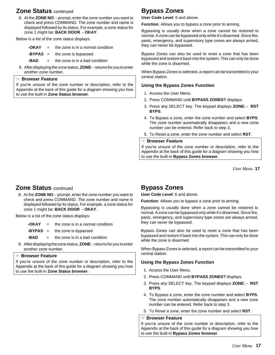# **Zone Status** continued

8. At the **ZONE NO**: - prompt, enter the zone number you want to check and press COMMAND. The zone number and name is displayed followed by its status. For example, a zone status for zone 1 might be: **BACK DOOR - OKAY**.

Below is a list of the zone status displays:

| -OKAY | the zone is in a normal condition |  |
|-------|-----------------------------------|--|
|       |                                   |  |

**-BYPAS** = the zone is bypassed

**-BAD** = the zone is in a bad condition

9. After displaying the zone status, **ZONE**: - returns for you to enter another zone number.

## ☞ **Browser Feature**

If you're unsure of the zone number or description, refer to the Appendix at the back of this guide for a diagram showing you how to use the built-in **Zone Status browser**.

# **Bypass Zones**

**User Code Level**: 6 and above.

**Function**: Allows you to bypass a zone prior to arming.

Bypassing is usually done when a zone cannot be restored to normal. A zone can be bypassed only while it's disarmed. Since fire, panic, emergency, and supervisory type zones are always armed, they can never be bypassed.

Bypass Zones can also be used to reset a zone that has been bypassed and restore it back into the system. This can only be done while the zone is disarmed.

When Bypass Zones is selected, a report can be transmitted to your central station.

## **Using the Bypass Zones Function**

- 1. Access the User Menu.
- 2. Press COMMAND until **BYPASS ZONES?** displays.
- 3. Press any SELECT key. The keypad displays **ZONE: RST BYPS**.
- 4. To Bypass a zone, enter the zone number and select **BYPS**. The zone number automatically disappears and a new zone number can be entered. Refer back to step 3.
- 5. To Reset a zone, enter the zone number and select **RST**.

## ☞ **Browser Feature**

If you're unsure of the zone number or description, refer to the Appendix at the back of this guide for a diagram showing you how to use the built-in **Bypass Zones browser**.

**17** *User Menu*

# **Zone Status** continued

8. At the **ZONE NO**: - prompt, enter the zone number you want to check and press COMMAND. The zone number and name is displayed followed by its status. For example, a zone status for zone 1 might be: **BACK DOOR - OKAY**.

Below is a list of the zone status displays:

- **-OKAY** = the zone is in a normal condition
- **-BYPAS** = the zone is bypassed
- **-BAD** = the zone is in a bad condition
- 9. After displaying the zone status, **ZONE**: returns for you to enter another zone number.

## ☞ **Browser Feature**

If you're unsure of the zone number or description, refer to the Appendix at the back of this guide for a diagram showing you how to use the built-in **Zone Status browser**.

# **Bypass Zones**

**User Code Level**: 6 and above.

**Function**: Allows you to bypass a zone prior to arming.

Bypassing is usually done when a zone cannot be restored to normal. A zone can be bypassed only while it's disarmed. Since fire, panic, emergency, and supervisory type zones are always armed, they can never be bypassed.

Bypass Zones can also be used to reset a zone that has been bypassed and restore it back into the system. This can only be done while the zone is disarmed.

When Bypass Zones is selected, a report can be transmitted to your central station.

## **Using the Bypass Zones Function**

- 1. Access the User Menu.
- 2. Press COMMAND until **BYPASS ZONES?** displays.
- 3. Press any SELECT key. The keypad displays **ZONE: RST BYPS**.
- 4. To Bypass a zone, enter the zone number and select **BYPS**. The zone number automatically disappears and a new zone number can be entered. Refer back to step 3.
- 5. To Reset a zone, enter the zone number and select **RST**.

### ☞ **Browser Feature**

If you're unsure of the zone number or description, refer to the Appendix at the back of this guide for a diagram showing you how to use the built-in **Bypass Zones browser**.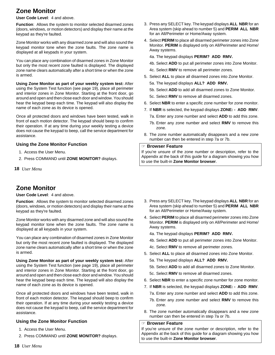# **Zone Monitor**

**User Code Level**: 4 and above.

**Function**: Allows the system to monitor selected disarmed zones (doors, windows, or motion detectors) and display their name at the keypad as they're faulted.

Zone Monitor works with any disarmed zone and will also sound the keypad monitor tone when the zone faults. The zone name is displayed at all keypads in your system.

You can place any combination of disarmed zones in Zone Monitor but only the most recent zone faulted is displayed. The displayed zone name clears automatically after a short time or when the zone is armed.

**Using Zone Monitor as part of your weekly system test:** After using the System Test function (see page 19), place all perimeter and interior zones in Zone Monitor. Starting at the front door, go around and open and then close each door and window. You should hear the keypad beep each time. The keypad will also display the name of each zone as its device is opened.

Once all protected doors and windows have been tested, walk in front of each motion detector. The keypad should beep to confirm their operation. If at any time during your weekly testing a device does not cause the keypad to beep, call the service department for assistance.

## **Using the Zone Monitor Function**

- 1. Access the User Menu.
- 2. Press COMMAND until **ZONE MONITOR?** displays.
- **18** *User Menu*

# **Zone Monitor**

## **User Code Level**: 4 and above.

**Function**: Allows the system to monitor selected disarmed zones (doors, windows, or motion detectors) and display their name at the keypad as they're faulted.

Zone Monitor works with any disarmed zone and will also sound the keypad monitor tone when the zone faults. The zone name is displayed at all keypads in your system.

You can place any combination of disarmed zones in Zone Monitor but only the most recent zone faulted is displayed. The displayed zone name clears automatically after a short time or when the zone is armed.

**Using Zone Monitor as part of your weekly system test:** After using the System Test function (see page 19), place all perimeter and interior zones in Zone Monitor. Starting at the front door, go around and open and then close each door and window. You should hear the keypad beep each time. The keypad will also display the name of each zone as its device is opened.

Once all protected doors and windows have been tested, walk in front of each motion detector. The keypad should beep to confirm their operation. If at any time during your weekly testing a device does not cause the keypad to beep, call the service department for assistance.

# **Using the Zone Monitor Function**

- 1. Access the User Menu.
- 2. Press COMMAND until **ZONE MONITOR?** displays.
- 3. Press any SELECT key. The keypad displays **ALL NBR** for an Area system (skip ahead to number 5) and **PERIM ALL NBR** for an All/Perimeter or Home/Away system.
- 4. Select **PERIM** to place all disarmed perimeter zones into Zone Monitor. **PERIM** is displayed only on All/Perimeter and Home/ Away systems.
	- 4a. The keypad displays **PERIM? ADD RMV.**
	- 4b. Select **ADD** to put all perimeter zones into Zone Monitor.
	- 4c. Select **RMV** to remove all perimeter zones.
- 5. Select **ALL** to place all disarmed zones into Zone Monitor.
	- 5a. The keypad displays **ALL? ADD RMV.**
	- 5b. Select **ADD** to add all disarmed zones to Zone Monitor.
	- 5c. Select **RMV** to remove all disarmed zones.
- 6. Select **NBR** to enter a specific zone number for zone monitor.
- 7. If **NBR** is selected, the keypad displays **ZONE: ADD RMV**. 7a. Enter any zone number and select **ADD** to add this zone.
	- 7b. Enter any zone number and select **RMV** to remove this zone.
- 8. The zone number automatically disappears and a new zone number can then be entered in step 7a or 7b.

### ☞ **Browser Feature**

If you're unsure of the zone number or description, refer to the Appendix at the back of this guide for a diagram showing you how to use the built-in **Zone Monitor browser**.

- 3. Press any SELECT key. The keypad displays **ALL NBR** for an Area system (skip ahead to number 5) and **PERIM ALL NBR** for an All/Perimeter or Home/Away system.
- 4. Select **PERIM** to place all disarmed perimeter zones into Zone Monitor. **PERIM** is displayed only on All/Perimeter and Home/ Away systems.
	- 4a. The keypad displays **PERIM? ADD RMV.**
	- 4b. Select **ADD** to put all perimeter zones into Zone Monitor.
	- 4c. Select **RMV** to remove all perimeter zones.
- 5. Select **ALL** to place all disarmed zones into Zone Monitor.
	- 5a. The keypad displays **ALL? ADD RMV.**
	- 5b. Select **ADD** to add all disarmed zones to Zone Monitor.
	- 5c. Select **RMV** to remove all disarmed zones.
- 6. Select **NBR** to enter a specific zone number for zone monitor.
- 7. If **NBR** is selected, the keypad displays **ZONE: ADD RMV**.
	- 7a. Enter any zone number and select **ADD** to add this zone.
	- 7b. Enter any zone number and select **RMV** to remove this zone.
- 8. The zone number automatically disappears and a new zone number can then be entered in step 7a or 7b.

## ☞ **Browser Feature**

If you're unsure of the zone number or description, refer to the Appendix at the back of this guide for a diagram showing you how to use the built-in **Zone Monitor browser**.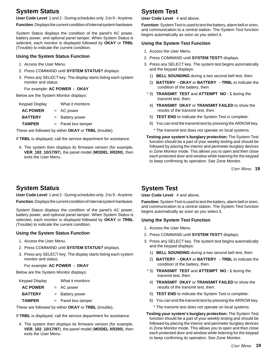# **System Status**

**User Code Level**: 1 and 2 - During schedules only. 3 to 9 - Anytime.

**Function**: Displays the current condition of internal system hardware.

System Status displays the condition of the panel's AC power, battery power, and optional panel tamper. When System Status is selected, each monitor is displayed followed by **OKAY** or **TRBL** (Trouble) to indicate the current condition.

## **Using the System Status Function**

- 1. Access the User Menu.
- 2. Press COMMAND until **SYSTEM STATUS?** displays.
- 3. Press any SELECT key. The display starts listing each system monitor and status.

## For example: **AC POWER - OKAY**

Below are the System Monitor displays:

| Keypad Display  | What it monitors     |
|-----------------|----------------------|
| <b>AC POWER</b> | $= AC power$         |
| <b>BATTERY</b>  | $=$ Battery power    |
| <b>TAMPER</b>   | $=$ Panel box tamper |

These are followed by either **OKAY** or **TRBL** (trouble).

- If **TRBL** is displayed, call the service department for assistance.
	- 4. The system then displays its firmware version (for example, **VER\_102\_10/17/97**), the panel model (**MODEL XR200**), then exits the User Menu.

# **System Test**

#### **User Code Level**: 4 and above.

**Function**: System Test is used to test the battery, alarm bell or siren, and communication to a central station. The System Test function begins automatically as soon as you select it.

## **Using the System Test Function**

- 1. Access the User Menu.
- 2. Press COMMAND until **SYSTEM TEST?** displays.
- 3. Press any SELECT key. The system test begins automatically and the keypad displays:
	- 1) **BELL SOUNDING** during a two second bell test, then:
	- 2) **BATTERY OKAY** or **BATTERY TRBL** to indicate the condition of the battery, then:
- \* 3) **TRANSMIT TEST** and **ATTEMPT NO : 1** during the transmit test, then:
- 4) **TRANSMIT OKAY** or **TRANSMIT FAILED** to show the results of the transmit test, then:
- 5) **TEST END** to indicate the System Test is complete.
- 6) You can end the transmit test by pressing the ARROW key.
	- \* The transmit test does not operate on local systems.
- **Testing your system's burglary protection:** The System Test function should be a part of your weekly testing and should be followed by placing the interior and perimeter burglary devices in Zone Monitor mode. This allows you to open and then close each protected door and window while listening for the keypad to beep confirming its operation. See Zone Monitor.

**19** *User Menu*

# **System Status**

**User Code Level**: 1 and 2 - During schedules only. 3 to 9 - Anytime.

**Function**: Displays the current condition of internal system hardware.

System Status displays the condition of the panel's AC power, battery power, and optional panel tamper. When System Status is selected, each monitor is displayed followed by **OKAY** or **TRBL** (Trouble) to indicate the current condition.

# **Using the System Status Function**

- 1. Access the User Menu.
- 2. Press COMMAND until **SYSTEM STATUS?** displays.
- 3. Press any SELECT key. The display starts listing each system monitor and status.

For example: **AC POWER - OKAY**

Below are the System Monitor displays:

| <b>Keypad Display</b> | What it monitors     |
|-----------------------|----------------------|
| <b>AC POWER</b>       | $= AC power$         |
| <b>BATTERY</b>        | = Battery power      |
| <b>TAMPER</b>         | $=$ Panel box tamper |

These are followed by either **OKAY** or **TRBL** (trouble).

If **TRBL** is displayed, call the service department for assistance.

4. The system then displays its firmware version (for example, **VER\_102\_10/17/97**), the panel model (**MODEL XR200**), then exits the User Menu.

# **System Test**

**User Code Level**: 4 and above.

**Function**: System Test is used to test the battery, alarm bell or siren, and communication to a central station. The System Test function begins automatically as soon as you select it.

## **Using the System Test Function**

- 1. Access the User Menu.
- 2. Press COMMAND until **SYSTEM TEST?** displays.
- 3. Press any SELECT key. The system test begins automatically and the keypad displays:
	- 1) **BELL SOUNDING** during a two second bell test, then:
	- 2) **BATTERY OKAY** or **BATTERY TRBL** to indicate the condition of the battery, then:
- \* 3) **TRANSMIT TEST** and **ATTEMPT NO : 1** during the transmit test, then:
- 4) **TRANSMIT OKAY** or **TRANSMIT FAILED** to show the results of the transmit test, then:
- 5) **TEST END** to indicate the System Test is complete.
- 6) You can end the transmit test by pressing the ARROW key.
	- \* The transmit test does not operate on local systems.
- **Testing your system's burglary protection:** The System Test function should be a part of your weekly testing and should be followed by placing the interior and perimeter burglary devices in Zone Monitor mode. This allows you to open and then close each protected door and window while listening for the keypad to beep confirming its operation. See Zone Monitor.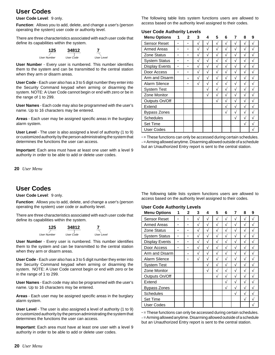# **User Codes**

### **User Code Level**: 9 only.

**Function**: Allows you to add, delete, and change a user's (person operating the system) user code or authority level.

There are three characteristics associated with each user code that define its capabilities within the system.



**User Number** - Every user is numbered. This number identifies them to the system and can be transmitted to the central station when they arm or disarm areas.

**User Code** - Each user also has a 3 to 5 digit number they enter into the Security Command keypad when arming or disarming the system. NOTE: A User Code cannot begin or end with zero or be in the range of 1 to 299.

**User Names** - Each code may also be programmed with the user's name. Up to 16 characters may be entered.

**Areas** - Each user may be assigned specific areas in the burglary alarm system.

**User Level** - The user is also assigned a level of authority (1 to 9) or customized authority by the person administrating the system that determines the functions the user can access.

**Important**: Each area must have at least one user with a level 9 authority in order to be able to add or delete user codes.

**20** *User Menu*

# **User Codes**

**User Code Level**: 9 only.

**Function**: Allows you to add, delete, and change a user's (person operating the system) user code or authority level.

There are three characteristics associated with each user code that define its capabilities within the system.



**User Number** - Every user is numbered. This number identifies them to the system and can be transmitted to the central station when they arm or disarm areas.

**User Code** - Each user also has a 3 to 5 digit number they enter into the Security Command keypad when arming or disarming the system. NOTE: A User Code cannot begin or end with zero or be in the range of 1 to 299.

**User Names** - Each code may also be programmed with the user's name. Up to 16 characters msy be entered.

**Areas** - Each user may be assigned specific areas in the burglary alarm system.

**User Level** - The user is also assigned a level of authority (1 to 9) or customized authority by the person administrating the system that determines the functions the user can access.

**Important**: Each area must have at least one user with a level 9 authority in order to be able to add or delete user codes.

The following table lists system functions users are allowed to access based on the authority level assigned to their codes.

## **User Code Authority Levels**

| <b>Menu Options</b>   | 1   | 2         | 3 | 4          | 5          | 6 | 7 | 8 | 9             |
|-----------------------|-----|-----------|---|------------|------------|---|---|---|---------------|
| <b>Sensor Reset</b>   | ×.  | ×.        | V | V          | V          | V | N | V | N             |
| <b>Armed Areas</b>    | sk. | sk.       | V | $\sqrt{ }$ | $\sqrt{ }$ | V | V | V | $\mathcal{L}$ |
| Zone Status           | ×.  | ×.        | V | N          | N          | N | N | V |               |
| <b>System Status</b>  | ×.  | ×.        | V | V          | N          | N | N | V | $\mathcal{L}$ |
| <b>Display Events</b> | ×.  | sk.       | V | $\sqrt{ }$ | $\sqrt{ }$ | V | V | V | $\mathcal{L}$ |
| Door Access           | ×.  | ×.        | V | V          | V          | V | V | V |               |
| Arm and Disarm        |     | $\ddot{}$ | V | N          | N          | N | N | V | $\Delta$      |
| Alarm Silence         |     | ź.        | V | $\sqrt{ }$ | N          | V | V | V | ٦Ι            |
| <b>System Test</b>    |     |           |   | V          | N          | V | N | V | $\mathcal{L}$ |
| Zone Monitor          |     |           |   | V          | N          | N | V | V | $\mathcal{L}$ |
| Outputs On/Off        |     |           |   |            | N          | N | N | V |               |
| Extend                |     |           |   |            |            | V | V | V |               |
| <b>Bypass Zones</b>   |     |           |   |            |            | V | V | V |               |
| <b>Schedules</b>      |     |           |   |            |            |   | V | V |               |
| <b>Set Time</b>       |     |           |   |            |            |   |   | V | ٦             |
| <b>User Codes</b>     |     |           |   |            |            |   |   |   |               |

\* = These functions can only be accessed during certain schedules.  $+$  = Arming allowed anytime. Disarming allowed outside of a schedule but an Unauthorized Entry report is sent to the central station.

The following table lists system functions users are allowed to access based on the authority level assigned to their codes.

# **User Code Authority Levels**

| <b>Menu Options</b>   | 1             | 2   | 3          | 4          | 5 | 6 | 7             | 8 | 9             |
|-----------------------|---------------|-----|------------|------------|---|---|---------------|---|---------------|
| <b>Sensor Reset</b>   | ×.            | 宋   | V          | V          | V | V | N             | V | $\mathcal{L}$ |
| <b>Armed Areas</b>    | $\mathbf{r}$  | ×.  | N          | N          | N | V | V             | V | N             |
| Zone Status           | $\frac{1}{2}$ | ×.  | N          | $\sqrt{ }$ | N | N | $\mathcal{L}$ | V | $\mathcal{L}$ |
| <b>System Status</b>  | sk.           | 宋   | V          | N          | N | V | N             | V | À             |
| <b>Display Events</b> | *             | ×.  | V          | V          | V | N | N             | N | N             |
| Door Access           | *             | 宋   | V          | V          | V | V | N             | N | N             |
| Arm and Disarm        |               | $+$ | N          | N          | N | N | N             | V | $\mathcal{L}$ |
| Alarm Silence         |               | 字   | $\sqrt{ }$ | V          | N | V | V             | V | N             |
| <b>System Test</b>    |               |     |            | V          | N | V | V             | V | $\mathcal{L}$ |
| Zone Monitor          |               |     |            | V          | V | N | N             | V | N             |
| Outputs On/Off        |               |     |            |            | V | N | $\Delta$      | V | À             |
| Extend                |               |     |            |            |   | V | N             | V | ٦             |
| <b>Bypass Zones</b>   |               |     |            |            |   | V | N             | V | $\mathcal{L}$ |
| <b>Schedules</b>      |               |     |            |            |   |   | V             | V | N             |
| <b>Set Time</b>       |               |     |            |            |   |   |               | V | N             |
| User Codes            |               |     |            |            |   |   |               |   | $\lambda$     |

\* = These functions can only be accessed during certain schedules.  $+$  = Arming allowed anytime. Disarming allowed outside of a schedule but an Unauthorized Entry report is sent to the central station.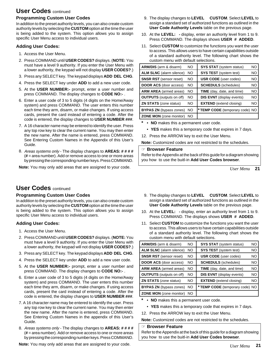# **User Codes** continued

## **Programming Custom User Codes**

In addition to the preset authority levels, you can also create custom authority levels by selecting the **CUSTOM** option at the time the user is being added to the system. This option allows you to assign specific User Menu access to individual users.

## **Adding User Codes:**

- 1. Access the User Menu.
- 2. Press COMMAND until **USER CODES?** displays. (**NOTE:** You must have a level 9 authority. If you enter the User Menu with a lower authority, the keypad will not display **USER CODES?**.)
- 3. Press any SELECT key. The keypad displays **ADD DEL CHG**.
- 4. Press the SELECT key under **ADD** to add a new user code.
- 5. At the **USER NUMBER:-** prompt, enter a user number and press COMMAND. The display changes to **CODE NO:-** .
- 6. Enter a user code of 3 to 5 digits (4 digits on the Home/Away system) and press COMMAND. The user enters this number each time they arm, disarm, or make changes. If using access cards, present the card instead of entering a code. After the code is entered, the display changes to **USER NUMBER ###**.
- 7. A 16 character name may be entered to identify the user. Press any top row key to clear the current name. You may then enter the new name. After the name is entered, press COMMAND. See Entering Custom Names in the Appendix of this User's Guide.
- 8. Areas systems only The display changes to **AREAS: # # # #** (**#** = area number). Add or remove access to one or more areas by pressing the corresponding number keys. Press COMMAND.

**Note:** You may only add areas that are assigned to your code.  $User Menu$ 

# **User Codes** continued

## **Programming Custom User Codes**

In addition to the preset authority levels, you can also create custom authority levels by selecting the **CUSTOM** option at the time the user is being added to the system. This option allows you to assign specific User Menu access to individual users.

# **Adding User Codes:**

- 1. Access the User Menu.
- 2. Press COMMAND until **USER CODES?** displays. (**NOTE:** You must have a level 9 authority. If you enter the User Menu with a lower authority, the keypad will not display **USER CODES?**.)
- 3. Press any SELECT key. The keypad displays **ADD DEL CHG**.
- 4. Press the SELECT key under **ADD** to add a new user code.
- 5. At the **USER NUMBER:-** prompt, enter a user number and press COMMAND. The display changes to **CODE NO:-** .
- 6. Enter a user code of 3 to 5 digits (4 digits on the Home/Away system) and press COMMAND. The user enters this number each time they arm, disarm, or make changes. If using access cards, present the card instead of entering a code. After the code is entered, the display changes to **USER NUMBER ###**.
- 7. A 16 character name may be entered to identify the user. Press any top row key to clear the current name. You may then enter the new name. After the name is entered, press COMMAND. See Entering Custom Names in the appendix of this User's Guide.
- 8. Areas systems only The display changes to **AREAS: # # # #** (**#** = area number). Add or remove access to one or more areas by pressing the corresponding number keys. Press COMMAND.

**Note:** You may only add areas that are assigned to your code. *User Menu*

- 9. The display changes to **LEVEL CUSTOM**. Select **LEVEL** to assign a standard set of authorized functions as outlined in the **User Code Authority Levels** table on the previous page.
- 10. At the **LEVEL:** display, enter an authority level from 1 to 9. Press COMMAND. The displays shows **USER # ADDED**.
- 11. Select **CUSTOM** to customize the functions you want the user to access. This allows users to have certain capabilities outside of a standard authority level. The following chart shows the custom menu with default selections.

| <b>ARM/DIS</b> (arm & disarm)   | <b>NO</b> | <b>SYS STAT</b> (system status)   | NO  |
|---------------------------------|-----------|-----------------------------------|-----|
| <b>ALM SLNC</b> (alarm silence) | NO.       | <b>SYS TEST</b> (system test)     | NO  |
| <b>SNSR RST</b> (sensor reset)  | NO.       | <b>USR CODE</b> (user codes)      | NO. |
| <b>DOOR ACS (door access)</b>   | NO        | <b>SCHEDULS</b> (schedules)       | NO. |
| <b>ARM AREA</b> (armed areas)   | NO        | <b>TIME</b> (day, date, and time) | NO. |
| <b>OUTPUTS</b> (outputs on off) | NO        | <b>DIS EVNT</b> (display events)  | NO  |
| <b>ZN STATS</b> (zone status)   | NΟ        | <b>EXTEND</b> (extend closing)    | NO  |
| <b>BYPAS ZN</b> (bypass zones)  | NO        | * TEMP CODE (temporary code) NO   |     |
| <b>ZONE MON</b> (zone monitor)  | NO.       |                                   |     |

- **\* NO** makes this a permanent user code.
	- **YES** makes this a temporary code that expires in 7 days.
- 12. Press the ARROW key to exit the User Menu.

**Note:** Customized codes are not restricted to the schedules.

### ☞ **Browser Feature**

Refer to the Appendix at the back of this guide for a diagram showing you how to use the buitl-in **Add User Codes browser**.

**21**

- 9. The display changes to **LEVEL CUSTOM**. Select **LEVEL** to assign a standard set of authorized functions as outlined in the **User Code Authority Levels** table on the previous page.
- 10. At the **LEVEL:** display, enter an authority level from 1 to 9. Press COMMAND. The displays shows **USER # ADDED**.
- 11. Select **CUSTOM** to customize the functions you want the user to access. This allows users to have certain capabilities outside of a standard authority level. The following chart shows the custom menu with default selections.

| ARM/DIS (arm & disarm)          | NO.       | <b>SYS STAT</b> (system status)   | NO. |
|---------------------------------|-----------|-----------------------------------|-----|
| <b>ALM SLNC</b> (alarm silence) | NO.       | <b>SYS TEST</b> (system test)     | NO. |
| <b>SNSR RST</b> (sensor reset)  | <b>NO</b> | <b>USR CODE</b> (user codes)      | NO. |
| <b>DOOR ACS (door access)</b>   | <b>NO</b> | <b>SCHEDULS</b> (schedules)       | NO. |
| <b>ARM AREA</b> (armed areas)   | <b>NO</b> | <b>TIME</b> (day, date, and time) | NO. |
| <b>OUTPUTS</b> (outputs on off) | <b>NO</b> | <b>DIS EVNT</b> (display events)  | NO. |
| <b>ZN STATS</b> (zone status)   | <b>NO</b> | <b>EXTEND</b> (extend closing)    | NO. |
| <b>BYPAS ZN</b> (bypass zones)  | <b>NO</b> | * TEMP CODE (temporary code) NO   |     |
| <b>ZONE MON</b> (zone monitor)  | NO.       |                                   |     |

- **\* NO** makes this a permanent user code.
	- **YES** makes this a temporary code that expires in 7 days.
- 12. Press the ARROW key to exit the User Menu.

**Note:** Customized codes are not restricted to the schedules.

### ☞ **Browser Feature**

Refer to the Appendix at the back of this guide for a diagram showing you how to use the buitl-in **Add User Codes browser**.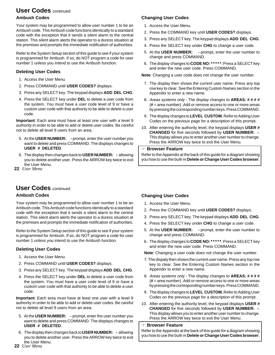# **User Codes** continued

# **Ambush Codes**

Your system may be programmed to allow user number 1 to be an Ambush code. This Ambush code functions identically to a standard code with the exception that it sends a silent alarm to the central station. This silent alarm alerts the operator to a duress situation at the premises and prompts the immediate notification of authorities.

Refer to the System Setup section of this guide to see if your system is programmed for Ambush. If so, do NOT program a code for user number 1 unless you intend to use the Ambush function.

# **Deleting User Codes**

- 1. Access the User Menu.
- 2. Press COMMAND until **USER CODES?** displays.
- 3. Press any SELECT key. The keypad displays **ADD DEL CHG**.
- 4. Press the SELECT key under **DEL** to delete a user code from the system. You must have a user code level of 9 or have a custom user code with that authority to be able to delete a user code.

**Important**: Each area must have at least one user with a level 9 authority in order to be able to add or delete user codes. Be careful not to delete all level 9 users from an area.

- 5. At the **USER NUMBER: -** prompt, enter the user number you want to delete and press COMMAND. The displays changes to **USER # DELETED**.
- 6. The display then changes back to **USER NUMBER: -** allowing you to delete another user. Press the ARROW key twice to exit the User Menu.
- **22** *User Menu*

# **User Codes** continued

# **Ambush Codes**

Your system may be programmed to allow user number 1 to be an Ambush code. This Ambush code functions identically to a standard code with the exception that it sends a silent alarm to the central station. This silent alarm alerts the operator to a duress situation at the premises and prompts the immediate notification of authorities.

Refer to the System Setup section of this guide to see if your system is programmed for Ambush. If so, do NOT program a code for user number 1 unless you intend to use the Ambush function.

# **Deleting User Codes**

- 1. Access the User Menu.
- 2. Press COMMAND until **USER CODES?** displays.
- 3. Press any SELECT key. The keypad displays **ADD DEL CHG**.
- 4. Press the SELECT key under **DEL** to delete a user code from the system. You must have a user code level of 9 or have a custom user code with that authority to be able to delete a user code.

**Important**: Each area must have at least one user with a level 9 authority in order to be able to add or delete user codes. Be careful not to delete all level 9 users from an area.

- 5. At the **USER NUMBER: -** prompt, enter the user number you want to delete and press COMMAND. The displays changes to **USER # DELETED**.
- 6. The display then changes back to **USER NUMBER: -** allowing you to delete another user. Press the ARROW key twice to exit the User Menu.

# **Changing User Codes**

- 1. Access the User Menu.
- 2. Press the COMMAND key until **USER CODES?** displays.
- 3. Press any SELECT key. The keypad displays **ADD DEL CHG**.
- 4. Press the SELECT key under **CHG** to change a user code.
- 5. At the **USER NUMBER: -** prompt, enter the user number to change and press COMMAND.
- 6. The display changes to **CODE NO: \* \* \* \* \***. Press a SELECT key and enter the new user code. Press COMMAND.

**Note**: Changing a user code does not change the user number.

- 7. The display then shows the current user name. Press any top row key to clear. See the Entering Custom Names section in the Appendix to enter a new name.
- 8. Areas systems only The display changes to **AREAS: # # # #** (**#** = area number). Add or remove access to one or more areas by pressing the corresponding number keys. Press COMMAND.
- 9. The display changes to **LEVEL CUSTOM.** Refer to Adding User Codes on the previous page for a description of this prompt.
- 10. After entering the authority level, the keypad displays **USER # CHANGED** for five seconds followed by **USER NUMBER: -**. This display allows you to enter another user number to change. Press the ARROW key twice to exit the User Menu.

### ☞ **Browser Feature**

Refer to the Appendix at the back of this guide for a diagram showing you how to use the built-in **Delete or Change User Codes browser**.

# **Changing User Codes**

- 1. Access the User Menu.
- 2. Press the COMMAND key until **USER CODES?** displays.
- 3. Press any SELECT key. The keypad displays **ADD DEL CHG**.
- 4. Press the SELECT key under **CHG** to change a user code.
- 5. At the **USER NUMBER: -** prompt, enter the user number to change and press COMMAND.
- 6. The display changes to **CODE NO: \* \* \* \* \***. Press a SELECT key and enter the new user code. Press COMMAND.

**Note**: Changing a user code does not change the user number.

- 7. The dispaly then shows the current user name. Press any top row key to clear. See the Entering Custom Names section in the Appendix to enter a new name.
- 8. Areas systems only The display changes to **AREAS: # # # #** (**#** = area number). Add or remove access to one or more areas by pressing the corresponding number keys. Press COMMAND.
- 9. The display changes to **LEVEL CUSTOM.** Refer to Adding User Codes on the previous page for a description of this prompt.
- 10. After entering the authority level, the keypad displays **USER # CHANGED** for five seconds followed by **USER NUMBER: -**. This display allows you to enter another user number to change. Press the ARROW key twice to exit the User Menu.

## ☞ **Browser Feature**

Refer to the Appendix at the back of this guide for a diagram showing you how to use the built-in **Delete or Change User Codes browser**.

**22** *User Menu*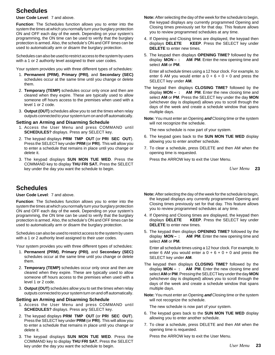# **Schedules**

**User Code Level**: 7 and above.

**Function**: The Schedules function allows you to enter into the system the times at which you normally turn your burglary protection ON and OFF each day of the week. Depending on your system's programming, the ON time can be used to verify that the burglary protection is armed. Also, the schedule's ON and OFF times can be used to automatically arm or disarm the burglary protection.

Schedules can also be used to restrict access to the system by users with a 1 or 2 authority level assigned to their user codes.

Your system provides you with three different types of schedules:

- 1. **Permanent (PRM)**, **Primary (PRI)**, and **Secondary (SEC)** schedules occur at the same time until you change or delete them.
- 2. **Temporary (TEMP)** schedules occur only once and then are cleared when they expire. These are typically used to allow someone off hours access to the premises when used with a level 1 or 2 code.
- 3. **Output (OUT)** schedules allow you to set the times when relay outputs connected to your system turn on and off automatically.

## **Setting an Arming and Disarming Schedule**

- 1. Access the User Menu and press COMMAND until **SCHEDULES?** displays. Press any SELECT key.
- 2. The keypad displays **PRM TMP OUT** (or **PRI SEC OUT**). Press the SELECT key under **PRM** (or **PRI**). This will allow you to enter a schedule that remains in place until you change or delete it.
- 3. The keypad displays **SUN MON TUE WED**. Press the COMMAND key to display **THU FRI SAT.** Press the SELECT key under the day you want the schedule to begin.

# **Schedules**

## **User Code Level**: 7 and above.

**Function**: The Schedules function allows you to enter into the system the times at which you normally turn your burglary protection ON and OFF each day of the week. Depending on your system's programming, the ON time can be used to verify that the burglary protection is armed. Also, the schedule's ON and OFF times can be used to automatically arm or disarm the burglary protection.

Schedules can also be used to restrict access to the system by users with a 1 or 2 authority level assigned to their user codes.

Your system provides you with three different types of schedules:

- 1. **Permanent (PRM)**, **Primary (PRI)**, and **Secondary (SEC)** schedules occur at the same time until you change or delete them.
- 2. **Temporary (TEMP)** schedules occur only once and then are cleared when they expire. These are typically used to allow someone off hours access to the premises when used with a level 1 or 2 code.
- 3. **Output (OUT)** schedules allow you to set the times when relay outputs connected to your system turn on and off automatically.

## **Setting an Arming and Disarming Schedule**

- 1. Access the User Menu and press COMMAND until **SCHEDULES?** displays. Press any SELECT key.
- 2. The keypad displays **PRM TMP OUT** (or **PRI SEC OUT**). Press the SELECT key under **PRM** (or **PRI**). This will allow you to enter a schedule that remains in place until you change or delete it.
- 3. The keypad displays **SUN MON TUE WED**. Press the COMMAND key to display **THU FRI SAT.** Press the SELECT key under the day you want the schedule to begin.
- **Note:** After selecting the day of the week for the schedule to begin, the keypad displays any currently programmed Opening and Closing times previously set for that day. This feature allows you to review programmed schedules at any time.
- 4. If Opening and Closing times are displayed, the keypad then displays **DELETE KEEP**. Press the SELECT key under **DELETE** to enter new times.
- 5. The keypad then displays **OPENING TIME?** followed by the display **MON – : AM PM**. Enter the new opening time and select **AM** or **PM**.

Enter all schedule times using a 12 hour clock. For example, to enter 6 AM you would enter  $a$   $0 + 6 + 0 + 0$  and press the SELECT key under **AM**.

- The keypad then displays **CLOSING TIME?** followed by the display **MON – : AM PM**. Enter the new closing time and select **AM** or **PM**. Press the SELECT key under the day **MON** (whichever day is displayed) allows you to scroll through the days of the week and create a schedule window that spans multiple days.
- **Note:** You must enter an Opening **and** Closing time or the system will not recognize the schedule.

The new schedule is now part of your system.

- 6. The keypad goes back to the **SUN MON TUE WED** display allowing you to enter another schedule.
- 7. To clear a schedule, press DELETE and then AM when the opening time is requested.

Press the ARROW key to exit the User Menu.

**23** *User Menu*

- **Note:** After selecting the day of the week for the schedule to begin, the keypad displays any currently programmed Opening and Closing times previously set for that day. This feature allows you to review programmed schedules at any time.
- 4. If Opening and Closing times are displayed, the keypad then displays **DELETE KEEP**. Press the SELECT key under **DELETE** to enter new times.
- 5. The keypad then displays **OPENING TIME?** followed by the display **MON – : AM PM**. Enter the new opening time and select **AM** or **PM**.

Enter all schedule times using a 12 hour clock. For example, to enter 6 AM you would enter  $a$   $0 + 6 + 0 + 0$  and press the SELECT key under **AM**.

- The keypad then displays **CLOSING TIME?** followed by the display **MON – : AM PM**. Enter the new closing time and select **AM** or **PM**. Pressing the SELECT key under the day **MON** (whichever day is displayed) allows you to scroll through the days of the week and create a schedule window that spans multiple days.
- **Note:** You must enter an Opening **and** Closing time or the system will not recognize the schedule.

The new schedule is now part of your system.

- 6. The keypad goes back to the **SUN MON TUE WED** display allowing you to enter another schedule.
- 7. To clear a schedule, press DELETE and then AM when the opening time is requested.

Press the ARROW key to exit the User Menu.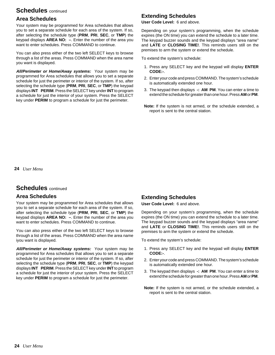# **Schedules** continued

# **Area Schedules**

Your system may be programmed for Area schedules that allows you to set a separate schedule for each area of the system. If so, after selecting the schedule type (**PRM**, **PRI**, **SEC**, or **TMP**) the keypad displays **AREA NO: –**. Enter the number of the area you want to enter schedules. Press COMMAND to continue.

You can also press either of the two left SELECT keys to browse through a list of the areas. Press COMMAND when the area name you want is displayed.

**All/Perimeter or Home/Away systems:** Your system may be programmed for Area schedules that allows you to set a separate schedule for just the perimeter or interior of the system. If so, after selecting the schedule type (**PRM**, **PRI**, **SEC**, or **TMP**) the keypad displays **INT PERIM**. Press the SELECT key under **INT** to program a schedule for just the interior of your system. Press the SELECT key under **PERIM** to program a schedule for just the perimeter.

# **Extending Schedules**

**User Code Level:** 6 and above.

Depending on your system's programming, when the schedule expires (the ON time) you can extend the schedule to a later time. The keypad buzzer sounds and the keypad displays "area name" and **LATE** or **CLOSING TIME!**. This reminds users still on the premises to arm the system or extend the schedule.

To extend the system's schedule:

- 1. Press any SELECT key and the keypad will display **ENTER CODE:-**.
- 2. Enter your code and press COMMAND. The system's schedule is automatically extended one hour.
- 3. The keypad then displays **-: AM PM**. You can enter a time to extend the schedule for greater than one hour. Press **AM** or **PM**.
- **Note:** If the system is not armed, or the schedule extended, a report is sent to the central station.

**24** *User Menu*

# **Schedules** continued

# **Area Schedules**

Your system may be programmed for Area schedules that allows you to set a separate schedule for each area of the system. If so, after selecting the schedule type (**PRM**, **PRI**, **SEC**, or **TMP**) the keypad displays **AREA NO: –**. Enter the number of the area you want to enter schedules. Press COMMAND to continue.

You can also press either of the two left SELECT keys to browse through a list of the areas. Press COMMAND when the area name iyou want is displayed.

**All/Perimeter or Home/Away systems:** Your system may be programmed for Area schedules that allows you to set a separate schedule for just the perimeter or interior of the system. If so, after selecting the schedule type (**PRM**, **PRI**, **SEC**, or **TMP**) the keypad displays **INT PERIM**. Press the SELECT key under **INT** to program a schedule for just the interior of your system. Press the SELECT key under **PERIM** to program a schedule for just the perimeter.

# **Extending Schedules**

**User Code Level:** 6 and above.

Depending on your system's programming, when the schedule expires (the ON time) you can extend the schedule to a later time. The keypad buzzer sounds and the keypad displays "area name" and **LATE** or **CLOSING TIME!**. This reminds users still on the premises to arm the system or extend the schedule.

To extend the system's schedule:

- 1. Press any SELECT key and the keypad will display **ENTER CODE:-**.
- 2. Enter your code and press COMMAND. The system's schedule is automatically extended one hour.
- 3. The keypad then displays **-: AM PM**. You can enter a time to extend the schedule for greater than one hour. Press **AM** or **PM**.
- **Note:** If the system is not armed, or the schedule extended, a report is sent to the central station.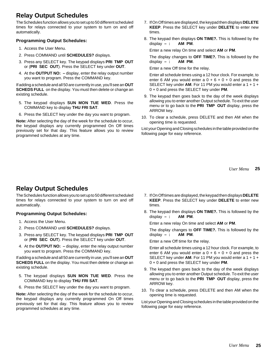# **Relay Output Schedules**

The Schedules function allows you to set up to 50 different scheduled times for relays connected to your system to turn on and off automatically.

## **Programming Output Schedules:**

- 1. Access the User Menu.
- 2. Press COMMAND until **SCHEDULES?** displays.
- 3. Press any SELECT key. The keypad displays **PRI TMP OUT** or (**PRI SEC OUT**). Press the SELECT key under **OUT**.
- 4. At the **OUTPUT NO: –** display, enter the relay output number you want to program. Press the COMMAND key.

If adding a schedule and all 50 are currently in use, you'll see an **OUT SCHEDS FULL** on the display. You must then delete or change an existing schedule.

- 5. The keypad displays **SUN MON TUE WED**. Press the COMMAND key to display **THU FRI SAT**.
- 6. Press the SELECT key under the day you want to program.

**Note:** After selecting the day of the week for the schedule to occur, the keypad displays any currently programmed On Off times previously set for that day. This feature allows you to review programmed schedules at any time.

- 7. If On Off times are displayed, the keypad then displays **DELETE KEEP**. Press the SELECT key under **DELETE** to enter new times.
- 8. The keypad then displays **ON TIME?.** This is followed by the display **– : AM PM**.

Enter a new relay On time and select **AM** or **PM**.

The display changes to **OFF TIME?.** This is followed by the display **– : AM PM**.

Enter a new Off time for the relay.

Enter all schedule times using a 12 hour clock. For example, to enter 6 AM you would enter  $a + b + 0 + 0$  and press the SELECT key under **AM**. For 11 PM you would enter a 1 + 1 + 0 + 0 and press the SELECT key under **PM**.

- 9. The keypad then goes back to the day of the week displays allowing you to enter another Output schedule. To exit the user menu or to go back to the **PRI TMP OUT** display, press the ARROW key.
- 10. To clear a schedule, press DELETE and then AM when the opening time is requested.

List your Opening and Closing schedules in the table provided on the following page for easy reference.

> **25** *User Menu*

# **Relay Output Schedules**

The Schedules function allows you to set up to 50 different scheduled times for relays connected to your system to turn on and off automatically.

# **Programming Output Schedules:**

- 1. Access the User Menu.
- 2. Press COMMAND until **SCHEDULES?** displays.
- 3. Press any SELECT key. The keypad displays **PRI TMP OUT** or (**PRI SEC OUT**). Press the SELECT key under **OUT**.
- 4. At the **OUTPUT NO: –** display, enter the relay output number you want to program. Press the COMMAND key.

If adding a schedule and all 50 are currently in use, you'll see an **OUT SCHEDS FULL** on the display. You must then delete or change an existing schedule.

- 5. The keypad displays **SUN MON TUE WED**. Press the COMMAND key to display **THU FRI SAT**.
- 6. Press the SELECT key under the day you want to program.

**Note:** After selecting the day of the week for the schedule to occur, the keypad displays any currently programmed On Off times previously set for that day. This feature allows you to review programmed schedules at any time.

- 7. If On Off times are displayed, the keypad then displays **DELETE KEEP**. Press the SELECT key under **DELETE** to enter new times.
- 8. The keypad then displays **ON TIME?.** This is followed by the display **– : AM PM**.

Enter a new relay On time and select **AM** or **PM**.

The display changes to **OFF TIME?.** This is followed by the display  $-$  :

Enter a new Off time for the relay.

Enter all schedule times using a 12 hour clock. For example, to enter 6 AM you would enter  $a\ 0 + b + 0 + 0$  and press the SELECT key under **AM**. For 11 PM you would enter a 1 + 1 + 0 + 0 and press the SELECT key under **PM**.

- 9. The keypad then goes back to the day of the week displays allowing you to enter another Output schedule. To exit the user menu or to go back to the **PRI TMP OUT** display, press the ARROW key.
- 10. To clear a schedule, press DELETE and then AM when the opening time is requested.

List your Opening and Closing schedules in the table provided on the following page for easy reference.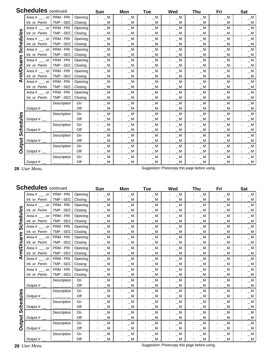|              | <b>Schedules</b> continued |                  |         | Sun      | Mon         | Tue                     | Wed         | Thu         | Fri         | <b>Sat</b> |
|--------------|----------------------------|------------------|---------|----------|-------------|-------------------------|-------------|-------------|-------------|------------|
|              | Area $#$ __ , or           | <b>PRM - PRI</b> | Opening | $\_ M$   | $\_ M$      | $\_ M$                  | $\_ M$      | $\_ M$      | $\_ M$      | $\_ M$     |
|              | Int or Perim               | TMP - SEC        | Closing | $\_ M$   | $\_ M$      | $\_ M$                  | $\_ M$      | $\_ M$      | $\_ M$      | $\_ M$     |
| ഗ<br>chedule | Area $#_$ , or             | PRM - PRI        | Opening | $\_ M$   | $\_ M$      | $\_ M$                  | $\_ M$      | $\_ M$      | $\_ M$      | $\_ M$     |
|              | Int or Perim               | TMP - SEC        | Closing | M        | $\_ M$      | $\_ M$                  | $\_ M$      | $\_ M$      | $\_ M$      | $\_ M$     |
|              | Area $#$ __, or            | PRM - PRI        | Opening | $\_ M$   | $\_ M$      | $\_ M$                  | $\_ M$      | $\_ M$      | $\_ M$      | $\_ M$     |
|              | Int or Perim               | TMP - SEC        | Closing | $\_ M$   | $\_ M$      | $\_ M$                  | $\_$ M $\_$ | $\_ M$      | $\_ M$      | $\_ M$     |
| Ō            | Area $#$ __, or            | PRM - PRI        | Opening | $\_ M$   | $\_ M$      | $\_ M$                  | $\_ M$      | $\_ M$      | $\_ M$      | $\_ M$     |
|              | Int or Perim               | TMP - SEC        | Closing | $\_ M$   | $\_ M$      | $\_$ M $\_$             | $\_$ M      | $\_$ M      | $\_ M$      | $\_ M$     |
|              | Area $#$ __, or            | PRM - PRI        | Opening | $\_ M$   | $= M$       | $\_ M$                  | $\_$ M $\_$ | $\_ M$      | $\_ M$      | $\_ M$     |
| isarm        | Int or Perim               | TMP - SEC        | Closing | <b>M</b> | M           | <b>M</b>                | M           | $\_$ M      | M           | $\_ M$     |
| .rm/Di       | Area $#$ __, or            | PRM - PRI        | Opening | $\_ M$   | $\_ M$      | $\_ M$                  | $\_ M$      | $\_ M$      | $\_ M$      | $\_ M$     |
|              | Int or Perim               | TMP - SEC        | Closing | M        | M           | M                       | M           | M           | M           | $\_ M$     |
| ⋖            | Area $#$ __ , or           | PRM - PRI        | Opening | $\_ M$   | $\_ M$      | $\_$ M $\_$             | $\_ M$      | $\_ M$      | $\_ M$      | $\_ M$     |
|              | Int or Perim               | TMP - SEC        | Closing | $\_ M$   | $\_ M$      | $\_$ M $\hspace{0.1mm}$ | $\_$ M $\_$ | $\_$ M $\,$ | $\_$ M $\,$ | $\_ M$     |
|              | Area $#$ __, or            | PRM - PRI        | Opening | $\_ M$   | $\_$ M      | $\_$ M $\_$             | $\_ M$      | $\_ M$      | $\_ M$      | $\_ M$     |
|              | Int or Perim               | TMP - SEC        | Closing | $\_ M$   | $\_ M$      | $\_ M$                  | $\_$ M $\,$ | $\_ M$      | $\_ M$      | $\_ M$     |
|              |                            | Description      | On      | $\_ M$   | $\_ M$      | $= M$                   | $\_ M$      | $\_ M$      | $\_ M$      | $\_ M$     |
|              | Output # $\_\_$            |                  | Off     | $\_$ M   | $\_$ M $\,$ | $\_$ M $\hspace{0.1mm}$ | $\_$ M $\,$ | $\_ M$      | $\_ M$      | $\_ M$     |
|              |                            | Description      | On      | $\_ M$   | $\_$ M $\,$ | $\_ M$                  | $\_ M$      | $\_ M$      | $\_ M$      | $\_ M$     |
| edules       | Output #                   |                  | Off     | _ M      | $\_ M$      | $= M$                   | $\_$ M $\,$ | $\_ M$      | $\_$ M $\,$ | $\_ M$     |
|              |                            | Description      | On      | $\_ M$   | $\_ M$      | $\_$ M $\,$             | $\_ M$      | $\_ M$      | $\_$ M      | $\_ M$     |
| 동            | Output $#$ $\_\$           |                  | Off     | $\_ M$   | $\_ M$      | $\_ M$                  | $\_$ M      | $\_ M$      | $\_ M$      | $\_ M$     |
| <b>SC</b>    |                            | Description      | On      | $\_ M$   | $\_ M$      | $\_ M$                  | $\_ M$      | $\_ M$      | $\_ M$      | $\_ M$     |
|              | Output #                   |                  | Off     | <b>M</b> | M           | $\_ M$                  | $\_$ M      | $\_$ M      | $\_ M$      | $\_ M$     |
|              |                            | Description      | On      | $\_ M$   | $\_ M$      | $\_ M$                  | $\_ M$      | $\_ M$      | $\_$ M      | $\_ M$     |
| Output       | Output $#$ $\_\_$          |                  | Off     | M        | M           | $\_ M$                  | M           | $\_ M$      | $\_ M$      | $\_ M$     |
|              |                            | Description      | On      | $\_ M$   | $\_ M$      | $\_ M$                  | $\_$ M      | $\_ M$      | $\_ M$      | $\_ M$     |
|              | Output #                   |                  | Off     | M        | M           | M                       | $\_ M$      | $\_ M$      | $\_ M$      | $\_ M$     |

**26** *User Menu*

Suggestion: Photocopy this page before using.

|               | <b>Schedules</b> continued |                  |         | Sun         | Mon    | Tue                     | Wed         | Thu    | Fri    | Sat         |
|---------------|----------------------------|------------------|---------|-------------|--------|-------------------------|-------------|--------|--------|-------------|
|               | Area $#$ __ , or           | <b>PRM - PRI</b> | Opening | $\_ M$      | $\_ M$ | $\_ M$                  | $\_$ M $\_$ | $\_ M$ | $\_ M$ | $\_ M$      |
|               | Int or Perim               | TMP - SEC        | Closing | $\_ M$      | $\_$ M | $\_ M$                  | $\_ M$      | $\_ M$ | $\_ M$ | $\_ M$      |
| ဖ<br>chedule  | Area $#_$ , or             | PRM - PRI        | Opening | $\_ M$      | $\_ M$ | $\_ M$                  | $\_ M$      | $\_ M$ | $\_ M$ | $\_$ M $\,$ |
|               | Int or Perim               | TMP - SEC        | Closing | $\_ M$      | $\_ M$ | $\_ M$                  | $\_$ M $\_$ | $\_ M$ | $\_ M$ | $\_$ M $\,$ |
|               | Area $#$ __ , or           | PRM - PRI        | Opening | $\_ M$      | $\_ M$ | $\_ M$                  | $\_ M$      | $\_ M$ | $\_ M$ | $\_ M$      |
|               | Int or Perim               | TMP - SEC        | Closing | $\_ M$      | $\_ M$ | $\_$ M $\_$             | $\_ M$      | $\_ M$ | $\_$ M | $\_ M$      |
| Ŵ,            | Area $#$ __, or            | PRM - PRI        | Opening | $\_ M$      | $\_ M$ | $\_ M$                  | $\_ M$      | $\_ M$ | $\_$ M | $\_ M$      |
|               | Int or Perim               | TMP - SEC        | Closing | $\_$ M      | $\_ M$ | $\_ M$                  | $\_ M$      | $\_ M$ | $\_ M$ | $\_ M$      |
| arm           | Area $#$ __, or            | PRM - PRI        | Opening | $\_ M$      | $\_ M$ | $\_ M$                  | $\_$ M      | $\_ M$ | $\_ M$ | $\_ M$      |
| $\frac{1}{2}$ | Int or Perim               | TMP - SEC        | Closing | $\_$ M      | $\_$ M | $\_ M$                  | $= M$       | $\_ M$ | $\_ M$ | $\_ M$      |
| .rm/Di        | Area $#$ __, or            | PRM - PRI        | Opening | $\_ M$      | $\_ M$ | $\_ M$                  | $= M$       | $\_ M$ | $\_ M$ | $\_ M$      |
|               | Int or Perim               | TMP - SEC        | Closing | $\_$ M      | $\_$ M | $\_ M$                  | $\_$ M      | $\_ M$ | $\_$ M | $\_ M$      |
| ⋖             | Area $#$ __, or            | PRM - PRI        | Opening | $\_ M$      | $\_ M$ | $\_$ M $\hspace{0.1mm}$ | $\_ M$      | $\_ M$ | $\_ M$ | $\_ M$      |
|               | Int or Perim               | TMP - SEC        | Closing | M           | M      | м                       | м           | M      | M      | $\_ M$      |
|               | Area $#$ __, or            | PRM - PRI        | Opening | $\_ M$      | $\_ M$ | $= M$                   | $\_ M$      | $\_ M$ | $\_ M$ | $\_ M$      |
|               | Int or Perim               | TMP - SEC        | Closing | M           | M      | M                       | M           | M      | M      | $\_ M$      |
|               |                            | Description      | On      | $\_ M$      | $\_ M$ | $\_$ M $\_$             | $\_ M$      | $\_ M$ | $\_ M$ | $\_ M$      |
|               | Output $#$ $\_\_$          |                  | Off     | $\_ M$      | $\_ M$ | $\_ M$                  | $\_$ M      | $\_ M$ | $\_ M$ | $\_ M$      |
|               |                            | Description      | On      | $\_ M$      | $\_ M$ | $\_$ M $\_$             | $\_ M$      | $\_ M$ | $\_ M$ | $\_ M$      |
|               | Output #                   |                  | Off     | $\_$ M      | $\_$ M | $\_ M$                  | $\_ M$      | $\_$ M | $\_ M$ | $\_ M$      |
| Schedules     |                            | Description      | On      | $\_$ M $\,$ | $\_ M$ | $\_$ M $\,$             | $\_ M$      | $\_ M$ | $\_ M$ | $\_ M$      |
|               | Output $#$                 |                  | Off     | $\_ M$      | $\_ M$ | $\_ M$                  | $\_$ M $\,$ | $\_ M$ | $\_ M$ | $\_ M$      |
|               |                            | Description      | On      | $\_ M$      | $\_ M$ | $\_ M$                  | $\_ M$      | $\_ M$ | $\_ M$ | $\_ M$      |
|               | Output #                   |                  | Off     | $\_$ M      | $\_ M$ | $\_$ M                  | $\_$ M      | $\_ M$ | $\_ M$ | $\_ M$      |
| Output        |                            | Description      | On      | $\_ M$      | $\_$ M | $\_ M$                  | $\_ M$      | $\_ M$ | $\_ M$ | $\_ M$      |
|               | Output $#_$                |                  | Off     | $\_ M$      | $\_ M$ | $\_ M$                  | $\_$ M      | $\_ M$ | $\_ M$ | $\_ M$      |
|               |                            | Description      | On      | $\_ M$      | $\_ M$ | $\_ M$                  | $\_ M$      | $\_ M$ | $\_ M$ | $\_ M$      |
|               | Output #                   |                  | Off     | M           | $\_$ M | $\_$ M                  | $\_$ M      | $\_$ M | $\_$ M | $\_ M$      |

**26** *User Menu*

Suggestion: Photocopy this page before using.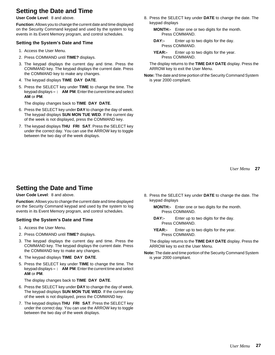# **Setting the Date and Time**

**User Code Level**: 8 and above.

**Function:** Allows you to change the current date and time displayed on the Security Command keypad and used by the system to log events in its Event Memory program, and control schedules.

## **Setting the System's Date and Time**

- 1. Access the User Menu.
- 2. Press COMMAND until **TIME?** displays.
- 3. The keypad displays the current day and time. Press the COMMAND key. The keypad displays the current date. Press the COMMAND key to make any changes.
- 4. The keypad displays **TIME DAY DATE**.
- 5. Press the SELECT key under **TIME** to change the time. The keypad displays **– : AM PM**. Enter the current time and select **AM** or **PM**.

The display changes back to **TIME DAY DATE**.

- 6. Press the SELECT key under **DAY** to change the day of week. The keypad displays **SUN MON TUE WED**. If the current day of the week is not displayed, press the COMMAND key.
- 7. The keypad displays **THU FRI SAT**. Press the SELECT key under the correct day. You can use the ARROW key to toggle between the two day of the week displays.
- 8. Press the SELECT key under **DATE** to change the date. The keypad displays
	- **MONTH:-** Enter one or two digits for the month. Press COMMAND.
	- **DAY:-** Enter up to two digits for the day. Press COMMAND.
	- **YEAR:-** Enter up to two digits for the year. Press COMMAND.

The display returns to the **TIME DAY DATE** display. Press the ARROW key to exit the User Menu.

**Note:** The date and time portion of the Security Command System is year 2000 compliant.

**27** *User Menu*

# **Setting the Date and Time**

## **User Code Level**: 8 and above.

**Function:** Allows you to change the current date and time displayed on the Security Command keypad and used by the system to log events in its Event Memory program, and control schedules.

# **Setting the System's Date and Time**

- 1. Access the User Menu.
- 2. Press COMMAND until **TIME?** displays.
- 3. The keypad displays the current day and time. Press the COMMAND key. The keypad displays the current date. Press the COMMAND key to make any changes.
- 4. The keypad displays **TIME DAY DATE**.
- 5. Press the SELECT key under **TIME** to change the time. The keypad displays **– : AM PM**. Enter the current time and select **AM** or **PM**.

The display changes back to **TIME DAY DATE**.

- 6. Press the SELECT key under **DAY** to change the day of week. The keypad displays **SUN MON TUE WED**. If the current day of the week is not displayed, press the COMMAND key.
- 7. The keypad displays **THU FRI SAT**. Press the SELECT key under the correct day. You can use the ARROW key to toggle between the two day of the week displays.
- 8. Press the SELECT key under **DATE** to change the date. The keypad displays
	- **MONTH:-** Enter one or two digits for the month. Press COMMAND.
	- **DAY:-** Enter up to two digits for the day. Press COMMAND.
	- **YEAR:-** Enter up to two digits for the year. Press COMMAND.

The display returns to the **TIME DAY DATE** display. Press the ARROW key to exit the User Menu.

**Note:** The date and time portion of the Security Command System is year 2000 compliant.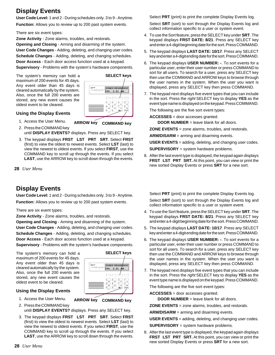# **Display Events**

**User Code Level:** 1 and 2 - During schedules only. 3 to 9 - Anytime.

**Function:** Allows you to review up to 200 past system events.

There are six event types:

**Zone Activity** - Zone alarms, troubles, and restorals.

**Opening and Closing** - Arming and disarming of the system.

**User Code Changes** - Adding, deleting, and changing user codes. **Schedule Changes** - Adding, deleting, and changing schedules.

**Door Access** - Each door access function used at a keypad. **Supervisory** - Problems with the system's hardware components.

The system's memory can hold a maximum of 200 events for 45 days. Any event older than 45 days is cleared automatically by the system. Also, once the full 200 events are stored, any new event causes the oldest event to be cleared.



**ARROW key COMMAND key**

# **Using the Display Events**

1. Access the User Menu.

2. Press the COMMAND key until **DISPLAY EVENTS?** displays. Press any SELECT key.

- 3. The keypad displays **FRST LST PRT SRT**. Select **FRST** (first) to view the oldest to newest events. Select **LST** (last) to view the newest to oldest events. If you select **FIRST**, use the COMMAND key to scroll up through the events. If you select **LAST**, use the ARROW key to scroll down through the events.
- **28** *User Menu*

# **Display Events**

**User Code Level:** 1 and 2 - During schedules only. 3 to 9 - Anytime. **Function:** Allows you to review up to 200 past system events.

There are six event types:

**Zone Activity** - Zone alarms, troubles, and restorals.

**Opening and Closing** - Arming and disarming of the system. **User Code Changes** - Adding, deleting, and changing user codes. **Schedule Changes** - Adding, deleting, and changing schedules.

**Door Access** - Each door access function used at a keypad. **Supervisory** - Problems with the system's hardware components.

The system's memory can hold a maximum of 200 events for 45 days. Any event older than 45 days is cleared automatically by the system. Also, once the full 200 events are stored, any new event causes the oldest event to be cleared.

| JONES RESIDENCE<br>FRI 2:51 AM<br>PORER<br>secontry community |
|---------------------------------------------------------------|
| $\Box$<br>$\lnot$                                             |
| m                                                             |
|                                                               |

**SELECT keys**

# **Using the Display Events**

- 1. Access the User Menu.
- 2. Press the COMMAND key **ARROW key COMMAND key**
	- until **DISPLAY EVENTS?** displays. Press any SELECT key.
- 3. The keypad displays **FRST LST PRT SRT**. Select **FRST** (first) to view the oldest to newest events. Select **LST** (last) to view the newest to oldest events. If you select **FIRST**, use the COMMAND key to scroll up through the events. If you select **LAST**, use the ARROW key to scroll down through the events.

Select **PRT** (print) to print the complete Display Events log.

Select **SRT** (sort) to sort through the Display Events log and collect information specific to a user or system event.

- 4. To use the Sort feature, press the SELECT key under **SRT**. The keypad displays **FRST DATE: 8/21**. Press any SELECT key and enter a 4-digit beginning date for the sort. Press COMMAND.
- 5. The keypad displays **LAST DATE: 10/17**. Press any SELECT key and enter a 4-digit ending date for the sort. Press COMMAND.
- 6. The keypad displays **USER NUMBER: -**. To sort events for a particular user, enter their user number or press COMMAND to sort for all users. To search for a user, press any SELECT key then use the COMMAND and ARROW keys to browse through the user names in the system. When the user you want is displayed, press any SELECT key then press COMMAND.
- 7. The keypad next displays five event types that you can include in the sort. Press the right SELECT key to display **YES** as the event type name is displayed on the keypad. Press COMMAND.

The following are the five sort event types:

**ACCESSES** = door accesses granted.

**DOOR NUMBER** = leave blank for all doors.

**ZONE EVENTS** = zone alarms, troubles, and restorals.

**ARM/DISARM** = arming and disarming events.

**USER EVENTS** = adding, deleting, and changing user codes.

**SUPERVISORY** = system hardware problems.

8. After the last event type is displayed, the keypad again displays **FRST LST PRT SRT.** At this point, you can view or print the new sorted Display Events or press **SRT** for a new sort.

Select **PRT** (print) to print the complete Display Events log.

Select **SRT** (sort) to sort through the Display Events log and collect information specific to a user or system event.

- 4. To use the Sort feature, press the SELECT key under **SRT**. The keypad displays **FRST DATE: 8/21**. Press any SELECT key and enter a 4-digit beginning date for the sort. Press COMMAND.
- 5. The keypad displays **LAST DATE: 10/17**. Press any SELECT key and enter a 4-digit ending date for the sort. Press COMMAND.
- 6. The keypad displays **USER NUMBER: -**. To sort events for a particular user, enter their user number or press COMMAND to sort for all users. To search for a user, press any SELECT key then use the COMMAND and ARROW keys to browse through the user names in the system. When the user you want is displayed, press any SELECT key then press COMMAND.
- 7. The keypad next displays five event types that you can include in the sort. Press the right SELECT key to display **YES** as the event type name is displayed on the keypad. Press COMMAND.

The following are the five sort event types:

**ACCESSES** = door accesses granted.

**DOOR NUMBER** = leave blank for all doors.

**ZONE EVENTS** = zone alarms, troubles, and restorals.

**ARM/DISARM** = arming and disarming events.

**USER EVENTS** = adding, deleting, and changing user codes.

**SUPERVISORY** = system hardware problems.

8. After the last event type is displayed, the keypad again displays **FRST LST PRT SRT.** At this point, you can view or print the new sorted Display Events or press **SRT** for a new sort.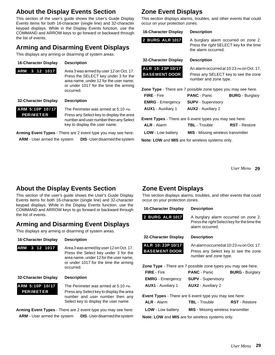# **About the Display Events Section**

This section of the user's guide shows the User's Guide Display Events items for both 16-character (single line) and 32-character keypad displays. While in the Display Events function, use the COMMAND and ARROW keys to go forward or backward through the list of events.

# **Arming and Disarming Event Displays**

This displays any arming or disarming of system areas.

## **16-Character Display Description**

**ARM 3 12 1017** Area 3 was armed by user 12 on Oct. 17. Press the SELECT key under 3 for the area name, under 12 for the user name, or under 1017 for the time the arming occurred.

## **32-Character Display Description**

ARM 5:10P 10/17 The Perimeter was armed at 5:10 PM. **PERIMETER** Press any Select key to display the area number and user number then any Select key to display the user name.

**Arming Event Types** - There are 2 event type you may see here: **ARM** - User armed the system **DIS** - User disarmed the system

# **Zone Event Displays**

This section displays alarms, troubles, and other events that could occur on your protection zones.

## **16-Character Display Description**

**2 BURG ALR 1017** A burglary alarm occurred on zone 2. Press the right SELECT key for the time the alarm occurred.

## **32-Character Display Description**

**ALR 10: 23P 10/17** An alarm occurred at 10:23 PM on Oct. 17. **BASEMENT DOOR** Press any SELECT key to see the zone number and zone type.

| <b>Zone Type</b> - There are 7 possible zone types you may see here. |                           |                        |
|----------------------------------------------------------------------|---------------------------|------------------------|
| <b>FIRE</b> - Fire                                                   | <b>PANC</b> - Panic       | <b>BURG</b> - Burglary |
| <b>EMRG</b> - Emergency                                              | <b>SUPV</b> - Supervisory |                        |
| <b>AUX1</b> - Auxiliary 1                                            | <b>AUX2</b> - Auxiliary 2 |                        |

**Event Types** - There are 6 event types you may see here:

| <b>ALR</b> - Alarm                                                                                                                                                                                                                | <b>TBL</b> - Trouble                      | <b>RST</b> - Restore |
|-----------------------------------------------------------------------------------------------------------------------------------------------------------------------------------------------------------------------------------|-------------------------------------------|----------------------|
| <b>LOW</b> - Low battery                                                                                                                                                                                                          | <b>MIS</b> - Missing wireless transmitter |                      |
| $\mathbf{M}$ . The state of the state of the state of the state of the state of the state of the state of the state of the state of the state of the state of the state of the state of the state of the state of the state of th |                                           |                      |

**Note: LOW** and **MIS** are for wireless systems only.

**29** *User Menu*

# **About the Display Events Section**

This section of the user's guide shows the User's Guide Display Events items for both 16-character (single line) and 32-character keypad displays. While in the Display Events function, use the COMMAND and ARROW keys to go forward or backward through the list of events.

# **Arming and Disarming Event Displays**

This displays any arming or disarming of system areas.

**16-Character Display Description**

ARM 3 12 1017 **Area 3 was armed by user 12 on Oct. 17.** Press the Select key under 3 for the area name, under 12 for the user name, or under 1017 for the time the arming occurred.

### **32-Character Display Description**

**ARM 5:10P 10/ 17** The Perimeter was armed at 5:10 PM. **PERIMET ER** Press any Select key to display the area number and user number then any Select key to display the user name.

**Arming Event Types** - There are 2 event type you may see here: **ARM** - User armed the system **DIS** - User disarmed the system

# **Zone Event Displays**

This section displays alarms, troubles, and other events that could occur on your protection zones.

## **16-Character Display Description**

**2 BURG ALR 1017** A burglary alarm occurred on zone 2. Press the right Select key for the time the alarm occurred.

# **32-Character Display Description**

**ALR 10: 23P 10/17** An alarm occurred at 10:23 PM on Oct. 17. **BASEMENT DOOR** Press any Select key to see the zone number and zone type.

| <b>Zone Type</b> - There are 7 possible zone types you may see here. |                           |                        |
|----------------------------------------------------------------------|---------------------------|------------------------|
| <b>FIRE</b> - Fire                                                   | <b>PANC</b> - Panic       | <b>BURG</b> - Burglary |
| <b>EMRG</b> - Emergency                                              | <b>SUPV</b> - Supervisory |                        |
| <b>AUX1</b> - Auxiliary 1                                            | <b>AUX2</b> - Auxiliary 2 |                        |

**Event Types** - There are 6 event type you may see here:

| <b>ALR</b> - Alarm       | <b>TBL</b> - Trouble                      | <b>RST</b> - Restore |
|--------------------------|-------------------------------------------|----------------------|
| <b>LOW</b> - Low battery | <b>MIS</b> - Missing wireless transmitter |                      |

**Note: LOW** and **MIS** are for wireless systems only.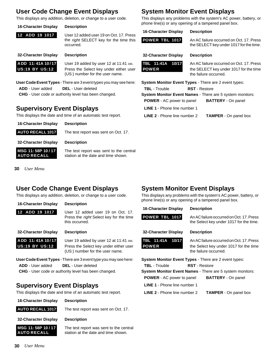# **User Code Change Event Displays**

This displays any addition, deletion, or change to a user code.

#### **16-Character Display Description**

**12 ADD 19 1017** User 12 added user 19 on Oct. 17. Press the right SELECT key for the time this occurred.

**32-Character Display Description**

**ADD 11: 41A 10 / 17** User 19 added by user 12 at 11:41 AM. **US:19 BY US:12** Press the Select key under either user (US:) number for the user name.

**User Code Event Types** - There are 3 event types you may see here:

**ADD** - User added **DEL** - User deleted **CHG** - User code or authority level has been changed.

# **Supervisory Event Displays**

This displays the date and time of an automatic test report.

**16-Character Display Description**

**AUTO RECALL 1017** The test report was sent on Oct. 17.

**32-Character Display Description**

**MSG 11:58P 10/17** The test report was sent to the central **AUTO RECALL** station at the date and time shown.

**30** *User Menu*

# **User Code Change Event Displays**

This displays any addition, deletion, or change to a user code.

### **16-Character Display Description**

**12 ADD 19 1017** User 12 added user 19 on Oct. 17.

#### Press the right Select key for the time this occurred.

**32-Character Display Description**

**ADD 11: 41A 10/17** User 19 added by user 12 at 11:41 AM. **US:19 BY US:12** Press the Select key under either user (US:) number for the user name.

**User Code Event Types** - There are 3 event type you may see here:

**ADD** - User added **DEL** - User deleted

**CHG** - User code or authority level has been changed.

# **Supervisory Event Displays**

This displays the date and time of an automatic test report.



**AUTO RECALL 1017** The test report was sent on Oct. 17.

**32-Character Display Description**



**MSG 11: 58P 10/17** The test report was sent to the central **AUTO RECALL** station at the date and time shown.

# **System Monitor Event Displays**

This displays any problems with the system's AC power, battery, or phone line(s) or any opening of a tampered panel box.

### **16-Character Display Description**

# **POWER TBL 1017** An AC failure occurred on Oct. 17. Press

# **32-Character Display Description**

|              | TBL 11:41A 10/17 |  |
|--------------|------------------|--|
| <b>POWER</b> |                  |  |

An AC failure occurred on Oct. 17. Press the SELECT key under 1017 for the time the failure occurred.

the SELECT key under 1017 for the time.

| System Monitor Event Types - There are 2 event types:            |                              |
|------------------------------------------------------------------|------------------------------|
| <b>TBL</b> - Trouble<br><b>RST</b> - Restore                     |                              |
| <b>System Monitor Event Names - There are 5 system monitors:</b> |                              |
| <b>POWER</b> - AC power to panel                                 | <b>BATTERY</b> - On panel    |
| <b>LINE 1 - Phone line number 1</b>                              |                              |
| <b>LINE 2</b> - Phone line number 2                              | <b>TAMPER</b> - On panel box |

# **System Monitor Event Displays**

This displays any problems with the system's AC power, battery, or phone line(s) or any opening of a tampered panel box.

| 16-Character Display |  | <b>Description</b> |
|----------------------|--|--------------------|
|----------------------|--|--------------------|

# **POWER TBL 1017** An AC failure occurred on Oct. 17. Press

**32-Character Display Description**

**TBL 11:41A 10/17** An AC failure occurred on Oct. 17. Press **POWER** the Select key under 1017 for the time the failure occurred.

the Select key under 1017 for the time.

**System Monitor Event Types** - There are 2 event types:

- **TBL** Trouble **RST** Restore
- **System Monitor Event Names** There are 5 system monitors: **POWER** - AC power to panel **BATTERY** - On panel
	-
	- **LINE 1** Phone line number 1
	- **LINE 2** Phone line number 2 **TAMPER** On panel box

**30** *User Menu*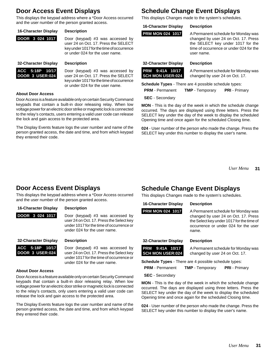# **Door Access Event Displays**

This displays the keypad address where a \*Door Access occurred and the user number of the person granted access.

| <b>16-Character Display</b> | <b>Description</b>                   |
|-----------------------------|--------------------------------------|
| DOOR 3 024 1017             | Door (keypa<br>user 24 on C          |
|                             | $l_{\ell}$ as a constant of $\Omega$ |

pad) #3 was accessed by n Oct. 17. Press the SELECT key under 1017 for the time of occurrence or under 024 for the user name.

# **32-Character Display Description**

**ACC 5:18P 10/17** Door (keypad) #3 was accessed by **DOOR 3 USER:024** user 24 on Oct. 17. Press the SELECT key under 1017 for the time of occurrence or under 024 for the user name.

### **About Door Access**

Door Access is a feature available only on certain Security Command keypads that contain a built-in door releasing relay. When low voltage power for an electric door strike or magnetic lock is connected to the relay's contacts, users entering a valid user code can release the lock and gain access to the protected area.

The Display Events feature logs the user number and name of the person granted access, the date and time, and from which keypad they entered their code.

# **Schedule Change Event Displays**

This displays Changes made to the system's schedules.

## **16-Character Display Description**

**PRM MON 024 1017** A Permanent schedule for Monday was changed by user 24 on Oct. 17. Press the SELECT key under 1017 for the time of occurrence or under 024 for the user name.

# **32-Character Display Description**

**PRM 9:41A 10/17** A Permanent schedule for Monday was<br>**SCH MON USER:024** changed by user 24 on Oct. 17. changed by user 24 on Oct. 17.

**Schedule Types** - There are 4 possible schedule types:

| <b>PRM</b> - Permanent | <b>TMP</b> - Temporary | <b>PRI</b> - Primary |
|------------------------|------------------------|----------------------|
|                        |                        |                      |

**SEC** - Secondary

**MON** - This is the day of the week in which the schedule change occurred. The days are displayed using three letters. Press the SELECT key under the day of the week to display the scheduled Opening time and once again for the scheduled Closing time.

**024** - User number of the person who made the change. Press the SELECT key under this number to display the user's name.

> **31** *User Menu*

# **Door Access Event Displays**

This displays the keypad address where a \*Door Access occurred and the user number of the person granted access.

# **16-Character Display Description**

**DOOR 3 024 1017** Door (keypad) #3 was accessed by user 24 on Oct. 17. Press the Select key under 1017 for the time of occurrence or under 024 for the user name.

**32-Character Display Description**

**ACC 5:18P 10/17** Door (keypad) #3 was accessed by **DOOR 3 USER:024** user 24 on Oct. 17. Press the Select key under 1017 for the time of occurrence or under 024 for the user name.

## **About Door Access**

Door Access is a feature available only on certain Security Command keypads that contain a built-in door releasing relay. When low voltage power for an electric door strike or magnetic lock is connected to the relay's contacts, only users entering a valid user code can release the lock and gain access to the protected area.

The Display Events feature logs the user number and name of the person granted access, the date and time, and from which keypad they entered their code.

# **Schedule Change Event Displays**

This displays Changes made to the system's schedules.

**16-Character Display Description**

**PRM MON 024 1017** A Permanent schedule for Monday was changed by user 24 on Oct. 17. Press the Select key under 1017 for the time of occurrence or under 024 for the user name.

## **32-Character Display Description**

**PRM 9:41A 10/17** A Permanent schedule for Monday was<br>**SCH MON USER:024** changed by user 24 on Oct. 17. changed by user 24 on Oct. 17.

**Schedule Types** - There are 4 possible schedule types:

| <b>PRM</b> - Permanent | <b>TMP</b> - Temporary | <b>PRI</b> - Primary |
|------------------------|------------------------|----------------------|
|------------------------|------------------------|----------------------|

**MON** - This is the day of the week in which the schedule change occurred. The days are displayed using three letters. Press the SELECT key under the day of the week to display the scheduled Opening time and once again for the scheduled Closing time.

**024** - User number of the person who made the change. Press the SELECT key under this number to display the user's name.

**SEC** - Secondary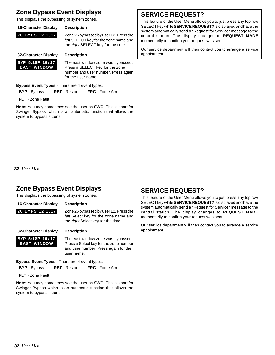# **Zone Bypass Event Displays**

This displays the bypassing of system zones.

**32-Character Display Description**

## **16-Character Display Description**

**26 BYPS 12 1017** Zone 26 bypassed by user 12. Press the

left SELECT key for the zone name and the right SELECT key for the time.



**BYP 5:18P 10/17** The east window zone was bypassed. **EAST WINDOW** Press a SELECT key for the zone number and user number. Press again for the user name.

**Bypass Event Types** - There are 4 event types:

**BYP** - Bypass **RST** - Restore **FRC** - Force Arm

**FLT** - Zone Fault

**Note:** You may sometimes see the user as **SWG**. This is short for Swinger Bypass, which is an automatic function that allows the system to bypass a zone.

# **SERVICE REQUEST?**

This feature of the User Menu allows you to just press any top row SELECT key while **SERVICE REQUEST?** is displayed and have the system automatically send a "Request for Service" message to the central station. The display changes to **REQUEST MADE** momentarily to confirm your request was sent.

Our service department will then contact you to arrange a service appointment.

## **32** *User Menu*

# **Zone Bypass Event Displays**

This displays the bypassing of system zones.

## **16-Character Display Description**

## **26 BYPS 12 1017** Zone 26 bypassed by user 12. Press the left Select key for the zone name and the right Select key for the time.

**32-Character Display Description**

**BYP 5:18P 10/17** The east window zone was bypassed. **EAST WINDOW** Press a Select key for the zone number and user number. Press again for the user name.

**Bypass Event Types** - There are 4 event types:

**BYP** - Bypass **RST** - Restore **FRC** - Force Arm

**FLT** - Zone Fault

**Note:** You may sometimes see the user as **SWG**. This is short for Swinger Bypass which is an automatic function that allows the system to bypass a zone.

# **SERVICE REQUEST?**

This feature of the User Menu allows you to just press any top row SELECT key while **SERVICE REQUEST?** is displayed and have the system automatically send a "Request for Service" message to the central station. The display changes to **REQUEST MADE** momentarily to confirm your request was sent.

Our service department will then contact you to arrange a service appointment.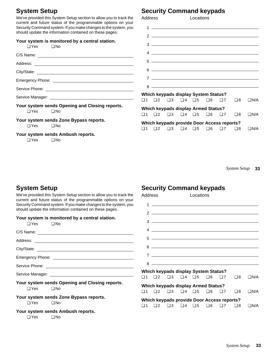# **System Setup**

We've provided this System Setup section to allow you to track the current and future status of the programmable options on your Security Command system. If you make changes to the system, you should update the information contained on these pages.

| Your system is monitored by a central station.<br>$\Box$ Yes<br>$\Box$ No    | $3 \overline{\phantom{a}}$                                                                                    |
|------------------------------------------------------------------------------|---------------------------------------------------------------------------------------------------------------|
|                                                                              | $4 \overline{\phantom{a}}$                                                                                    |
|                                                                              |                                                                                                               |
|                                                                              | $6 \overline{\phantom{a}}$                                                                                    |
|                                                                              |                                                                                                               |
|                                                                              | $8$                                                                                                           |
|                                                                              | Which keypads display System Status?                                                                          |
|                                                                              | $\square$ 1 $\square$ 2 $\square$ 3 $\square$ 4 $\square$ 5 $\square$ 6 $\square$ 7<br>$\Box$ 8<br>$\Box$ N/A |
| Your system sends Opening and Closing reports.<br>$\square$ No<br>$\Box$ Yes | <b>Which keypads display Armed Status?</b>                                                                    |
|                                                                              | $\square$ 1 $\square$ 2 $\square$ 3 $\square$ 4 $\square$ 5 $\square$ 6 $\square$ 7<br>$\Box$ 8<br>$\Box$ N/A |
| Your system sends Zone Bypass reports.<br>$\Box$ Yes<br>$\square$ No         | Which keypads provide Door Access reports?                                                                    |
| Your system sends Ambush reports.<br>$\Box$ Yes<br>$\square$ No              | $\Box 6$ $\Box 7$ $\Box 8$<br>$\Box$ 1 $\Box$ 2 $\Box$ 3 $\Box$ 4 $\Box$ 5<br>$\Box$ N/A                      |

# **Security Command keypads**

**Security Command keypads**

Address Locations

 $1 \overline{2}$ 

| Address                                                                                                                     | Locations                                                                                                                                                                                                                            |
|-----------------------------------------------------------------------------------------------------------------------------|--------------------------------------------------------------------------------------------------------------------------------------------------------------------------------------------------------------------------------------|
| 1<br>the control of the control of the control of the control of the control of                                             |                                                                                                                                                                                                                                      |
| $\mathfrak{p}$                                                                                                              | <u>state and the state of the state of the state of the state of the state of the state of the state of the state of the state of the state of the state of the state of the state of the state of the state of the state of the</u> |
| 3                                                                                                                           | <u> 1989 - Andrea Stadt Britain, amerikansk politiker (</u>                                                                                                                                                                          |
| 4                                                                                                                           |                                                                                                                                                                                                                                      |
| <u> 1989 - Johann Stoff, deutscher Stoffen und der Stoffen und der Stoffen und der Stoffen und der Stoffen und der</u><br>5 |                                                                                                                                                                                                                                      |
| 6                                                                                                                           |                                                                                                                                                                                                                                      |
| 7                                                                                                                           |                                                                                                                                                                                                                                      |
| 8                                                                                                                           |                                                                                                                                                                                                                                      |

**33** *System Setup*

# **System Setup**

We've provided this System Setup section to allow you to track the current and future status of the programmable options on your Security Command system. If you make changes to the system, you should update the information contained on these pages.

| Your system is monitored by a central station.<br>$\Box$ Yes                    | $3 \overline{\phantom{a}}$                                                                                                                                         |
|---------------------------------------------------------------------------------|--------------------------------------------------------------------------------------------------------------------------------------------------------------------|
|                                                                                 | $4 \overline{\phantom{a}}$                                                                                                                                         |
|                                                                                 | $5 -$                                                                                                                                                              |
|                                                                                 | $6 \overline{\phantom{a}}$                                                                                                                                         |
|                                                                                 | $7\overline{ }$                                                                                                                                                    |
|                                                                                 | $8$                                                                                                                                                                |
|                                                                                 | <b>Which keypads display System Status?</b><br>$\square$ 3 $\square$ 4 $\square$ 5 $\square$ 6 $\square$ 7<br>$\square$ 8<br>$\Box$ N/A<br>$\square$ 1<br>$\Box$ 2 |
| Your system sends Opening and Closing reports.<br>$\square$ Yes<br>$\square$ No | <b>Which keypads display Armed Status?</b><br>$\Box$ 1 $\Box$ 2 $\Box$ 3 $\Box$ 4 $\Box$ 5 $\Box$ 6 $\Box$ 7<br>$\square$ 8<br>$\Box$ N/A                          |
| Your system sends Zone Bypass reports.<br>$\square$ Yes<br>$\square$ No         | Which keypads provide Door Access reports?<br>$\square$ 1 $\square$ 2 $\square$ 3 $\square$ 4 $\square$ 5 $\square$ 6 $\square$ 7 $\square$ 8<br>$\Box$ N/A        |
| Your system sends Ambush reports.<br>$\Box$ Yes<br>$\square$ No                 |                                                                                                                                                                    |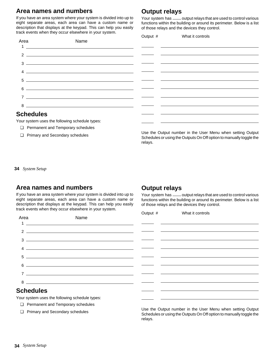# **Area names and numbers**

If you have an area system where your system is divided into up to eight separate areas, each area can have a custom name or description that displays at the keypad. This can help you easily track events when they occur elsewhere in your system.

# **Output relays**

Your system has \_\_\_ output relays that are used to control various functions within the building or around its perimeter. Below is a list of those relays and the devices they control.

|                  |                                                                                                                         | Output # | What it controls |  |
|------------------|-------------------------------------------------------------------------------------------------------------------------|----------|------------------|--|
| Area             | Name                                                                                                                    |          |                  |  |
|                  |                                                                                                                         |          |                  |  |
|                  | $\overline{\mathbf{a}}$                                                                                                 |          |                  |  |
|                  |                                                                                                                         |          |                  |  |
| વ                | <u> 1989 - Johann Barn, mars eta bainar eta bat erroman erroman erroman erroman erroman erroman erroman erroman</u>     |          |                  |  |
|                  | $\overline{4}$                                                                                                          |          |                  |  |
| $5^{\circ}$      |                                                                                                                         |          |                  |  |
| 6                | <u> The Communication of the Communication of the Communication of the Communication of the Communication of the Co</u> |          |                  |  |
|                  |                                                                                                                         |          |                  |  |
|                  | $7 -$                                                                                                                   |          |                  |  |
|                  | $8 \overline{)}$                                                                                                        |          |                  |  |
| <b>Schedules</b> |                                                                                                                         |          |                  |  |
|                  |                                                                                                                         |          |                  |  |

Your system uses the following schedule types:

- ❏ Permanent and Temporary schedules
- ❏ Primary and Secondary schedules

Use the Output number in the User Menu when setting Output Schedules or using the Outputs On Off option to manually toggle the relays.

**34** *System Setup*

# **Area names and numbers**

If you have an area system where your system is divided into up to eight separate areas, each area can have a custom name or description that displays at the keypad. This can help you easily track events when they occur elsewhere in your system.

# **Output relays**

Your system has \_\_\_ output relays that are used to control various functions within the building or around its perimeter. Below is a list of those relays and the devices they control.

| Area<br>Name                                                                                                                                                                                                                                                                                                                                                                                                                                                  | Output # | What it controls                             |
|---------------------------------------------------------------------------------------------------------------------------------------------------------------------------------------------------------------------------------------------------------------------------------------------------------------------------------------------------------------------------------------------------------------------------------------------------------------|----------|----------------------------------------------|
|                                                                                                                                                                                                                                                                                                                                                                                                                                                               |          |                                              |
| $\overline{\mathbf{2}}$ $\overline{\mathbf{2}}$ $\overline{\mathbf{3}}$ $\overline{\mathbf{4}}$ $\overline{\mathbf{5}}$ $\overline{\mathbf{6}}$ $\overline{\mathbf{6}}$ $\overline{\mathbf{6}}$ $\overline{\mathbf{6}}$ $\overline{\mathbf{6}}$ $\overline{\mathbf{6}}$ $\overline{\mathbf{6}}$ $\overline{\mathbf{6}}$ $\overline{\mathbf{6}}$ $\overline{\mathbf{6}}$ $\overline{\mathbf{6}}$ $\overline{\mathbf{6}}$ $\overline{\mathbf{6}}$ $\overline{\$ |          |                                              |
| વ<br><u> 1999 - Johann John Stoff, deutscher Stoffen und der Stoffen und der Stoffen und der Stoffen und der Stoffen un</u>                                                                                                                                                                                                                                                                                                                                   |          |                                              |
| $\overline{4}$ $\overline{2}$ $\overline{4}$ $\overline{2}$ $\overline{4}$ $\overline{2}$ $\overline{4}$ $\overline{2}$ $\overline{2}$ $\overline{2}$ $\overline{2}$ $\overline{2}$ $\overline{2}$ $\overline{2}$ $\overline{2}$ $\overline{2}$ $\overline{2}$ $\overline{2}$ $\overline{2}$ $\overline{2}$ $\overline{2}$ $\overline{2}$ $\overline{2}$ $\overline{2}$ $\overline{$                                                                          |          |                                              |
| $\begin{tabular}{c} 5 \end{tabular}$                                                                                                                                                                                                                                                                                                                                                                                                                          |          |                                              |
| $6 \longrightarrow$                                                                                                                                                                                                                                                                                                                                                                                                                                           |          |                                              |
| $7 \overline{\phantom{a}}$                                                                                                                                                                                                                                                                                                                                                                                                                                    |          |                                              |
| $8 \overline{\phantom{a}}$                                                                                                                                                                                                                                                                                                                                                                                                                                    |          |                                              |
| <b>Schedules</b>                                                                                                                                                                                                                                                                                                                                                                                                                                              |          |                                              |
| Your system uses the following schedule types:                                                                                                                                                                                                                                                                                                                                                                                                                |          | <u> 2001 - Jan Salaman Salaman (j. 1920)</u> |

- ❏ Permanent and Temporary schedules
- ❏ Primary and Secondary schedules

Use the Output number in the User Menu when setting Output Schedules or using the Outputs On Off option to manually toggle the relays.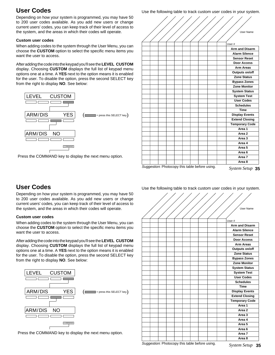# **User Codes**

Depending on how your system is programmed, you may have 50 to 200 user codes available. As you add new users or change current users' codes, you can keep track of their level of access to the system, and the areas in which their codes will operate.

## **Custom user codes**

When adding codes to the system through the User Menu, you can choose the **CUSTOM** option to select the specific menu items you want the user to access.

After adding the code into the keypad you'll see the **LEVEL CUSTOM** display. Choosing **CUSTOM** displays the full list of keypad menu options one at a time. A **YES** next to the option means it is enabled for the user. To disable the option, press the second SELECT key from the right to display **NO**. See below:



Press the COMMAND key to display the next menu option.



Use the following table to track custom user codes in your system.

Suggestion: Photocopy this table before using.

System Setup 35

### Use the following table to track custom user codes in your system.

# User Name User # **Arm and Disarm Alarm Silence Sensor Reset Door Access Arm Areas Outputs on/off Zone Status Bypass Zones Zone Monitor System Status System Test User Codes Schedules Time Display Events Extend Closing Temporary Code Area 1 Area 2 Area 3 Area 4 Area 5 Area 6 Area 7 Area 8**

Suggestion: Photocopy this table before using. *System Setup*

# **User Codes**

Depending on how your system is programmed, you may have 50 to 200 user codes available. As you add new users or change current users' codes, you can keep track of their level of access to the system, and the areas in which their codes will operate.

## **Custom user codes**

When adding codes to the system through the User Menu, you can choose the **CUSTOM** option to select the specific menu items you want the user to access.

After adding the code into the keypad you'll see the **LEVEL CUSTOM** display. Choosing **CUSTOM** displays the full list of keypad menu options one at a time. A **YES** next to the option means it is enabled for the user. To disable the option, press the second SELECT key from the right to display **NO**. See below:



Press the COMMAND key to display the next menu option.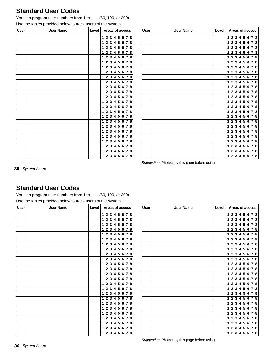# **Standard User Codes**

You can program user numbers from 1 to  $\quad$  (50, 100, or 200).

| Use the tables provided below to track users of the system. |  |
|-------------------------------------------------------------|--|
|-------------------------------------------------------------|--|

| User | <b>User Name</b> | Level | Areas of access                                          |  |  |  |  |  |
|------|------------------|-------|----------------------------------------------------------|--|--|--|--|--|
|      |                  |       | 3<br>5<br>$\mathbf{2}$<br>4<br>6<br>8<br>1<br>7          |  |  |  |  |  |
|      |                  |       | 2 3 4 5 6<br>1<br>78                                     |  |  |  |  |  |
|      |                  |       | 3<br>5<br>6<br>2<br>4<br>7<br>8<br>1                     |  |  |  |  |  |
|      |                  |       | 3<br>4 5<br>$\mathbf{2}$<br>6<br>1<br>7<br>8             |  |  |  |  |  |
|      |                  |       | 2<br>3<br>4<br>-5<br>1<br>6<br>$\overline{7}$<br>8       |  |  |  |  |  |
|      |                  |       | $\mathbf 2$<br>3<br>5<br>4<br>6<br>8<br>1<br>7           |  |  |  |  |  |
|      |                  |       | $\mathbf{2}$<br>345<br>1<br>8<br>6<br>7                  |  |  |  |  |  |
|      |                  |       | 3<br>5<br>$\mathbf{2}$<br>4<br>6<br>7<br>1<br>8          |  |  |  |  |  |
|      |                  |       | 3<br>$\overline{2}$<br>45<br>6<br>8<br>1<br>7            |  |  |  |  |  |
|      |                  |       | 5<br>2<br>3<br>4<br>6<br>$\overline{7}$<br>1<br>8        |  |  |  |  |  |
|      |                  |       | $\mathbf 2$<br>3<br>4<br>5<br>8<br>6<br>1<br>7           |  |  |  |  |  |
|      |                  |       | 5<br>$\mathbf{2}$<br>3<br>4<br>1<br>6<br>8<br>7          |  |  |  |  |  |
|      |                  |       | 3<br>5<br>1<br>$\mathbf{2}$<br>4<br>6<br>8<br>7          |  |  |  |  |  |
|      |                  |       | 3<br>$\mathbf{2}$<br>4 5<br>6<br>1<br>7<br>8             |  |  |  |  |  |
|      |                  |       | $\mathbf 2$<br>3<br>4<br>5<br>6<br>1<br>78               |  |  |  |  |  |
|      |                  |       | 3<br>5<br>$\mathbf 2$<br>4<br>1<br>6<br>8<br>7           |  |  |  |  |  |
|      |                  |       | 3<br>5<br>1<br>$\mathbf{2}$<br>4<br>6<br>8<br>7          |  |  |  |  |  |
|      |                  |       | 3<br>5<br>$\mathbf{2}$<br>4<br>6<br>7<br>8<br>1          |  |  |  |  |  |
|      |                  |       | $\mathbf{2}$<br>3<br>45<br>1<br>6<br>$\overline{7}$<br>8 |  |  |  |  |  |
|      |                  |       | 5<br>$\mathbf{2}$<br>3<br>4<br>6<br>1<br>7<br>8          |  |  |  |  |  |
|      |                  |       | $\mathbf 2$<br>3<br>5<br>1<br>4<br>6<br>8<br>7           |  |  |  |  |  |
|      |                  |       | 5<br>$\overline{2}$<br>3<br>4<br>1<br>6<br>8<br>7        |  |  |  |  |  |
|      |                  |       | 5<br>1<br>$\mathbf{2}$<br>3<br>4<br>6<br>7<br>8          |  |  |  |  |  |
|      |                  |       | $\mathbf{2}$<br>3<br>5<br>1<br>4<br>6<br>8<br>7          |  |  |  |  |  |
|      |                  |       | 5<br>1<br>$\mathbf{2}$<br>3<br>6<br>8<br>4<br>7          |  |  |  |  |  |

| <b>User</b> | <b>User Name</b> | <b>Level</b> | Areas of access                                                |  |  |  |
|-------------|------------------|--------------|----------------------------------------------------------------|--|--|--|
|             |                  |              | 2 3 4<br>5<br>67<br>8<br>1                                     |  |  |  |
|             |                  |              | 3<br>4<br>5<br>$\mathbf{2}$<br>67<br>1<br>8                    |  |  |  |
|             |                  |              | 3<br>5<br>$\mathbf{2}$<br>4<br>1<br>6<br>$\boldsymbol{7}$<br>8 |  |  |  |
|             |                  |              | 23<br>5<br>$\overline{4}$<br>1<br>67<br>8                      |  |  |  |
|             |                  |              | 3<br>4<br>5<br>$\mathbf 2$<br>8<br>1<br>6<br>7                 |  |  |  |
|             |                  |              | 3<br>$\mathbf{2}$<br>4<br>5<br>67<br>8<br>1                    |  |  |  |
|             |                  |              | 3<br>4<br>5<br>2<br>67<br>1<br>8                               |  |  |  |
|             |                  |              | 3<br>5<br>2<br>4<br>8<br>1<br>6<br>7                           |  |  |  |
|             |                  |              | 23<br>5<br>$\overline{\mathbf{4}}$<br>1<br>67<br>8             |  |  |  |
|             |                  |              | 3<br>$\mathbf 2$<br>4<br>5<br>6<br>7<br>8<br>1                 |  |  |  |
|             |                  |              | 3<br>$\mathbf{2}$<br>4<br>5<br>67<br>8<br>1                    |  |  |  |
|             |                  |              | 3<br>5<br>$\mathbf{2}$<br>4<br>67<br>8<br>1                    |  |  |  |
|             |                  |              | 3<br>5<br>2<br>4<br>1<br>6<br>7<br>8                           |  |  |  |
|             |                  |              | 3<br>$\overline{4}$<br>5<br>2<br>6 7<br>8<br>1                 |  |  |  |
|             |                  |              | 3<br>4<br>5<br>$\mathbf{2}$<br>6<br>7<br>8<br>1                |  |  |  |
|             |                  |              | 3<br>2<br>4<br>5<br>67<br>8<br>1                               |  |  |  |
|             |                  |              | 3<br>5<br>$\mathbf{2}$<br>4<br>6<br>$\overline{7}$<br>8<br>1   |  |  |  |
|             |                  |              | 3<br>$\mathbf{2}$<br>5<br>1<br>4<br>7<br>8<br>6                |  |  |  |
|             |                  |              | 3<br>$\overline{4}$<br>5<br>$\mathbf{2}$<br>67<br>8<br>1       |  |  |  |
|             |                  |              | 3<br>4<br>5<br>$\mathbf{2}$<br>6<br>$\overline{7}$<br>8<br>1   |  |  |  |
|             |                  |              | 3<br>$\mathbf{2}$<br>4<br>5<br>67<br>8<br>1                    |  |  |  |
|             |                  |              | 3<br>4<br>5<br>2<br>6<br>$\overline{7}$<br>8<br>1              |  |  |  |
|             |                  |              | 3<br>$\mathbf{2}$<br>4<br>5<br>8<br>1<br>7<br>6                |  |  |  |
|             |                  |              | 3<br>4<br>5<br>6<br>7<br>8<br>1<br>$\mathbf{2}$                |  |  |  |
|             |                  |              | 3<br>$\mathbf{2}$<br>5<br>$\overline{7}$<br>1<br>4<br>6<br>8   |  |  |  |

Suggestion: Photocopy this page before using.

**36** *System Setup*

# **Standard User Codes**

You can program user numbers from 1 to \_\_ (50, 100, or 200). Use the tables provided below to track users of the system.

| <b>User</b> | <b>User Name</b> | Level<br>Areas of access |                                                                       |  |  |  |  |
|-------------|------------------|--------------------------|-----------------------------------------------------------------------|--|--|--|--|
|             |                  |                          | 2 3 4 5<br>6<br>1<br>78                                               |  |  |  |  |
|             |                  |                          | 2 3 4 5 6<br>1<br>78                                                  |  |  |  |  |
|             |                  |                          | 5<br>$\mathbf{2}$<br>3<br>4<br>1<br>6<br>8<br>7                       |  |  |  |  |
|             |                  |                          | 345<br>$\mathbf{2}$<br>6<br>78<br>1                                   |  |  |  |  |
|             |                  |                          | 45<br>$\mathbf{2}$<br>$\mathbf{3}$<br>6<br>1<br>78                    |  |  |  |  |
|             |                  |                          | $\overline{2}$<br>5<br>3<br>4<br>1<br>6<br>7<br>8                     |  |  |  |  |
|             |                  |                          | $\mathbf{2}$<br>$345$<br>6<br>78<br>1                                 |  |  |  |  |
|             |                  |                          | $\overline{2}$<br>3<br>4<br>5<br>6<br>78<br>1                         |  |  |  |  |
|             |                  |                          | $\overline{2}$<br>3<br>4<br>5<br>6<br>78<br>1                         |  |  |  |  |
|             |                  |                          | $\mathbf{2}$<br>45<br>$\mathbf{3}$<br>6<br>78<br>1                    |  |  |  |  |
|             |                  |                          | $\overline{2}$<br>3<br>4<br>5<br>6<br>8<br>1<br>7                     |  |  |  |  |
|             |                  |                          | 345<br>$\mathbf{2}$<br>1<br>6<br>8<br>7                               |  |  |  |  |
|             |                  |                          | 3<br>5<br>$\mathbf{2}$<br>4<br>6<br>7<br>8<br>1                       |  |  |  |  |
|             |                  |                          | $\mathbf{2}$<br>3 <sup>1</sup><br>45<br>6<br>8<br>1<br>$\overline{7}$ |  |  |  |  |
|             |                  |                          | 4<br>5<br>$\mathbf{2}$<br>3<br>6<br>1<br>78                           |  |  |  |  |
|             |                  |                          | $\overline{2}$<br>3<br>4<br>5<br>6<br>8<br>1<br>7                     |  |  |  |  |
|             |                  |                          | $\mathbf{2}$<br>3<br>$\overline{4}$<br>5<br>6<br>78<br>1              |  |  |  |  |
|             |                  |                          | $\overline{2}$<br>3<br>4<br>5<br>6<br>1<br>$\overline{7}$<br>8        |  |  |  |  |
|             |                  |                          | $\mathbf{2}$<br>$\mathbf{3}$<br>45<br>1<br>6<br>78                    |  |  |  |  |
|             |                  |                          | 5<br>$\mathbf{2}$<br>3<br>4<br>6<br>8<br>1<br>7                       |  |  |  |  |
|             |                  |                          | $\overline{2}$<br>3<br>5<br>4<br>1<br>6<br>8<br>7                     |  |  |  |  |
|             |                  |                          | $\mathbf{2}$<br>3<br>$\overline{4}$<br>5<br>6<br>78<br>1              |  |  |  |  |
|             |                  |                          | 3<br>5<br>$\mathbf{2}$<br>4<br>6<br>1<br>7<br>8                       |  |  |  |  |
|             |                  |                          | $\overline{2}$<br>3<br>1<br>4<br>5<br>6<br>8<br>7                     |  |  |  |  |
|             |                  |                          | 1<br>$\mathbf{2}$<br>3<br>4<br>5<br>8<br>6<br>7                       |  |  |  |  |

| <b>User</b> | <b>User Name</b> | Level | Areas of access                                                |  |  |  |  |
|-------------|------------------|-------|----------------------------------------------------------------|--|--|--|--|
|             |                  |       | 2 3 4 5 6 7 8<br>1                                             |  |  |  |  |
|             |                  |       | 3<br>4<br>5<br>$\mathbf{2}$<br>678<br>1                        |  |  |  |  |
|             |                  |       | 2 <sub>3</sub><br>4 5<br>678<br>1                              |  |  |  |  |
|             |                  |       | 23<br>$\overline{\mathbf{4}}$<br>5<br>1<br>67<br>8             |  |  |  |  |
|             |                  |       | 2 3 4<br>5<br>8<br>67<br>1                                     |  |  |  |  |
|             |                  |       | 3<br>5<br>$\mathbf{2}$<br>4<br>-7<br>1<br>6<br>8               |  |  |  |  |
|             |                  |       | 2 3 4 5<br>678<br>1                                            |  |  |  |  |
|             |                  |       | 3<br>5<br>$\mathbf{2}$<br>4<br>678<br>1                        |  |  |  |  |
|             |                  |       | 2 <sub>3</sub><br>45<br>678<br>1                               |  |  |  |  |
|             |                  |       | 23<br>5<br>$\overline{4}$<br>678<br>1                          |  |  |  |  |
|             |                  |       | 3<br>$\mathbf{2}$<br>4<br>5<br>1<br>7<br>8<br>6                |  |  |  |  |
|             |                  |       | 2 3 4<br>5<br>67<br>8<br>1                                     |  |  |  |  |
|             |                  |       | 3<br>$\overline{\mathbf{4}}$<br>5<br>1<br>$\mathbf{2}$<br>678  |  |  |  |  |
|             |                  |       | 3<br>5<br>$\mathbf{2}$<br>4<br>678<br>1                        |  |  |  |  |
|             |                  |       | $\mathbf{2}$<br>3<br>4<br>5<br>678<br>1                        |  |  |  |  |
|             |                  |       | 2 <sub>3</sub><br>5<br>4<br>67<br>8<br>1                       |  |  |  |  |
|             |                  |       | 3<br>5<br>$\mathbf{4}$<br>$\mathbf{2}$<br>-7<br>8<br>1<br>6    |  |  |  |  |
|             |                  |       | 5<br>3<br>4<br>$\overline{2}$<br>$\overline{7}$<br>1<br>6<br>8 |  |  |  |  |
|             |                  |       | 2 <sub>3</sub><br>45<br>678<br>1                               |  |  |  |  |
|             |                  |       | 3<br>5<br>4<br>$\mathbf 2$<br>67<br>1<br>-8                    |  |  |  |  |
|             |                  |       | 2 3<br>$\overline{4}$<br>5<br>678<br>1                         |  |  |  |  |
|             |                  |       | 3<br>5<br>4<br>$\mathbf{2}$<br>6<br>7<br>8<br>1                |  |  |  |  |
|             |                  |       | 3<br>5<br>$\mathbf{2}$<br>4<br>7<br>8<br>1<br>6                |  |  |  |  |
|             |                  |       | 5<br>3<br>4<br>$\overline{7}$<br>1<br>$\mathbf{2}$<br>6<br>8   |  |  |  |  |
|             |                  |       | 3<br>45<br>$\mathbf{2}$<br>678<br>1                            |  |  |  |  |

Suggestion: Photocopy this page before using.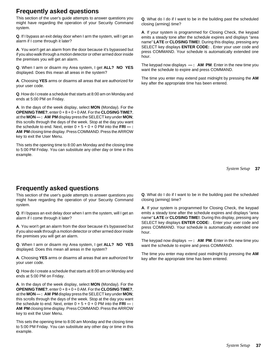# **Frequently asked questions**

This section of the user's guide attempts to answer questions you might have regarding the operation of your Security Command system.

**Q**. If I bypass an exit delay door when I arm the system, will I get an alarm if I come through it later?

**A**. You won't get an alarm from the door because it's bypassed but if you also walk through a motion detector or other armed door inside the premises you will get an alarm.

**Q**. When I arm or disarm my Area system, I get **ALL? NO YES** displayed. Does this mean all areas in the system?

**A**. Choosing **YES** arms or disarms all areas that are authorized for your user code.

**Q**. How do I create a schedule that starts at 8:00 am on Monday and ends at 5:00 PM on Friday.

**A**. In the days of the week display, select **MON** (Monday). For the **OPENING TIME?**, enter 0 + 8 + 0 + 0 AM. For the **CLOSING TIME?**, at the **MON— : AM PM** display press the SELECT key under **MON**; this scrolls through the days of the week. Stop at the day you want the schedule to end. Next, enter  $0 + 5 + 0 + 0$  PM into the  $FRI -$ : **AM PM** closing time display. Press COMMAND. Press the ARROW key to exit the User Menu.

This sets the opening time to 8:00 am Monday and the closing time to 5:00 PM Friday. You can substitute any other day or time in this example.

# **Frequently asked questions**

This section of the user's guide attempts to answer questions you might have regarding the operation of your Security Command system.

**Q**. If I bypass an exit delay door when I arm the system, will I get an alarm if I come through it later?

**A**. You won't get an alarm from the door because it's bypassed but if you also walk through a motion detector or other armed door inside the premises you will get an alarm.

**Q**. When I arm or disarm my Area system, I get **ALL? NO YES** displayed. Does this mean all areas in the system?

**A**. Choosing **YES** arms or disarms all areas that are authorized for your user code.

**Q**. How do I create a schedule that starts at 8:00 am on Monday and ends at 5:00 PM on Friday.

**A**. In the days of the week display, select **MON** (Monday). For the **OPENING TIME?**, enter 0 + 8 + 0 + 0 AM. For the **CLOSING TIME?**, at the **MON— : AM PM** display press the SELECT key under **MON**; this scrolls through the days of the week. Stop at the day you want the schedule to end. Next, enter  $0 + 5 + 0 + 0$  PM into the  $FRI -$ : **AM PM** closing time display. Press COMMAND. Press the ARROW key to exit the User Menu.

This sets the opening time to 8:00 am Monday and the closing time to 5:00 PM Friday. You can substitute any other day or time in this example.

**Q**. What do I do if I want to be in the building past the scheduled closing (arming) time?

**A**. If your system is programmed for Closing Check, the keypad emits a steady tone after the schedule expires and displays "area name" **LATE** or **CLOSING TIME!**. During this display, pressing any SELECT key displays **ENTER CODE:** . Enter your user code and press COMMAND. Your schedule is automatically extended one hour.

The keypad now displays **— : AM PM**. Enter in the new time you want the schedule to expire and press COMMAND.

The time you enter may extend past midnight by pressing the **AM** key after the appropriate time has been entered.

**37** *System Setup*

**Q**. What do I do if I want to be in the building past the scheduled closing (arming) time?

**A**. If your system is programmed for Closing Check, the keypad emits a steady tone after the schedule expires and displays "area name" **LATE** or **CLOSING TIME!**. During this display, pressing any SELECT key displays **ENTER CODE:** . Enter your user code and press COMMAND. Your schedule is automatically extended one hour.

The keypad now displays **— : AM PM**. Enter in the new time you want the schedule to expire and press COMMAND.

The time you enter may extend past midnight by pressing the **AM** key after the appropriate time has been entered.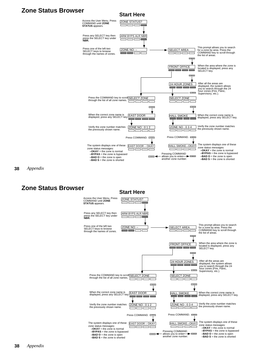# **Zone Status Browser Start Here**



**38** *Appendix*

**Zone Status Browser Start Here**

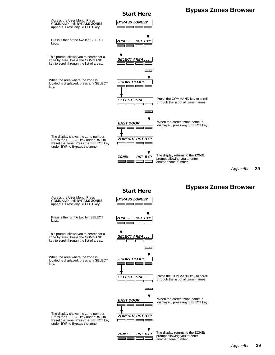

**39** *Appendix*

# **Start Here Bypass Zones Browser**

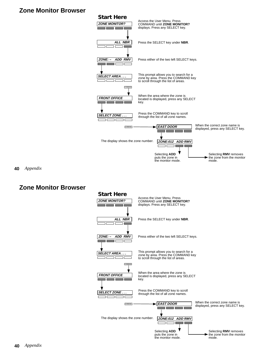# **Zone Monitor Browser**



**40** *Appendix*

# **Zone Monitor Browser**

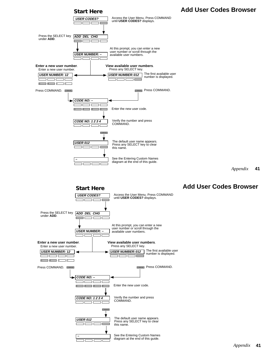



**41** *Appendix*

# **Add User Codes Browser**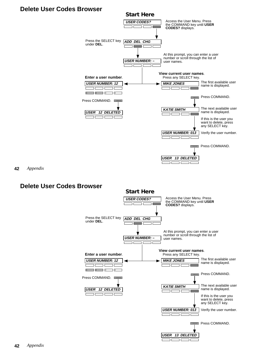# **Delete User Codes Browser**



пh n<br>D

пr

**42** *Appendix*

# **Delete User Codes Browser**

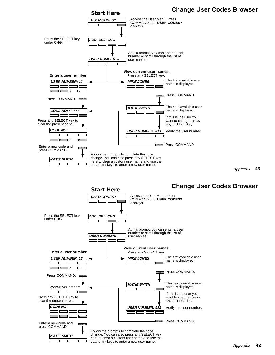

**43** *Appendix*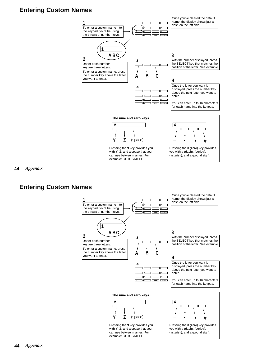# **Entering Custom Names**



**44** *Appendix*

# **Entering Custom Names**

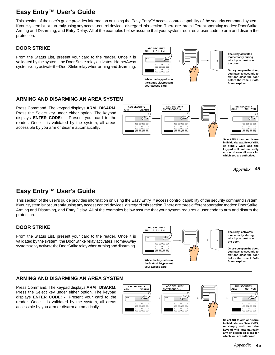# **Easy Entry™ User's Guide**

This section of the user's guide provides information on using the Easy Entry™ access control capability of the security command system. If your system is not currently using any access control devices, disregard this section. There are three different operating modes: Door Strike, Arming and Disarming, and Entry Delay. All of the examples below assume that your system requires a user code to arm and disarm the protection.

# **DOOR STRIKE**

From the Status List, present your card to the reader. Once it is validated by the system, the Door Strike relay activates. Home/Away systems only activate the Door Strike relay when arming and disarming.



# **ARMING AND DISARMING AN AREA SYSTEM**

Press Command. The keypad displays **ARM DISARM**. Press the Select key under either option. The keypad displays **ENTER CODE: -**. Present your card to the reader. Once it is validated by the system, all areas accessible by you arm or disarm automatically.



**Select NO to arm or disarm individual areas. Select YES, or simply wait, and the keypad will automatically arm or disarm all areas for which you are authorized.**

> **45** *Appendix*

# **Easy Entry™ User's Guide**

This section of the user's guide provides information on using the Easy Entry™ access control capability of the security command system. If your system is not currently using any access control devices, disregard this section. There are three different operating modes: Door Strike, Arming and Disarming, and Entry Delay. All of the examples below assume that your system requires a user code to arm and disarm the protection.

# **DOOR STRIKE**

From the Status List, present your card to the reader. Once it is validated by the system, the Door Strike relay activates. Home/Away systems only activate the Door Strike relay when arming and disarming.



# **ARMING AND DISARMING AN AREA SYSTEM**

Press Command. The keypad displays **ARM DISARM**. Press the Select key under either option. The keypad displays **ENTER CODE: -**. Present your card to the reader. Once it is validated by the system, all areas accessible by you arm or disarm automatically.



**Select NO to arm or disarm individual areas. Select YES, or simply wait, and the keypad will automatically arm or disarm all areas for which you are authorized.**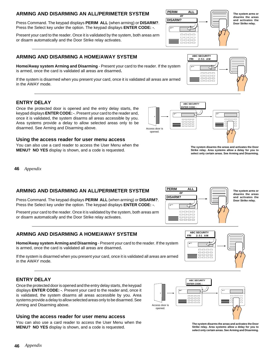# **ARMING AND DISARMING AN ALL/PERIMETER SYSTEM**

Press Command. The keypad displays **PERIM ALL** (when arming) or **DISARM?**. Press the Select key under the option. The keypad displays **ENTER CODE: -**.

Present your card to the reader. Once it is validated by the system, both areas arm or disarm automatically and the Door Strike relay activates.

# **ARMING AND DISARMING A HOME/AWAY SYSTEM**

**Home/Away system Arming and Disarming** - Present your card to the reader. If the system is armed, once the card is validated all areas are disarmed**.**

If the system is disarmed when you present your card, once it is validated all areas are armed in the AWAY mode.

# **ENTRY DELAY**

Once the protected door is opened and the entry delay starts, the keypad displays **ENTER CODE: -**. Present your card to the reader and, once it is validated, the system disarms all areas accessible by you. Area systems provide a delay to allow selected areas only to be disarmed. See Arming and Disarming above.

## **Using the access reader for user menu access**

You can also use a card reader to access the User Menu when the **MENU? NO YES** display is shown, and a code is requested.

**46** *Appendix*

# **ARMING AND DISARMING AN ALL/PERIMETER SYSTEM**

Press Command. The keypad displays **PERIM ALL** (when arming) or **DISARM?**. Press the Select key under the option. The keypad displays **ENTER CODE: -**.

Present your card to the reader. Once it is validated by the system, both areas arm or disarm automatically and the Door Strike relay activates.

# **ARMING AND DISARMING A HOME/AWAY SYSTEM**

**Home/Away system Arming and Disarming** - Present your card to the reader. If the system is armed, once the card is validated all areas are disarmed**.**

If the system is disarmed when you present your card, once it is validated all areas are armed in the AWAY mode.

# **ENTRY DELAY**

Once the protected door is opened and the entry delay starts, the keypad displays **ENTER CODE: -**. Present your card to the reader and, once it is validated, the system disarms all areas accessible by you. Area systems provide a delay to allow selected areas only to be disarmed. See Arming and Disarming above.

# **Using the access reader for user menu access**

You can also use a card reader to access the User Menu when the **MENU? NO YES** display is shown, and a code is requested.



**The system disarms the areas and activates the Door Strike relay. Area systems allow a delay for you to select only certain areas. See Arming and Disarming.**



 **ABC SECURITY FRI 2:51 AM**

> $\hbox{---}$  $\Box$  $\Box \Box \Box \Box$  $\Box \Box \Box \Box$

**The system arms or disarms the areas and activates the Door Strike relay.**



 **ABC SECURITY**

opened.

**The system disarms the areas and activates the Door Strike relay. Area systems allow a delay for you to select only certain areas. See Arming and Disarming.**



**PERIM ALL or DISARM?**  $\qquad \qquad \overline{\qquad \qquad }$ oooo **EE** 5555

**The system arms or disarms the areas and activates the Door Strike relay.**

**ABC SECURIT ENTER CODE** Access door is opened. **POWER**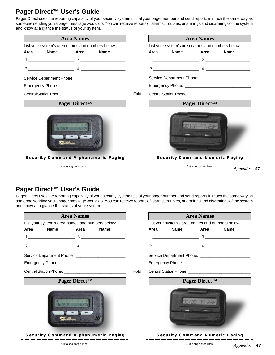# **Pager Direct™ User's Guide**

Pager Direct uses the reporting capability of your security system to dial your pager number and send reports in much the same way as someone sending you a pager message would do. You can receive reports of alarms, troubles, or armings and disarmings of the system and know at a glance the status of your system.



```
47
Appendix
```
# **Pager Direct™ User's Guide**

Pager Direct uses the reporting capability of your security system to dial your pager number and send reports in much the same way as someone sending you a pager message would do. You can receive reports of alarms, troubles, or armings and disarmings of the system and know at a glance the status of your system.

| <b>Area Names</b>                                     |      |                                                  |             | <b>Area Names</b>         |                                        |
|-------------------------------------------------------|------|--------------------------------------------------|-------------|---------------------------|----------------------------------------|
| List your system's area names and numbers below:      |      | List your system's area names and numbers below: |             |                           |                                        |
| <b>Name</b><br>Area<br>Area<br><b>Name</b>            |      | Area                                             | <b>Name</b> | Area                      | <b>Name</b>                            |
| $1 \hspace{2.5cm} 3 \hspace{2.5cm}$                   |      |                                                  |             |                           |                                        |
| 2                                                     |      |                                                  | $2$ $4$ $-$ |                           |                                        |
| Service Department Phone: ___________________________ |      |                                                  |             |                           |                                        |
|                                                       |      |                                                  |             |                           |                                        |
|                                                       | Fold |                                                  |             |                           |                                        |
| Pager Direct <sup>™</sup>                             |      |                                                  |             | Pager Direct <sup>™</sup> |                                        |
|                                                       |      |                                                  |             | 20129-301234              |                                        |
| <b>Security Command Alphanumeric Paging</b>           |      |                                                  |             |                           | <b>Security Command Numeric Paging</b> |
| Cut along dotted lines                                |      |                                                  |             | Cut along dotted lines    | $A$ properties                         |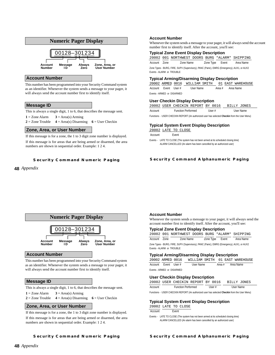

#### **Account Number**

This number has been programmed into your Security Command system as an identifier. Whenever the system sends a message to your pager, it will always send the account number first to identify itself.

#### **Message ID**

This is always a single digit, 1 to 6, that describes the message sent.

 $1 = \text{Zone Alarm}$   $3 = \text{Area(s)}$  Arming

**2** = Zone Trouble **4** = Area(s) Disarming **6** = User Checkin

#### **Zone, Area, or User Number**

If this message is for a zone, the 1 to 3 digit zone number is displayed. If this message is for areas that are being armed or disarmed, the area numbers are shown in sequential order. Example: 1 2 4.

#### **Security Command Numeric Paging**

## **48** *Appendix*

#### **Account Number**

Whenever the system sends a message to your pager, it will always send the account number first to identify itself. After the account, you'll see:

#### **Typical Zone Event Display Description**

20002 001 NORTHWEST DOORS BURG \*ALARM\* SHIPPING

Account Zone Zone Name Zone Type Event Area Name

Zone Types - BURG, FIRE, SUPV (Supervisory), PANC (Panic), EMRG (Emergency), AUX1, or AUX2 Events - ALARM or TROUBLE

#### **Typical Arming/Disarming Display Description**

20002 ARMED 0016 WILLIAM SMITH 01 EAST WAREHOUSE Account Event User # User Name Area # Area Name Events - ARMED or DISARMED

#### **User Checkin Display Description**

|                                                                                              |  | 20002 USER CHECKIN REPORT BY 0016 |  |        |  | BILLY JONES |  |
|----------------------------------------------------------------------------------------------|--|-----------------------------------|--|--------|--|-------------|--|
| Account                                                                                      |  | <b>Function Performed</b>         |  | User # |  | User Name   |  |
| Functions - USER CHECKIN REPORT (An authorized user has selected Checkin from the User Menu) |  |                                   |  |        |  |             |  |

#### **Typical System Event Display Description**

20002 LATE TO CLOSE

Account Event

Events - LATE TO CLOSE (The system has not been armed at its scheduled closing time) ALARM CANCELLED (An alarm has been cancelled by an authorized user)

#### **Security Command Alphanumeric Paging**



#### **Account Number**

This number has been programmed into your Security Command system as an identifier. Whenever the system sends a message to your pager, it will always send the account number first to identify itself.

#### **Message ID**

This is always a single digit, 1 to 6, that describes the message sent.

 $1 =$  Zone Alarm  $3 =$  Area(s) Arming

**2** = Zone Trouble **4** = Area(s) Disarming **6** = User Checkin

### **Zone, Area, or User Number**

If this message is for a zone, the 1 to 3 digit zone number is displayed.

If this message is for areas that are being armed or disarmed, the area numbers are shown in sequential order. Example: 1 2 4.

## **Account Number**

Whenever the system sends a message to your pager, it will always send the account number first to identify itself. After the account, you'll see:

#### **Typical Zone Event Display Description**

20002 001 NORTHWEST DOORS BURG \*ALARM\* SHIPPING Account Zone **Zone Name** Zone Type Event Area Name Zone Types - BURG, FIRE, SUPV (Supervisory), PANC (Panic), EMRG (Emergency), AUX1, or AUX2 Events - ALARM or TROUBLE

#### **Typical Arming/Disarming Display Description**

| 20002 ARMED 0016           |           |  | WILLIAM SMITH 01 EAST WAREHOUSE |
|----------------------------|-----------|--|---------------------------------|
| Account Event User#        | User Name |  | Area # Area Name                |
| Events - ARMED or DISARMED |           |  |                                 |

#### **User Checkin Display Description**

|                                                                                               |  | 20002 USER CHECKIN REPORT BY 0016 |  |       |  | BILLY JONES |  |
|-----------------------------------------------------------------------------------------------|--|-----------------------------------|--|-------|--|-------------|--|
| Account                                                                                       |  | <b>Function Performed</b>         |  | User# |  | User Name   |  |
| Eunctions - LISER CHECKIN REPORT (An authorized user has selected Checkin from the User Menu) |  |                                   |  |       |  |             |  |

# **Typical System Event Display Description**

20002 LATE TO CLOSE

Account Event

Events - LATE TO CLOSE (The system has not been armed at its scheduled closing time) ALARM CANCELLED (An alarm has been cancelled by an authorized user)

**Security Command Numeric Paging**

## **Security Command Alphanumeric Paging**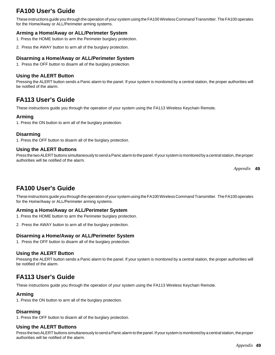# **FA100 User's Guide**

These instructions guide you through the operation of your system using the FA100 Wireless Command Transmitter. The FA100 operates for the Home/Away or ALL/Perimeter arming systems.

# **Arming a Home/Away or ALL/Perimeter System**

1. Press the HOME button to arm the Perimeter burglary protection.

2. Press the AWAY button to arm all of the burglary protection.

# **Disarming a Home/Away or ALL/Perimeter System**

1. Press the OFF button to disarm all of the burglary protection.

# **Using the ALERT Button**

Pressing the ALERT button sends a Panic alarm to the panel. If your system is monitored by a central station, the proper authorities will be notified of the alarm.

# **FA113 User's Guide**

These instructions guide you through the operation of your system using the FA113 Wireless Keychain Remote.

# **Arming**

1. Press the ON button to arm all of the burglary protection.

## **Disarming**

1. Press the OFF button to disarm all of the burglary protection.

# **Using the ALERT Buttons**

Press the two ALERT buttons simultaneously to send a Panic alarm to the panel. If your system is monitored by a central station, the proper authorities will be notified of the alarm.

**49** *Appendix*

# **FA100 User's Guide**

These instructions guide you through the operation of your system using the FA100 Wireless Command Transmitter. The FA100 operates for the Home/Away or ALL/Perimeter arming systems.

# **Arming a Home/Away or ALL/Perimeter System**

- 1. Press the HOME button to arm the Perimeter burglary protection.
- 2. Press the AWAY button to arm all of the burglary protection.

# **Disarming a Home/Away or ALL/Perimeter System**

1. Press the OFF button to disarm all of the burglary protection.

# **Using the ALERT Button**

Pressing the ALERT button sends a Panic alarm to the panel. If your system is monitored by a central station, the proper authorities will be notified of the alarm.

# **FA113 User's Guide**

These instructions guide you through the operation of your system using the FA113 Wireless Keychain Remote.

# **Arming**

1. Press the ON button to arm all of the burglary protection.

# **Disarming**

1. Press the OFF button to disarm all of the burglary protection.

# **Using the ALERT Buttons**

Press the two ALERT buttons simultaneously to send a Panic alarm to the panel. If your system is monitored by a central station, the proper authorities will be notified of the alarm.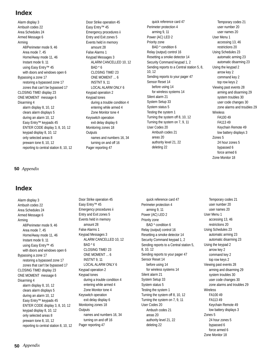# **Index**

Alarm display 3 Ambush codes 22 Area Schedules 24 Armed Message 6 Arming All/Perimeter mode 9, 46 Area mode 7, 45 Home/Away mode 11, 46 Instant mode 9, 11 using Easy Entry™ 45 with doors and windows open 6 Bypassing a zone 17 restoring a bypassed zone 17 zones that can't be bypassed 17 CLOSING TIME! display 23 ONE MOMENT message 6 Disarming 4 alarm display 8, 10, 12 clears alarm displays 5 during an alarm 10, 12 Easy Entry™ keypads 45 ENTER CODE display 3, 8, 10, 12 keypad display 8, 10, 12 only selected areas 8 prewarn tone 8, 10, 12 reporting to central station 8, 10, 12

**50** *Appendix*

# **Index**

Alarm display 3 Ambush codes 22 Area Schedules 24 Armed Message 6 Arming All/Perimeter mode 9, 46 Area mode 7, 45 Home/Away mode 11, 46 Instant mode 9, 11 using Easy Entry™ 45 with doors and windows open 6 Bypassing a zone 17 restoring a bypassed zone 17 zones that can't be bypassed 17 CLOSING TIME! display 23 ONE MOMENT message 6 Disarming 4 alarm display 8, 10, 12 clears alarm displays 5 during an alarm 10, 12 Easy Entry™ keypads 45 ENTER CODE display 3, 8, 10, 12 keypad display 8, 10, 12 only selected areas 8 prewarn tone 8, 10, 12 reporting to central station 8, 10, 12

Door Strike operation 45 Easy Entry™ 45 Emergency procedures ii Entry and Exit zones 5 Events held in memory amount 28 False Alarms 1 Keypad Messages 3 ALARM CANCELLED 10, 12  $BAD * 6$ CLOSING TIME! 23 ONE MOMENT ... 6 INSTNT 9, 11 LOCAL ALARM ONLY 6 Keypad operation 2 Keypad tones during a trouble condition 4 entering while armed 4 Zone Monitor tone 4 Keyswitch operation exit delay display 6 Monitoring zones 18 **Outputs** names and numbers 16, 34 turning on and off 16 Pager reporting 47

Door Strike operation 45 Easy Entry™ 45 Emergency procedures ii Entry and Exit zones 5 Events held in memory amount 28 False Alarms 1 Keypad Messages 3 ALARM CANCELLED 10, 12  $BAD * 6$ CLOSING TIME! 23 ONE MOMENT ... 6 INSTNT 9, 11 LOCAL ALARM ONLY 6 Keypad operation 2 Keypad tones during a trouble condition 4 entering while armed 4 Zone Monitor tone 4 Keyswitch operation exit delay display 6 Monitoring zones 18 **Outputs** names and numbers 16, 34 turning on and off 16 Pager reporting 47

quick reference card 47 Perimeter protection 4 arming 9, 11 Power (AC) LED 2 Priority zone BAD \* condition 6 Relay (output) control 16 Resetting a smoke detector 14 Security Command keypad 1, 2 Sending reports to a Central station 5, 8, 10, 12 Sending reports to your pager 47 Sensor Reset 14 before using 14 for wireless systems 14 Silent alarm 21 System Setup 33 System status 5 Testing the system 1 Turning the system off 8, 10, 12 Turning the system on 7, 9, 11 User Codes 20 Ambush codes 21 areas 20 authority level 21, 22 deleting 22

Temporary codes 21 user number 20 user names 20 User Menu 1 accessing 13, 46 restrictions 20 Using Schedules 23 automatic arming 23 automatic disarming 23 Using the keypad 2 arrow key 2 command key 2 top row keys 2 Viewing past events 28 arming and disarming 29 system troubles 30 user code changes 30 zone alarms and troubles 29 Wireless FA100 49 FA113 49 Keychain Remote 49 low battery displays 3 Zones 5 24 hour zones 5 bypassed 6 force armed 6 Zone Monitor 18

quick reference card 47 Perimeter protection 4 arming 9, 11 Power (AC) LED 2 Priority zone BAD \* condition 6 Relay (output) control 16 Resetting a smoke detector 14 Security Command keypad 1, 2 Sending reports to a Central station 5, 8, 10, 12 Sending reports to your pager 47 Sensor Reset 14 before using 14 for wireless systems 14 Silent alarm 21 System Setup 33 System status 5 Testing the system 1 Turning the system off 8, 10, 12 Turning the system on 7, 9, 11 User Codes 20 Ambush codes 21 areas 20 authority level 21, 22 deleting 22

Temporary codes 21 user number 20 user names 20 User Menu 1 accessing 13, 46 restrictions 20 Using Schedules 23 automatic arming 23 automatic disarming 23 Using the keypad 2 arrow key 2 command key 2 top row keys 2 Viewing past events 28 arming and disarming 29 system troubles 30 user code changes 30 zone alarms and troubles 29 Wireless FA100 49 FA113 49 Keychain Remote 49 low battery displays 3 Zones 5 24 hour zones 5 bypassed 6 force armed 6 Zone Monitor 18